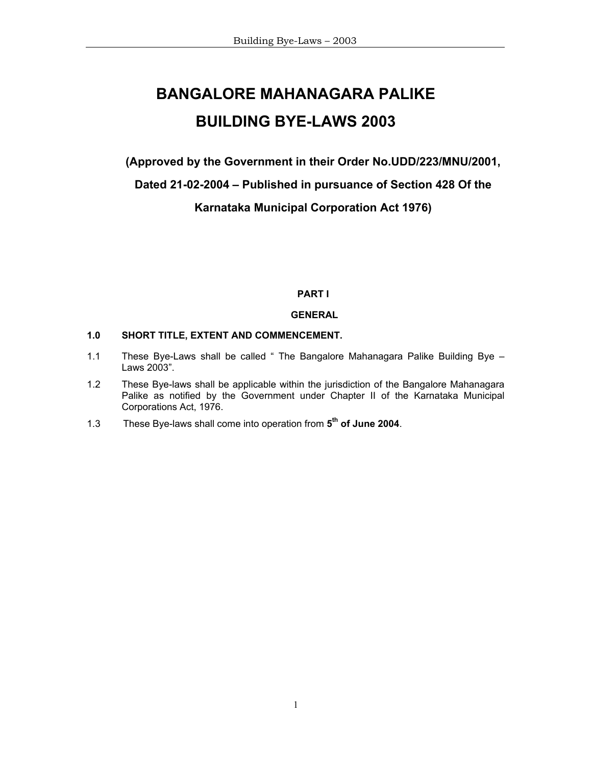# **BANGALORE MAHANAGARA PALIKE BUILDING BYE-LAWS 2003**

**(Approved by the Government in their Order No.UDD/223/MNU/2001,** 

**Dated 21-02-2004 – Published in pursuance of Section 428 Of the** 

**Karnataka Municipal Corporation Act 1976)** 

**PART I** 

## **GENERAL**

## **1.0 SHORT TITLE, EXTENT AND COMMENCEMENT.**

- 1.1 These Bye-Laws shall be called " The Bangalore Mahanagara Palike Building Bye Laws 2003".
- 1.2 These Bye-laws shall be applicable within the jurisdiction of the Bangalore Mahanagara Palike as notified by the Government under Chapter II of the Karnataka Municipal Corporations Act, 1976.
- 1.3 These Bye-laws shall come into operation from **5th of June 2004**.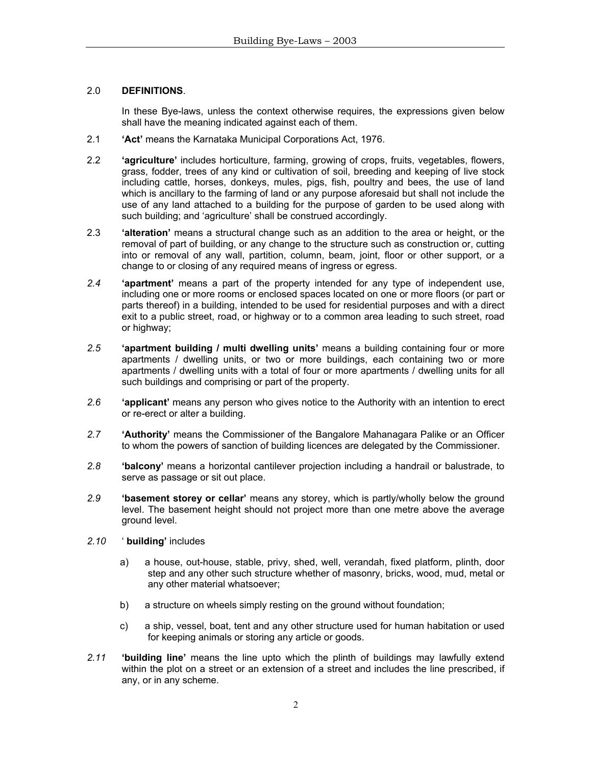# 2.0 **DEFINITIONS**.

 In these Bye-laws, unless the context otherwise requires, the expressions given below shall have the meaning indicated against each of them.

- 2.1 **'Act'** means the Karnataka Municipal Corporations Act, 1976.
- 2.2 **'agriculture'** includes horticulture, farming, growing of crops, fruits, vegetables, flowers, grass, fodder, trees of any kind or cultivation of soil, breeding and keeping of live stock including cattle, horses, donkeys, mules, pigs, fish, poultry and bees, the use of land which is ancillary to the farming of land or any purpose aforesaid but shall not include the use of any land attached to a building for the purpose of garden to be used along with such building; and 'agriculture' shall be construed accordingly.
- 2.3 **'alteration'** means a structural change such as an addition to the area or height, or the removal of part of building, or any change to the structure such as construction or, cutting into or removal of any wall, partition, column, beam, joint, floor or other support, or a change to or closing of any required means of ingress or egress.
- *2.4* **'apartment'** means a part of the property intended for any type of independent use, including one or more rooms or enclosed spaces located on one or more floors (or part or parts thereof) in a building, intended to be used for residential purposes and with a direct exit to a public street, road, or highway or to a common area leading to such street, road or highway;
- *2.5* **'apartment building / multi dwelling units'** means a building containing four or more apartments / dwelling units, or two or more buildings, each containing two or more apartments / dwelling units with a total of four or more apartments / dwelling units for all such buildings and comprising or part of the property.
- *2.6* **'applicant'** means any person who gives notice to the Authority with an intention to erect or re-erect or alter a building.
- *2.7* **'Authority'** means the Commissioner of the Bangalore Mahanagara Palike or an Officer to whom the powers of sanction of building licences are delegated by the Commissioner.
- *2.8* **'balcony'** means a horizontal cantilever projection including a handrail or balustrade, to serve as passage or sit out place.
- *2.9* **'basement storey or cellar'** means any storey, which is partly/wholly below the ground level. The basement height should not project more than one metre above the average ground level.
- *2.10* ' **building'** includes
	- a) a house, out-house, stable, privy, shed, well, verandah, fixed platform, plinth, door step and any other such structure whether of masonry, bricks, wood, mud, metal or any other material whatsoever;
	- b) a structure on wheels simply resting on the ground without foundation;
	- c) a ship, vessel, boat, tent and any other structure used for human habitation or used for keeping animals or storing any article or goods.
- *2.11* **'building line'** means the line upto which the plinth of buildings may lawfully extend within the plot on a street or an extension of a street and includes the line prescribed, if any, or in any scheme.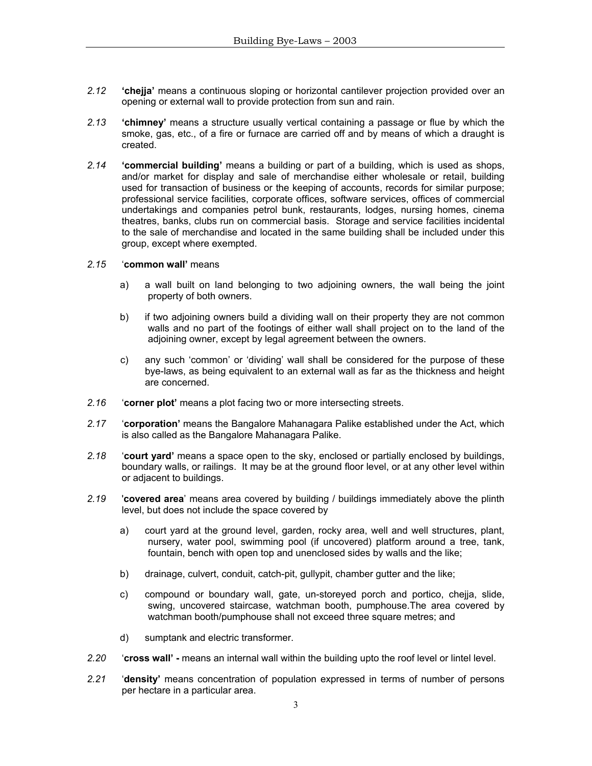- *2.12* **'chejja'** means a continuous sloping or horizontal cantilever projection provided over an opening or external wall to provide protection from sun and rain.
- *2.13* **'chimney'** means a structure usually vertical containing a passage or flue by which the smoke, gas, etc., of a fire or furnace are carried off and by means of which a draught is created.
- *2.14* **'commercial building'** means a building or part of a building, which is used as shops, and/or market for display and sale of merchandise either wholesale or retail, building used for transaction of business or the keeping of accounts, records for similar purpose; professional service facilities, corporate offices, software services, offices of commercial undertakings and companies petrol bunk, restaurants, lodges, nursing homes, cinema theatres, banks, clubs run on commercial basis. Storage and service facilities incidental to the sale of merchandise and located in the same building shall be included under this group, except where exempted.

#### *2.15* '**common wall'** means

- a) a wall built on land belonging to two adjoining owners, the wall being the joint property of both owners.
- b) if two adjoining owners build a dividing wall on their property they are not common walls and no part of the footings of either wall shall project on to the land of the adjoining owner, except by legal agreement between the owners.
- c) any such 'common' or 'dividing' wall shall be considered for the purpose of these bye-laws, as being equivalent to an external wall as far as the thickness and height are concerned.
- *2.16* '**corner plot'** means a plot facing two or more intersecting streets.
- 2.17 **Corporation'** means the Bangalore Mahanagara Palike established under the Act, which is also called as the Bangalore Mahanagara Palike.
- *2.18* '**court yard'** means a space open to the sky, enclosed or partially enclosed by buildings, boundary walls, or railings. It may be at the ground floor level, or at any other level within or adjacent to buildings.
- *2.19* '**covered area**' means area covered by building / buildings immediately above the plinth level, but does not include the space covered by
	- a) court yard at the ground level, garden, rocky area, well and well structures, plant, nursery, water pool, swimming pool (if uncovered) platform around a tree, tank, fountain, bench with open top and unenclosed sides by walls and the like;
	- b) drainage, culvert, conduit, catch-pit, gullypit, chamber gutter and the like;
	- c) compound or boundary wall, gate, un-storeyed porch and portico, chejja, slide, swing, uncovered staircase, watchman booth, pumphouse.The area covered by watchman booth/pumphouse shall not exceed three square metres; and
	- d) sumptank and electric transformer.
- *2.20* '**cross wall'** means an internal wall within the building upto the roof level or lintel level.
- 2.21 **'density'** means concentration of population expressed in terms of number of persons per hectare in a particular area.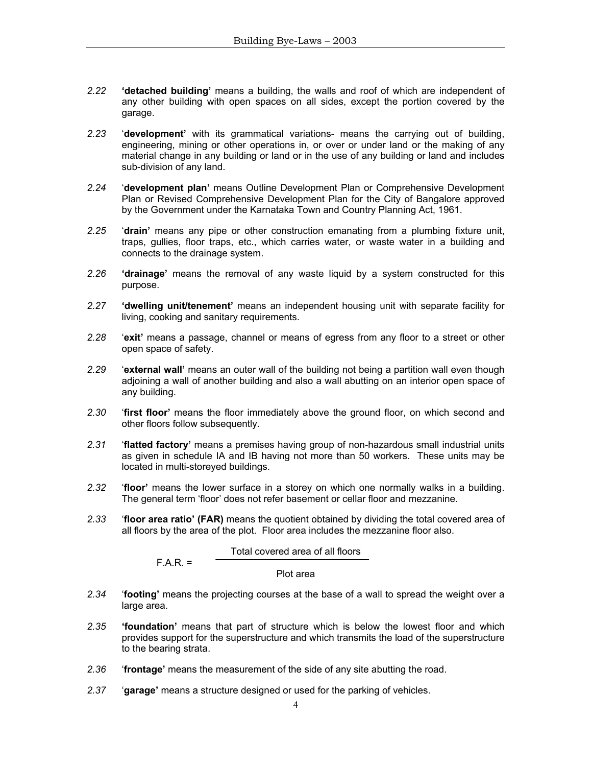- *2.22* **'detached building'** means a building, the walls and roof of which are independent of any other building with open spaces on all sides, except the portion covered by the garage.
- *2.23* '**development'** with its grammatical variations- means the carrying out of building, engineering, mining or other operations in, or over or under land or the making of any material change in any building or land or in the use of any building or land and includes sub-division of any land.
- *2.24* '**development plan'** means Outline Development Plan or Comprehensive Development Plan or Revised Comprehensive Development Plan for the City of Bangalore approved by the Government under the Karnataka Town and Country Planning Act, 1961.
- *2.25* '**drain'** means any pipe or other construction emanating from a plumbing fixture unit, traps, gullies, floor traps, etc., which carries water, or waste water in a building and connects to the drainage system.
- *2.26* **'drainage'** means the removal of any waste liquid by a system constructed for this purpose.
- *2.27* **'dwelling unit/tenement'** means an independent housing unit with separate facility for living, cooking and sanitary requirements.
- *2.28* '**exit'** means a passage, channel or means of egress from any floor to a street or other open space of safety.
- *2.29* '**external wall'** means an outer wall of the building not being a partition wall even though adjoining a wall of another building and also a wall abutting on an interior open space of any building.
- *2.30* '**first floor'** means the floor immediately above the ground floor, on which second and other floors follow subsequently.
- *2.31* '**flatted factory'** means a premises having group of non-hazardous small industrial units as given in schedule IA and IB having not more than 50 workers. These units may be located in multi-storeyed buildings.
- *2.32* '**floor'** means the lower surface in a storey on which one normally walks in a building. The general term 'floor' does not refer basement or cellar floor and mezzanine.
- *2.33* '**floor area ratio' (FAR)** means the quotient obtained by dividing the total covered area of all floors by the area of the plot. Floor area includes the mezzanine floor also.

#### Total covered area of all floors

 $F.A.R. =$ 

Plot area

- *2.34* '**footing'** means the projecting courses at the base of a wall to spread the weight over a large area.
- *2.35* **'foundation'** means that part of structure which is below the lowest floor and which provides support for the superstructure and which transmits the load of the superstructure to the bearing strata.
- *2.36* '**frontage'** means the measurement of the side of any site abutting the road.
- *2.37* '**garage'** means a structure designed or used for the parking of vehicles.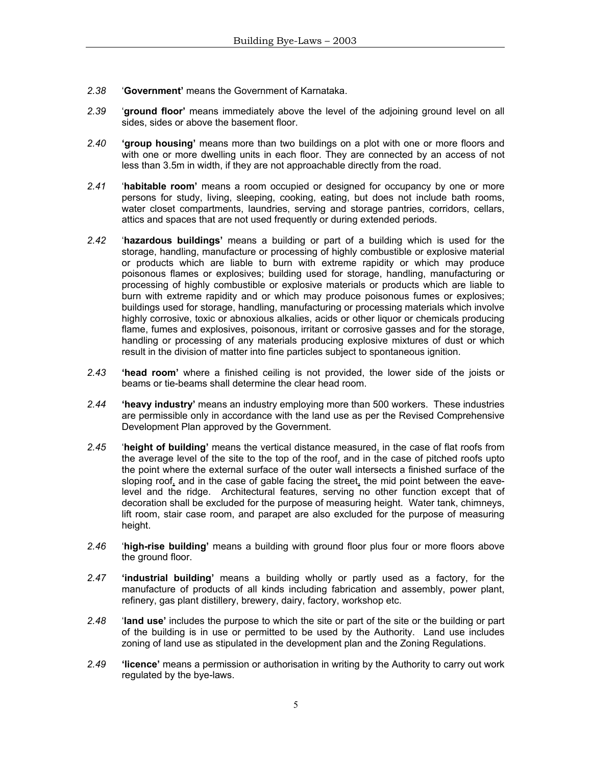- *2.38* '**Government'** means the Government of Karnataka.
- *2.39* '**ground floor'** means immediately above the level of the adjoining ground level on all sides, sides or above the basement floor.
- *2.40* **'group housing'** means more than two buildings on a plot with one or more floors and with one or more dwelling units in each floor. They are connected by an access of not less than 3.5m in width, if they are not approachable directly from the road.
- *2.41* '**habitable room'** means a room occupied or designed for occupancy by one or more persons for study, living, sleeping, cooking, eating, but does not include bath rooms, water closet compartments, laundries, serving and storage pantries, corridors, cellars, attics and spaces that are not used frequently or during extended periods.
- *2.42* '**hazardous buildings'** means a building or part of a building which is used for the storage, handling, manufacture or processing of highly combustible or explosive material or products which are liable to burn with extreme rapidity or which may produce poisonous flames or explosives; building used for storage, handling, manufacturing or processing of highly combustible or explosive materials or products which are liable to burn with extreme rapidity and or which may produce poisonous fumes or explosives; buildings used for storage, handling, manufacturing or processing materials which involve highly corrosive, toxic or abnoxious alkalies, acids or other liquor or chemicals producing flame, fumes and explosives, poisonous, irritant or corrosive gasses and for the storage, handling or processing of any materials producing explosive mixtures of dust or which result in the division of matter into fine particles subject to spontaneous ignition.
- *2.43* **'head room'** where a finished ceiling is not provided, the lower side of the joists or beams or tie-beams shall determine the clear head room.
- *2.44* **'heavy industry'** means an industry employing more than 500 workers. These industries are permissible only in accordance with the land use as per the Revised Comprehensive Development Plan approved by the Government.
- *2.45* '**height of building'** means the vertical distance measured, in the case of flat roofs from the average level of the site to the top of the roof, and in the case of pitched roofs upto the point where the external surface of the outer wall intersects a finished surface of the sloping roof, and in the case of gable facing the street, the mid point between the eavelevel and the ridge. Architectural features, serving no other function except that of decoration shall be excluded for the purpose of measuring height. Water tank, chimneys, lift room, stair case room, and parapet are also excluded for the purpose of measuring height.
- *2.46* '**high-rise building'** means a building with ground floor plus four or more floors above the ground floor.
- *2.47* **'industrial building'** means a building wholly or partly used as a factory, for the manufacture of products of all kinds including fabrication and assembly, power plant, refinery, gas plant distillery, brewery, dairy, factory, workshop etc.
- *2.48* '**land use'** includes the purpose to which the site or part of the site or the building or part of the building is in use or permitted to be used by the Authority. Land use includes zoning of land use as stipulated in the development plan and the Zoning Regulations.
- *2.49* **'licence'** means a permission or authorisation in writing by the Authority to carry out work regulated by the bye-laws.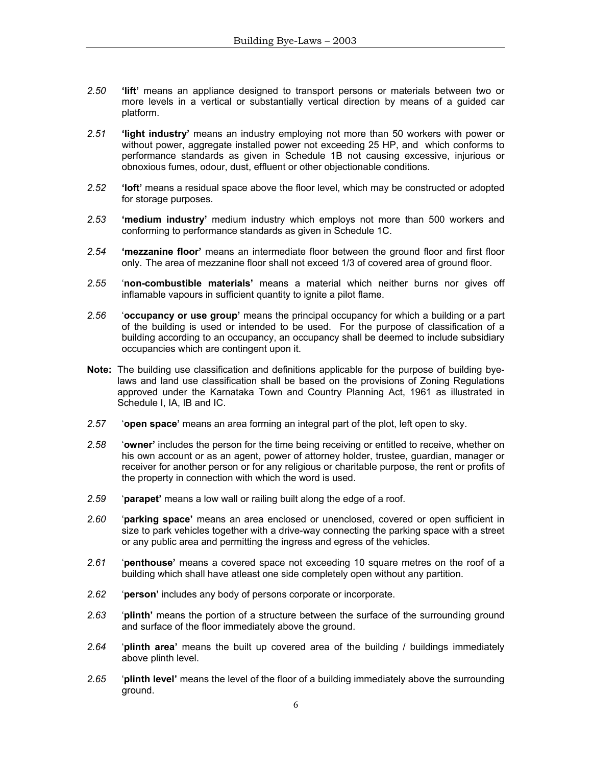- *2.50* **'lift'** means an appliance designed to transport persons or materials between two or more levels in a vertical or substantially vertical direction by means of a guided car platform.
- *2.51* **'light industry'** means an industry employing not more than 50 workers with power or without power, aggregate installed power not exceeding 25 HP, and which conforms to performance standards as given in Schedule 1B not causing excessive, injurious or obnoxious fumes, odour, dust, effluent or other objectionable conditions.
- *2.52* **'loft'** means a residual space above the floor level, which may be constructed or adopted for storage purposes.
- *2.53* **'medium industry'** medium industry which employs not more than 500 workers and conforming to performance standards as given in Schedule 1C.
- *2.54* **'mezzanine floor'** means an intermediate floor between the ground floor and first floor only. The area of mezzanine floor shall not exceed 1/3 of covered area of ground floor.
- *2.55* '**non-combustible materials'** means a material which neither burns nor gives off inflamable vapours in sufficient quantity to ignite a pilot flame.
- *2.56* '**occupancy or use group'** means the principal occupancy for which a building or a part of the building is used or intended to be used. For the purpose of classification of a building according to an occupancy, an occupancy shall be deemed to include subsidiary occupancies which are contingent upon it.
- **Note:** The building use classification and definitions applicable for the purpose of building byelaws and land use classification shall be based on the provisions of Zoning Regulations approved under the Karnataka Town and Country Planning Act, 1961 as illustrated in Schedule I, IA, IB and IC.
- *2.57* '**open space'** means an area forming an integral part of the plot, left open to sky.
- *2.58* '**owner'** includes the person for the time being receiving or entitled to receive, whether on his own account or as an agent, power of attorney holder, trustee, guardian, manager or receiver for another person or for any religious or charitable purpose, the rent or profits of the property in connection with which the word is used.
- *2.59* '**parapet'** means a low wall or railing built along the edge of a roof.
- *2.60* '**parking space'** means an area enclosed or unenclosed, covered or open sufficient in size to park vehicles together with a drive-way connecting the parking space with a street or any public area and permitting the ingress and egress of the vehicles.
- *2.61* '**penthouse'** means a covered space not exceeding 10 square metres on the roof of a building which shall have atleast one side completely open without any partition.
- *2.62* '**person'** includes any body of persons corporate or incorporate.
- *2.63* '**plinth'** means the portion of a structure between the surface of the surrounding ground and surface of the floor immediately above the ground.
- *2.64* '**plinth area'** means the built up covered area of the building / buildings immediately above plinth level.
- *2.65* '**plinth level'** means the level of the floor of a building immediately above the surrounding ground.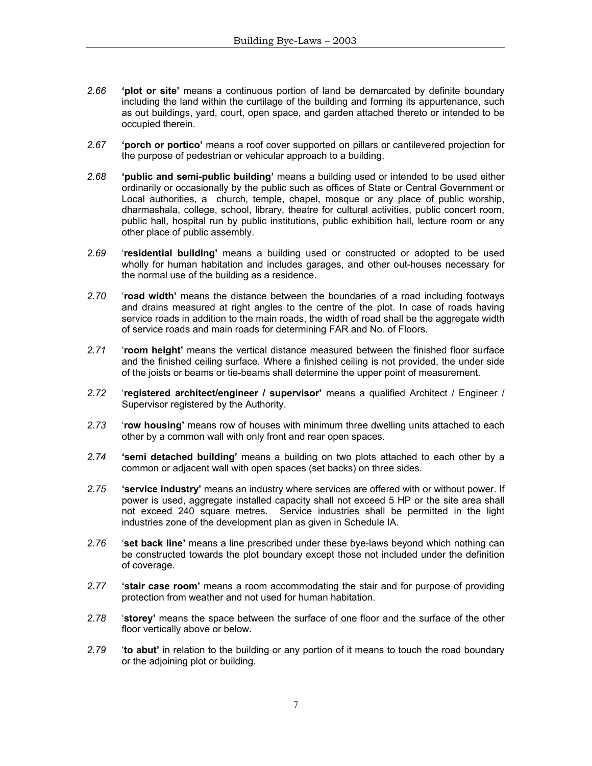- *2.66* **'plot or site'** means a continuous portion of land be demarcated by definite boundary including the land within the curtilage of the building and forming its appurtenance, such as out buildings, yard, court, open space, and garden attached thereto or intended to be occupied therein.
- *2.67* **'porch or portico'** means a roof cover supported on pillars or cantilevered projection for the purpose of pedestrian or vehicular approach to a building.
- *2.68* **'public and semi-public building'** means a building used or intended to be used either ordinarily or occasionally by the public such as offices of State or Central Government or Local authorities, a church, temple, chapel, mosque or any place of public worship, dharmashala, college, school, library, theatre for cultural activities, public concert room, public hall, hospital run by public institutions, public exhibition hall, lecture room or any other place of public assembly.
- *2.69* '**residential building'** means a building used or constructed or adopted to be used wholly for human habitation and includes garages, and other out-houses necessary for the normal use of the building as a residence.
- *2.70* '**road width'** means the distance between the boundaries of a road including footways and drains measured at right angles to the centre of the plot. In case of roads having service roads in addition to the main roads, the width of road shall be the aggregate width of service roads and main roads for determining FAR and No. of Floors.
- *2.71* '**room height'** means the vertical distance measured between the finished floor surface and the finished ceiling surface. Where a finished ceiling is not provided, the under side of the joists or beams or tie-beams shall determine the upper point of measurement.
- *2.72* '**registered architect/engineer / supervisor'** means a qualified Architect / Engineer / Supervisor registered by the Authority.
- *2.73* '**row housing'** means row of houses with minimum three dwelling units attached to each other by a common wall with only front and rear open spaces.
- *2.74* **'semi detached building'** means a building on two plots attached to each other by a common or adjacent wall with open spaces (set backs) on three sides.
- *2.75* **'service industry'** means an industry where services are offered with or without power. If power is used, aggregate installed capacity shall not exceed 5 HP or the site area shall not exceed 240 square metres. Service industries shall be permitted in the light industries zone of the development plan as given in Schedule IA.
- *2.76* '**set back line'** means a line prescribed under these bye-laws beyond which nothing can be constructed towards the plot boundary except those not included under the definition of coverage.
- *2.77* **'stair case room'** means a room accommodating the stair and for purpose of providing protection from weather and not used for human habitation.
- *2.78* '**storey'** means the space between the surface of one floor and the surface of the other floor vertically above or below.
- *2.79* '**to abut'** in relation to the building or any portion of it means to touch the road boundary or the adjoining plot or building.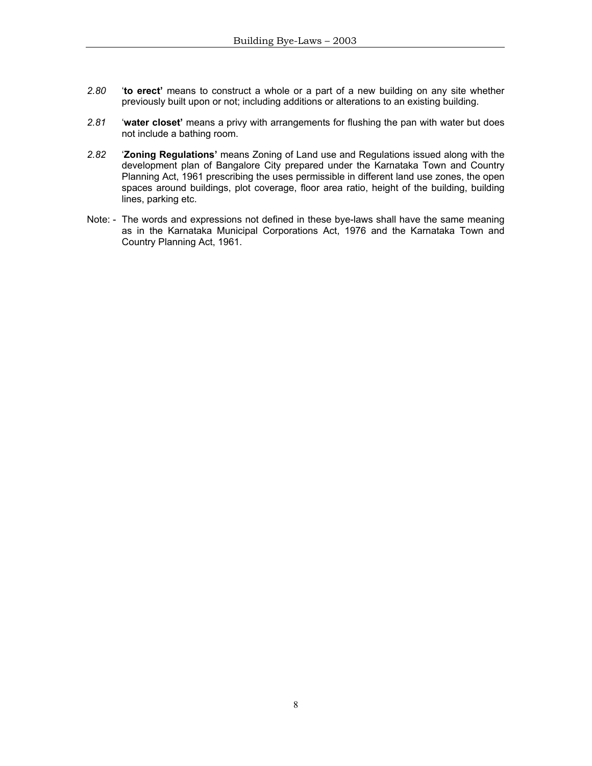- *2.80* '**to erect'** means to construct a whole or a part of a new building on any site whether previously built upon or not; including additions or alterations to an existing building.
- *2.81* '**water closet'** means a privy with arrangements for flushing the pan with water but does not include a bathing room.
- *2.82* '**Zoning Regulations'** means Zoning of Land use and Regulations issued along with the development plan of Bangalore City prepared under the Karnataka Town and Country Planning Act, 1961 prescribing the uses permissible in different land use zones, the open spaces around buildings, plot coverage, floor area ratio, height of the building, building lines, parking etc.
- Note: The words and expressions not defined in these bye-laws shall have the same meaning as in the Karnataka Municipal Corporations Act, 1976 and the Karnataka Town and Country Planning Act, 1961.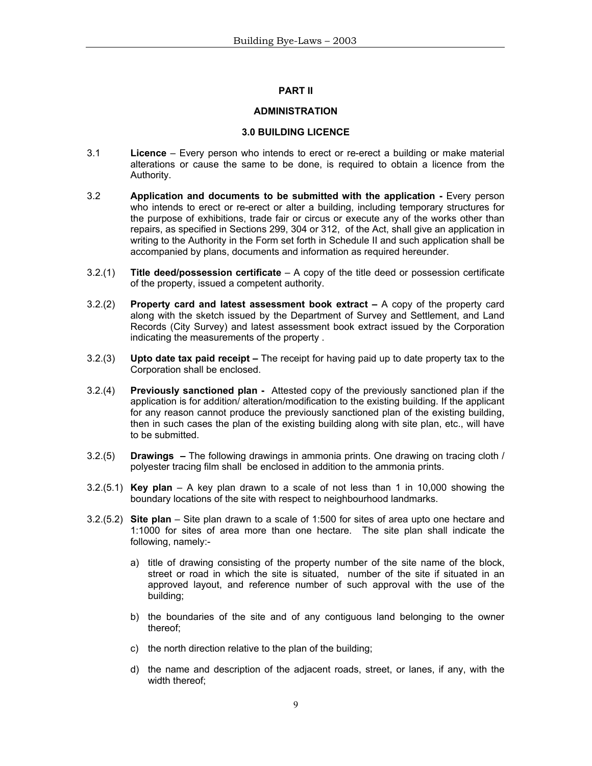# **PART II**

## **ADMINISTRATION**

## **3.0 BUILDING LICENCE**

- 3.1 **Licence**  Every person who intends to erect or re-erect a building or make material alterations or cause the same to be done, is required to obtain a licence from the Authority.
- 3.2 **Application and documents to be submitted with the application -** Every person who intends to erect or re-erect or alter a building, including temporary structures for the purpose of exhibitions, trade fair or circus or execute any of the works other than repairs, as specified in Sections 299, 304 or 312, of the Act, shall give an application in writing to the Authority in the Form set forth in Schedule II and such application shall be accompanied by plans, documents and information as required hereunder.
- 3.2.(1) **Title deed/possession certificate** A copy of the title deed or possession certificate of the property, issued a competent authority.
- 3.2.(2) **Property card and latest assessment book extract** A copy of the property card along with the sketch issued by the Department of Survey and Settlement, and Land Records (City Survey) and latest assessment book extract issued by the Corporation indicating the measurements of the property .
- 3.2.(3) **Upto date tax paid receipt** The receipt for having paid up to date property tax to the Corporation shall be enclosed.
- 3.2.(4) **Previously sanctioned plan** Attested copy of the previously sanctioned plan if the application is for addition/ alteration/modification to the existing building. If the applicant for any reason cannot produce the previously sanctioned plan of the existing building, then in such cases the plan of the existing building along with site plan, etc., will have to be submitted.
- 3.2.(5) **Drawings** The following drawings in ammonia prints. One drawing on tracing cloth / polyester tracing film shall be enclosed in addition to the ammonia prints.
- 3.2.(5.1) **Key plan** A key plan drawn to a scale of not less than 1 in 10,000 showing the boundary locations of the site with respect to neighbourhood landmarks.
- 3.2.(5.2) **Site plan** Site plan drawn to a scale of 1:500 for sites of area upto one hectare and 1:1000 for sites of area more than one hectare. The site plan shall indicate the following, namely:
	- a) title of drawing consisting of the property number of the site name of the block, street or road in which the site is situated, number of the site if situated in an approved layout, and reference number of such approval with the use of the building;
	- b) the boundaries of the site and of any contiguous land belonging to the owner thereof;
	- c) the north direction relative to the plan of the building;
	- d) the name and description of the adjacent roads, street, or lanes, if any, with the width thereof;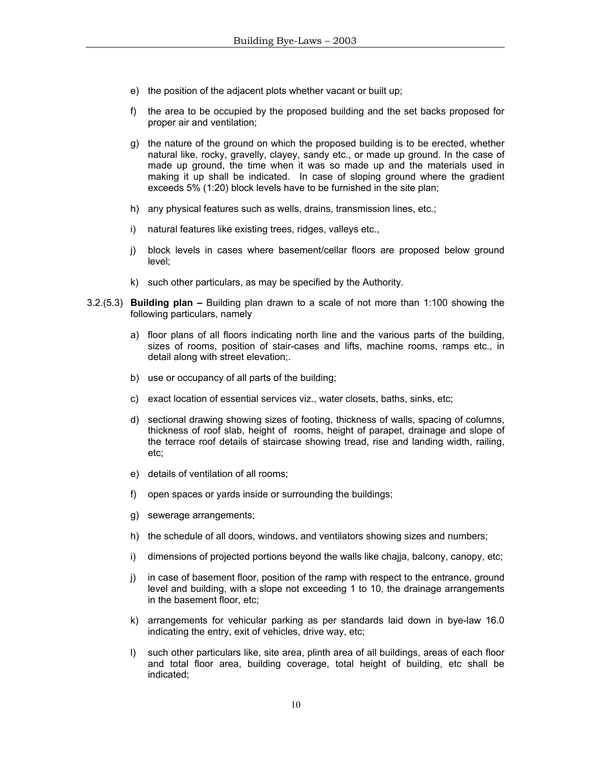- e) the position of the adjacent plots whether vacant or built up;
- f) the area to be occupied by the proposed building and the set backs proposed for proper air and ventilation;
- g) the nature of the ground on which the proposed building is to be erected, whether natural like, rocky, gravelly, clayey, sandy etc., or made up ground. In the case of made up ground, the time when it was so made up and the materials used in making it up shall be indicated. In case of sloping ground where the gradient exceeds 5% (1:20) block levels have to be furnished in the site plan;
- h) any physical features such as wells, drains, transmission lines, etc.;
- i) natural features like existing trees, ridges, valleys etc.,
- j) block levels in cases where basement/cellar floors are proposed below ground level;
- k) such other particulars, as may be specified by the Authority.
- 3.2.(5.3) **Building plan –** Building plan drawn to a scale of not more than 1:100 showing the following particulars, namely
	- a) floor plans of all floors indicating north line and the various parts of the building, sizes of rooms, position of stair-cases and lifts, machine rooms, ramps etc., in detail along with street elevation;.
	- b) use or occupancy of all parts of the building;
	- c) exact location of essential services viz., water closets, baths, sinks, etc;
	- d) sectional drawing showing sizes of footing, thickness of walls, spacing of columns, thickness of roof slab, height of rooms, height of parapet, drainage and slope of the terrace roof details of staircase showing tread, rise and landing width, railing, etc;
	- e) details of ventilation of all rooms;
	- f) open spaces or yards inside or surrounding the buildings;
	- g) sewerage arrangements;
	- h) the schedule of all doors, windows, and ventilators showing sizes and numbers;
	- i) dimensions of projected portions beyond the walls like chajja, balcony, canopy, etc;
	- j) in case of basement floor, position of the ramp with respect to the entrance, ground level and building, with a slope not exceeding 1 to 10, the drainage arrangements in the basement floor, etc;
	- k) arrangements for vehicular parking as per standards laid down in bye-law 16.0 indicating the entry, exit of vehicles, drive way, etc;
	- l) such other particulars like, site area, plinth area of all buildings, areas of each floor and total floor area, building coverage, total height of building, etc shall be indicated;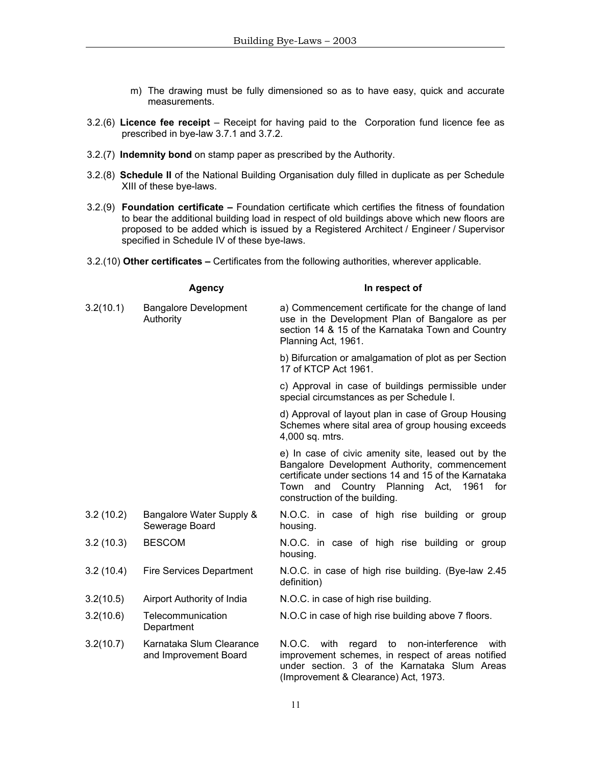- m) The drawing must be fully dimensioned so as to have easy, quick and accurate measurements.
- 3.2.(6) **Licence fee receipt**  Receipt for having paid to the Corporation fund licence fee as prescribed in bye-law 3.7.1 and 3.7.2.
- 3.2.(7) **Indemnity bond** on stamp paper as prescribed by the Authority.
- 3.2.(8) **Schedule II** of the National Building Organisation duly filled in duplicate as per Schedule XIII of these bye-laws.
- 3.2.(9) **Foundation certificate** Foundation certificate which certifies the fitness of foundation to bear the additional building load in respect of old buildings above which new floors are proposed to be added which is issued by a Registered Architect / Engineer / Supervisor specified in Schedule IV of these bye-laws.
- 3.2.(10) **Other certificates** Certificates from the following authorities, wherever applicable.

|           | <b>Agency</b>                                     | In respect of                                                                                                                                                                                                                                      |  |  |  |  |
|-----------|---------------------------------------------------|----------------------------------------------------------------------------------------------------------------------------------------------------------------------------------------------------------------------------------------------------|--|--|--|--|
| 3.2(10.1) | <b>Bangalore Development</b><br>Authority         | a) Commencement certificate for the change of land<br>use in the Development Plan of Bangalore as per<br>section 14 & 15 of the Karnataka Town and Country<br>Planning Act, 1961.                                                                  |  |  |  |  |
|           |                                                   | b) Bifurcation or amalgamation of plot as per Section<br>17 of KTCP Act 1961.                                                                                                                                                                      |  |  |  |  |
|           |                                                   | c) Approval in case of buildings permissible under<br>special circumstances as per Schedule I.                                                                                                                                                     |  |  |  |  |
|           |                                                   | d) Approval of layout plan in case of Group Housing<br>Schemes where sital area of group housing exceeds<br>4,000 sq. mtrs.                                                                                                                        |  |  |  |  |
|           |                                                   | e) In case of civic amenity site, leased out by the<br>Bangalore Development Authority, commencement<br>certificate under sections 14 and 15 of the Karnataka<br>and Country Planning Act,<br>for<br>Town<br>1961<br>construction of the building. |  |  |  |  |
| 3.2(10.2) | Bangalore Water Supply &<br>Sewerage Board        | N.O.C. in case of high rise building or group<br>housing.                                                                                                                                                                                          |  |  |  |  |
| 3.2(10.3) | <b>BESCOM</b>                                     | N.O.C. in case of high rise building or group<br>housing.                                                                                                                                                                                          |  |  |  |  |
| 3.2(10.4) | <b>Fire Services Department</b>                   | N.O.C. in case of high rise building. (Bye-law 2.45<br>definition)                                                                                                                                                                                 |  |  |  |  |
| 3.2(10.5) | Airport Authority of India                        | N.O.C. in case of high rise building.                                                                                                                                                                                                              |  |  |  |  |
| 3.2(10.6) | Telecommunication<br>Department                   | N.O.C in case of high rise building above 7 floors.                                                                                                                                                                                                |  |  |  |  |
| 3.2(10.7) | Karnataka Slum Clearance<br>and Improvement Board | N.O.C. with regard to<br>non-interference<br>with<br>improvement schemes, in respect of areas notified<br>under section. 3 of the Karnataka Slum Areas<br>(Improvement & Clearance) Act, 1973.                                                     |  |  |  |  |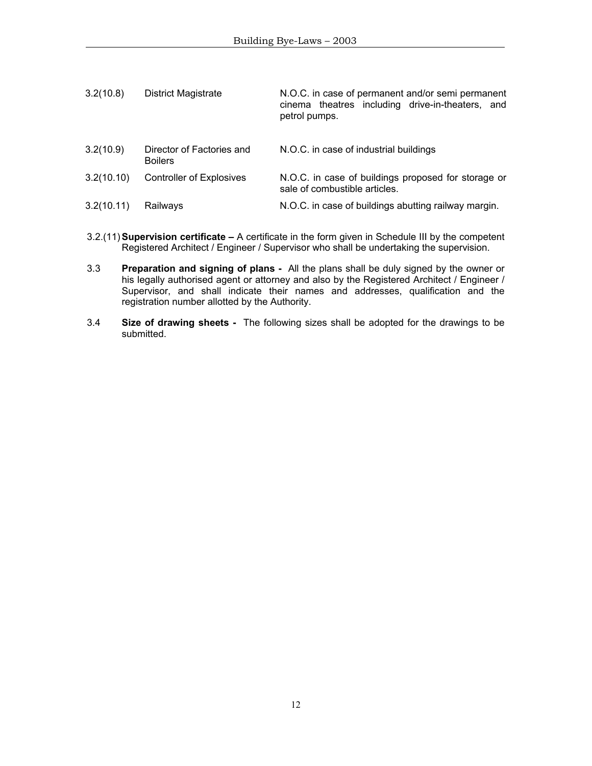| 3.2(10.8)  | <b>District Magistrate</b>                  | N.O.C. in case of permanent and/or semi permanent<br>cinema theatres including drive-in-theaters, and<br>petrol pumps. |
|------------|---------------------------------------------|------------------------------------------------------------------------------------------------------------------------|
| 3.2(10.9)  | Director of Factories and<br><b>Boilers</b> | N.O.C. in case of industrial buildings                                                                                 |
| 3.2(10.10) | Controller of Explosives                    | N.O.C. in case of buildings proposed for storage or<br>sale of combustible articles.                                   |
| 3.2(10.11) | Railways                                    | N.O.C. in case of buildings abutting railway margin.                                                                   |

- 3.2.(11) **Supervision certificate** A certificate in the form given in Schedule III by the competent Registered Architect / Engineer / Supervisor who shall be undertaking the supervision.
- 3.3 **Preparation and signing of plans** All the plans shall be duly signed by the owner or his legally authorised agent or attorney and also by the Registered Architect / Engineer / Supervisor, and shall indicate their names and addresses, qualification and the registration number allotted by the Authority.
- 3.4 **Size of drawing sheets** The following sizes shall be adopted for the drawings to be submitted.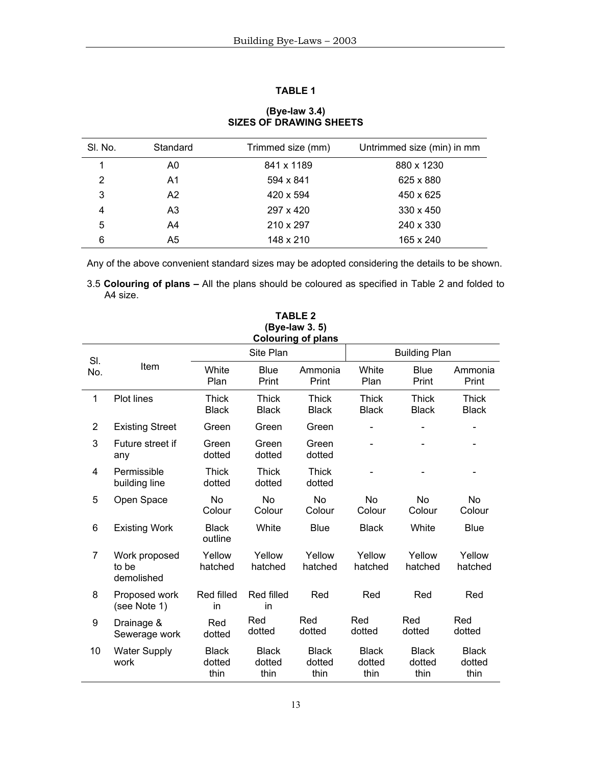# **TABLE 1**

| SI. No.       | Standard       | Trimmed size (mm) | Untrimmed size (min) in mm |
|---------------|----------------|-------------------|----------------------------|
|               | A0             | 841 x 1189        | 880 x 1230                 |
| $\mathcal{P}$ | A <sub>1</sub> | 594 x 841         | 625 x 880                  |
| 3             | A2             | 420 x 594         | 450 x 625                  |
| 4             | A <sub>3</sub> | 297 x 420         | $330 \times 450$           |
| 5             | A4             | 210 x 297         | 240 x 330                  |
| 6             | A5             | 148 x 210         | 165 x 240                  |

# **(Bye-law 3.4) SIZES OF DRAWING SHEETS**

Any of the above convenient standard sizes may be adopted considering the details to be shown.

3.5 **Colouring of plans –** All the plans should be coloured as specified in Table 2 and folded to A4 size.

|                | (Bye-law 3.5)<br><b>Colouring of plans</b> |                                |                                |                                |                                |                                |                                |  |  |
|----------------|--------------------------------------------|--------------------------------|--------------------------------|--------------------------------|--------------------------------|--------------------------------|--------------------------------|--|--|
| SI.            |                                            |                                | Site Plan                      |                                |                                | <b>Building Plan</b>           |                                |  |  |
| No.            | Item                                       | White<br>Plan                  | <b>Blue</b><br>Print           | Ammonia<br>Print               | White<br>Plan                  | <b>Blue</b><br>Print           | Ammonia<br>Print               |  |  |
| $\mathbf{1}$   | Plot lines                                 | <b>Thick</b><br><b>Black</b>   | <b>Thick</b><br><b>Black</b>   | <b>Thick</b><br><b>Black</b>   | <b>Thick</b><br><b>Black</b>   | <b>Thick</b><br><b>Black</b>   | <b>Thick</b><br><b>Black</b>   |  |  |
| $\overline{2}$ | <b>Existing Street</b>                     | Green                          | Green                          | Green                          |                                |                                |                                |  |  |
| 3              | Future street if<br>any                    | Green<br>dotted                | Green<br>dotted                | Green<br>dotted                |                                |                                |                                |  |  |
| 4              | Permissible<br>building line               | <b>Thick</b><br>dotted         | <b>Thick</b><br>dotted         | Thick<br>dotted                | $\qquad \qquad \blacksquare$   |                                |                                |  |  |
| 5              | Open Space                                 | <b>No</b><br>Colour            | <b>No</b><br>Colour            | <b>No</b><br>Colour            | No<br>Colour                   | <b>No</b><br>Colour            | <b>No</b><br>Colour            |  |  |
| 6              | <b>Existing Work</b>                       | <b>Black</b><br>outline        | White                          | <b>Blue</b>                    | <b>Black</b>                   | White                          | <b>Blue</b>                    |  |  |
| $\overline{7}$ | Work proposed<br>to be<br>demolished       | Yellow<br>hatched              | Yellow<br>hatched              | Yellow<br>hatched              | Yellow<br>hatched              | Yellow<br>hatched              | Yellow<br>hatched              |  |  |
| 8              | Proposed work<br>(see Note 1)              | Red filled<br>in               | Red filled<br>in               | Red                            | Red                            | Red                            | Red                            |  |  |
| 9              | Drainage &<br>Sewerage work                | Red<br>dotted                  | Red<br>dotted                  | Red<br>dotted                  | Red<br>dotted                  | Red<br>dotted                  | Red<br>dotted                  |  |  |
| 10             | <b>Water Supply</b><br>work                | <b>Black</b><br>dotted<br>thin | <b>Black</b><br>dotted<br>thin | <b>Black</b><br>dotted<br>thin | <b>Black</b><br>dotted<br>thin | <b>Black</b><br>dotted<br>thin | <b>Black</b><br>dotted<br>thin |  |  |

**TABLE 2 (Bye-law 3. 5)**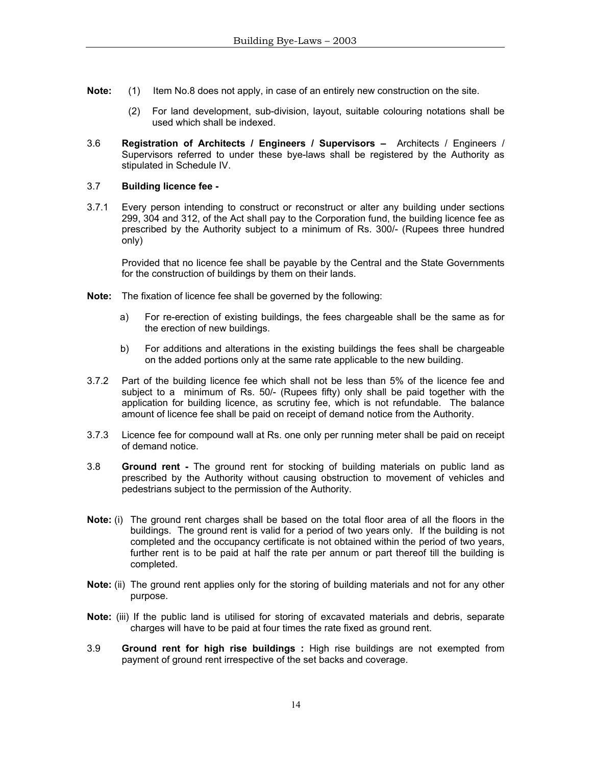- **Note:** (1) Item No.8 does not apply, in case of an entirely new construction on the site.
	- (2) For land development, sub-division, layout, suitable colouring notations shall be used which shall be indexed.
- 3.6 **Registration of Architects / Engineers / Supervisors** Architects / Engineers / Supervisors referred to under these bye-laws shall be registered by the Authority as stipulated in Schedule IV.

## 3.7 **Building licence fee -**

3.7.1 Every person intending to construct or reconstruct or alter any building under sections 299, 304 and 312, of the Act shall pay to the Corporation fund, the building licence fee as prescribed by the Authority subject to a minimum of Rs. 300/- (Rupees three hundred only)

Provided that no licence fee shall be payable by the Central and the State Governments for the construction of buildings by them on their lands.

- **Note:** The fixation of licence fee shall be governed by the following:
	- a) For re-erection of existing buildings, the fees chargeable shall be the same as for the erection of new buildings.
	- b) For additions and alterations in the existing buildings the fees shall be chargeable on the added portions only at the same rate applicable to the new building.
- 3.7.2 Part of the building licence fee which shall not be less than 5% of the licence fee and subject to a minimum of Rs. 50/- (Rupees fifty) only shall be paid together with the application for building licence, as scrutiny fee, which is not refundable. The balance amount of licence fee shall be paid on receipt of demand notice from the Authority.
- 3.7.3 Licence fee for compound wall at Rs. one only per running meter shall be paid on receipt of demand notice.
- 3.8 **Ground rent -** The ground rent for stocking of building materials on public land as prescribed by the Authority without causing obstruction to movement of vehicles and pedestrians subject to the permission of the Authority.
- **Note:** (i) The ground rent charges shall be based on the total floor area of all the floors in the buildings. The ground rent is valid for a period of two years only. If the building is not completed and the occupancy certificate is not obtained within the period of two years, further rent is to be paid at half the rate per annum or part thereof till the building is completed.
- **Note:** (ii) The ground rent applies only for the storing of building materials and not for any other purpose.
- **Note:** (iii) If the public land is utilised for storing of excavated materials and debris, separate charges will have to be paid at four times the rate fixed as ground rent.
- 3.9 **Ground rent for high rise buildings :** High rise buildings are not exempted from payment of ground rent irrespective of the set backs and coverage.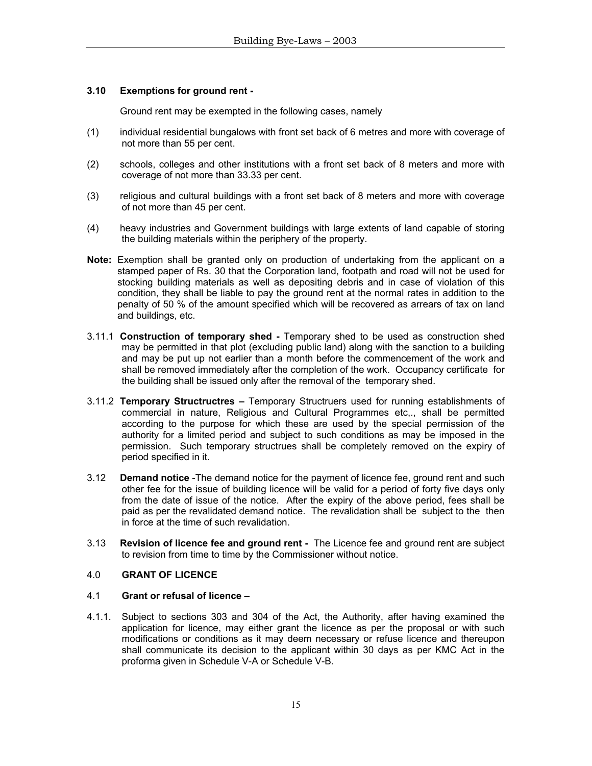## **3.10 Exemptions for ground rent -**

Ground rent may be exempted in the following cases, namely

- (1) individual residential bungalows with front set back of 6 metres and more with coverage of not more than 55 per cent.
- (2) schools, colleges and other institutions with a front set back of 8 meters and more with coverage of not more than 33.33 per cent.
- (3) religious and cultural buildings with a front set back of 8 meters and more with coverage of not more than 45 per cent.
- (4) heavy industries and Government buildings with large extents of land capable of storing the building materials within the periphery of the property.
- **Note:** Exemption shall be granted only on production of undertaking from the applicant on a stamped paper of Rs. 30 that the Corporation land, footpath and road will not be used for stocking building materials as well as depositing debris and in case of violation of this condition, they shall be liable to pay the ground rent at the normal rates in addition to the penalty of 50 % of the amount specified which will be recovered as arrears of tax on land and buildings, etc.
- 3.11.1 **Construction of temporary shed -** Temporary shed to be used as construction shed may be permitted in that plot (excluding public land) along with the sanction to a building and may be put up not earlier than a month before the commencement of the work and shall be removed immediately after the completion of the work. Occupancy certificate for the building shall be issued only after the removal of the temporary shed.
- 3.11.2 **Temporary Structructres –** Temporary Structruers used for running establishments of commercial in nature, Religious and Cultural Programmes etc,., shall be permitted according to the purpose for which these are used by the special permission of the authority for a limited period and subject to such conditions as may be imposed in the permission. Such temporary structrues shall be completely removed on the expiry of period specified in it.
- 3.12 **Demand notice** -The demand notice for the payment of licence fee, ground rent and such other fee for the issue of building licence will be valid for a period of forty five days only from the date of issue of the notice. After the expiry of the above period, fees shall be paid as per the revalidated demand notice. The revalidation shall be subject to the then in force at the time of such revalidation.
- 3.13 **Revision of licence fee and ground rent -** The Licence fee and ground rent are subject to revision from time to time by the Commissioner without notice.

## 4.0 **GRANT OF LICENCE**

#### 4.1 **Grant or refusal of licence –**

4.1.1. Subject to sections 303 and 304 of the Act, the Authority, after having examined the application for licence, may either grant the licence as per the proposal or with such modifications or conditions as it may deem necessary or refuse licence and thereupon shall communicate its decision to the applicant within 30 days as per KMC Act in the proforma given in Schedule V-A or Schedule V-B.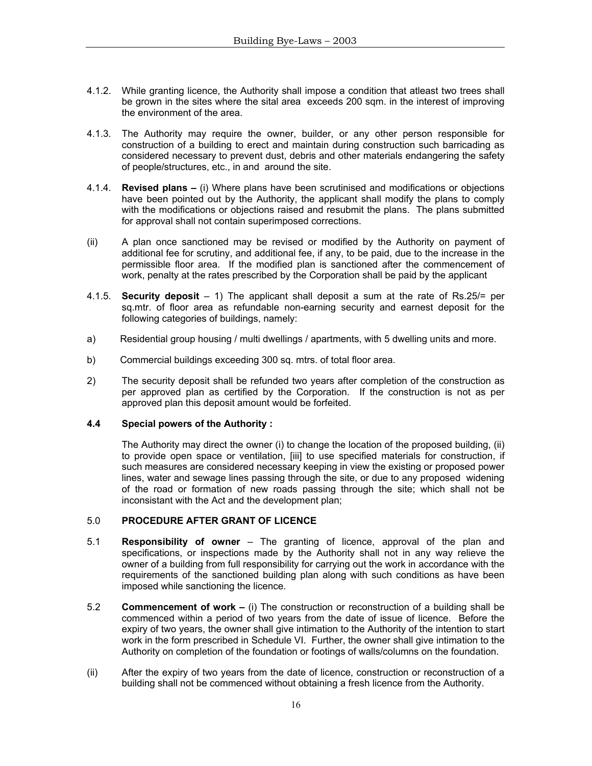- 4.1.2. While granting licence, the Authority shall impose a condition that atleast two trees shall be grown in the sites where the sital area exceeds 200 sqm. in the interest of improving the environment of the area.
- 4.1.3. The Authority may require the owner, builder, or any other person responsible for construction of a building to erect and maintain during construction such barricading as considered necessary to prevent dust, debris and other materials endangering the safety of people/structures, etc., in and around the site.
- 4.1.4. **Revised plans –** (i) Where plans have been scrutinised and modifications or objections have been pointed out by the Authority, the applicant shall modify the plans to comply with the modifications or objections raised and resubmit the plans. The plans submitted for approval shall not contain superimposed corrections.
- (ii) A plan once sanctioned may be revised or modified by the Authority on payment of additional fee for scrutiny, and additional fee, if any, to be paid, due to the increase in the permissible floor area. If the modified plan is sanctioned after the commencement of work, penalty at the rates prescribed by the Corporation shall be paid by the applicant
- 4.1.5. **Security deposit**  1) The applicant shall deposit a sum at the rate of Rs.25/= per sq.mtr. of floor area as refundable non-earning security and earnest deposit for the following categories of buildings, namely:
- a) Residential group housing / multi dwellings / apartments, with 5 dwelling units and more.
- b) Commercial buildings exceeding 300 sq. mtrs. of total floor area.
- 2) The security deposit shall be refunded two years after completion of the construction as per approved plan as certified by the Corporation. If the construction is not as per approved plan this deposit amount would be forfeited.

#### **4.4 Special powers of the Authority :**

The Authority may direct the owner (i) to change the location of the proposed building, (ii) to provide open space or ventilation, [iii] to use specified materials for construction, if such measures are considered necessary keeping in view the existing or proposed power lines, water and sewage lines passing through the site, or due to any proposed widening of the road or formation of new roads passing through the site; which shall not be inconsistant with the Act and the development plan;

## 5.0 **PROCEDURE AFTER GRANT OF LICENCE**

- 5.1 **Responsibility of owner** The granting of licence, approval of the plan and specifications, or inspections made by the Authority shall not in any way relieve the owner of a building from full responsibility for carrying out the work in accordance with the requirements of the sanctioned building plan along with such conditions as have been imposed while sanctioning the licence.
- 5.2 **Commencement of work** (i) The construction or reconstruction of a building shall be commenced within a period of two years from the date of issue of licence. Before the expiry of two years, the owner shall give intimation to the Authority of the intention to start work in the form prescribed in Schedule VI. Further, the owner shall give intimation to the Authority on completion of the foundation or footings of walls/columns on the foundation.
- (ii) After the expiry of two years from the date of licence, construction or reconstruction of a building shall not be commenced without obtaining a fresh licence from the Authority.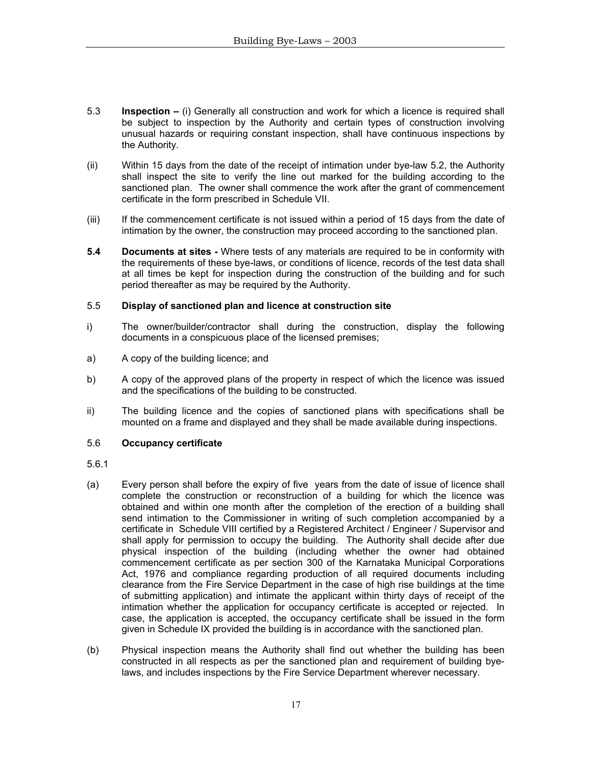- 5.3 **Inspection** (i) Generally all construction and work for which a licence is required shall be subject to inspection by the Authority and certain types of construction involving unusual hazards or requiring constant inspection, shall have continuous inspections by the Authority.
- (ii) Within 15 days from the date of the receipt of intimation under bye-law 5.2, the Authority shall inspect the site to verify the line out marked for the building according to the sanctioned plan. The owner shall commence the work after the grant of commencement certificate in the form prescribed in Schedule VII.
- (iii) If the commencement certificate is not issued within a period of 15 days from the date of intimation by the owner, the construction may proceed according to the sanctioned plan.
- **5.4 Documents at sites** Where tests of any materials are required to be in conformity with the requirements of these bye-laws, or conditions of licence, records of the test data shall at all times be kept for inspection during the construction of the building and for such period thereafter as may be required by the Authority.

## 5.5 **Display of sanctioned plan and licence at construction site**

- i)The owner/builder/contractor shall during the construction, display the following documents in a conspicuous place of the licensed premises;
- a) A copy of the building licence; and
- b) A copy of the approved plans of the property in respect of which the licence was issued and the specifications of the building to be constructed.
- ii) The building licence and the copies of sanctioned plans with specifications shall be mounted on a frame and displayed and they shall be made available during inspections.

## 5.6 **Occupancy certificate**

- 5.6.1
- (a) Every person shall before the expiry of five years from the date of issue of licence shall complete the construction or reconstruction of a building for which the licence was obtained and within one month after the completion of the erection of a building shall send intimation to the Commissioner in writing of such completion accompanied by a certificate in Schedule VIII certified by a Registered Architect / Engineer / Supervisor and shall apply for permission to occupy the building. The Authority shall decide after due physical inspection of the building (including whether the owner had obtained commencement certificate as per section 300 of the Karnataka Municipal Corporations Act, 1976 and compliance regarding production of all required documents including clearance from the Fire Service Department in the case of high rise buildings at the time of submitting application) and intimate the applicant within thirty days of receipt of the intimation whether the application for occupancy certificate is accepted or rejected. In case, the application is accepted, the occupancy certificate shall be issued in the form given in Schedule IX provided the building is in accordance with the sanctioned plan.
- (b) Physical inspection means the Authority shall find out whether the building has been constructed in all respects as per the sanctioned plan and requirement of building byelaws, and includes inspections by the Fire Service Department wherever necessary.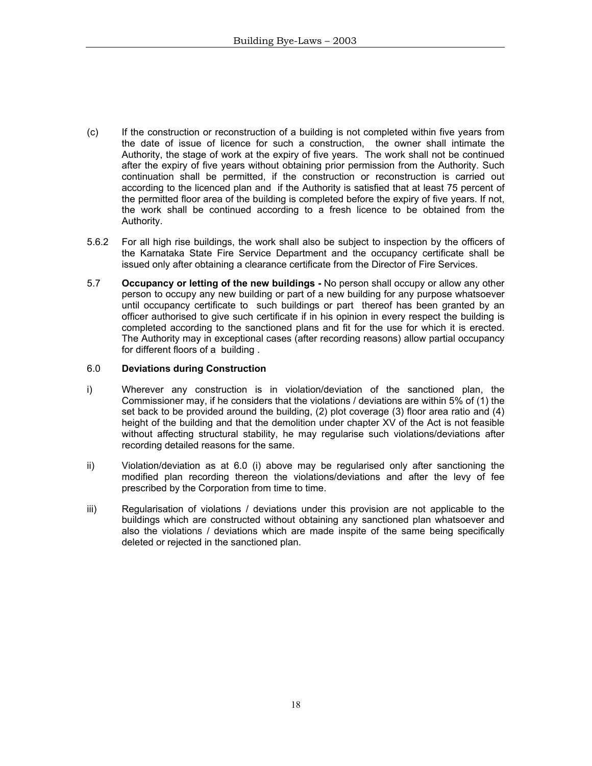- (c) If the construction or reconstruction of a building is not completed within five years from the date of issue of licence for such a construction, the owner shall intimate the Authority, the stage of work at the expiry of five years. The work shall not be continued after the expiry of five years without obtaining prior permission from the Authority. Such continuation shall be permitted, if the construction or reconstruction is carried out according to the licenced plan and if the Authority is satisfied that at least 75 percent of the permitted floor area of the building is completed before the expiry of five years. If not, the work shall be continued according to a fresh licence to be obtained from the Authority.
- 5.6.2 For all high rise buildings, the work shall also be subject to inspection by the officers of the Karnataka State Fire Service Department and the occupancy certificate shall be issued only after obtaining a clearance certificate from the Director of Fire Services.
- 5.7 **Occupancy or letting of the new buildings** No person shall occupy or allow any other person to occupy any new building or part of a new building for any purpose whatsoever until occupancy certificate to such buildings or part thereof has been granted by an officer authorised to give such certificate if in his opinion in every respect the building is completed according to the sanctioned plans and fit for the use for which it is erected. The Authority may in exceptional cases (after recording reasons) allow partial occupancy for different floors of a building .

## 6.0 **Deviations during Construction**

- i) Wherever any construction is in violation/deviation of the sanctioned plan, the Commissioner may, if he considers that the violations / deviations are within 5% of (1) the set back to be provided around the building, (2) plot coverage (3) floor area ratio and (4) height of the building and that the demolition under chapter XV of the Act is not feasible without affecting structural stability, he may regularise such violations/deviations after recording detailed reasons for the same.
- ii) Violation/deviation as at 6.0 (i) above may be regularised only after sanctioning the modified plan recording thereon the violations/deviations and after the levy of fee prescribed by the Corporation from time to time.
- iii) Regularisation of violations / deviations under this provision are not applicable to the buildings which are constructed without obtaining any sanctioned plan whatsoever and also the violations / deviations which are made inspite of the same being specifically deleted or rejected in the sanctioned plan.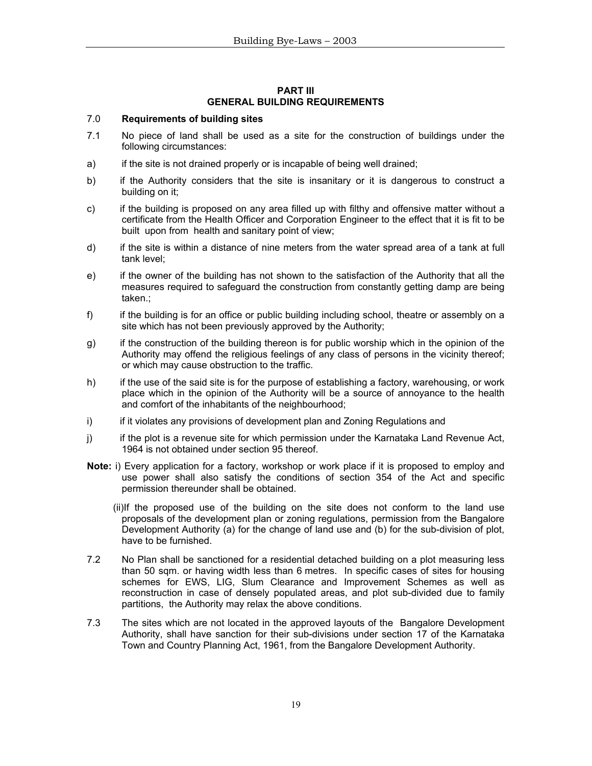#### **PART III GENERAL BUILDING REQUIREMENTS**

## 7.0 **Requirements of building sites**

- 7.1 No piece of land shall be used as a site for the construction of buildings under the following circumstances:
- a) if the site is not drained properly or is incapable of being well drained;
- b) if the Authority considers that the site is insanitary or it is dangerous to construct a building on it;
- c) if the building is proposed on any area filled up with filthy and offensive matter without a certificate from the Health Officer and Corporation Engineer to the effect that it is fit to be built upon from health and sanitary point of view;
- d) if the site is within a distance of nine meters from the water spread area of a tank at full tank level;
- e) if the owner of the building has not shown to the satisfaction of the Authority that all the measures required to safeguard the construction from constantly getting damp are being taken.;
- f) if the building is for an office or public building including school, theatre or assembly on a site which has not been previously approved by the Authority;
- g) if the construction of the building thereon is for public worship which in the opinion of the Authority may offend the religious feelings of any class of persons in the vicinity thereof; or which may cause obstruction to the traffic.
- h) if the use of the said site is for the purpose of establishing a factory, warehousing, or work place which in the opinion of the Authority will be a source of annoyance to the health and comfort of the inhabitants of the neighbourhood;
- i) if it violates any provisions of development plan and Zoning Regulations and
- j) if the plot is a revenue site for which permission under the Karnataka Land Revenue Act, 1964 is not obtained under section 95 thereof.
- **Note:** i) Every application for a factory, workshop or work place if it is proposed to employ and use power shall also satisfy the conditions of section 354 of the Act and specific permission thereunder shall be obtained.
	- (ii)If the proposed use of the building on the site does not conform to the land use proposals of the development plan or zoning regulations, permission from the Bangalore Development Authority (a) for the change of land use and (b) for the sub-division of plot, have to be furnished.
- 7.2 No Plan shall be sanctioned for a residential detached building on a plot measuring less than 50 sqm. or having width less than 6 metres. In specific cases of sites for housing schemes for EWS, LIG, Slum Clearance and Improvement Schemes as well as reconstruction in case of densely populated areas, and plot sub-divided due to family partitions, the Authority may relax the above conditions.
- 7.3 The sites which are not located in the approved layouts of the Bangalore Development Authority, shall have sanction for their sub-divisions under section 17 of the Karnataka Town and Country Planning Act, 1961, from the Bangalore Development Authority.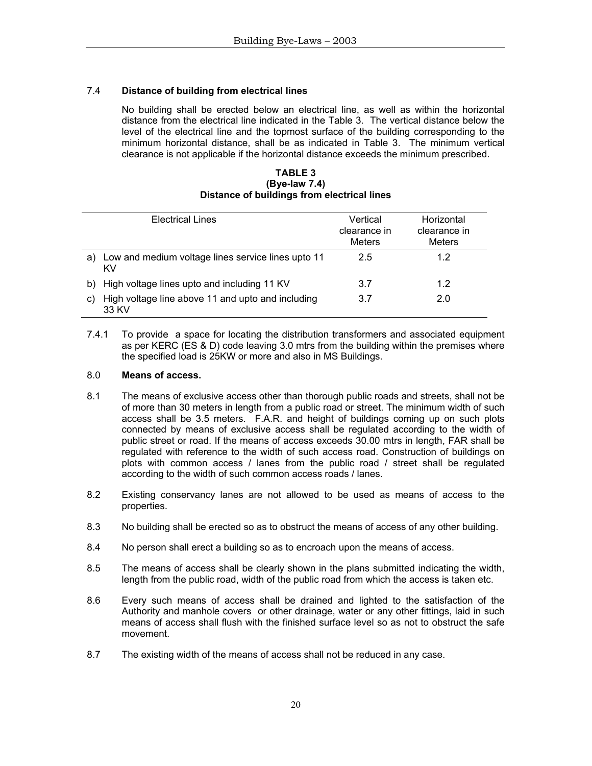# 7.4 **Distance of building from electrical lines**

No building shall be erected below an electrical line, as well as within the horizontal distance from the electrical line indicated in the Table 3. The vertical distance below the level of the electrical line and the topmost surface of the building corresponding to the minimum horizontal distance, shall be as indicated in Table 3. The minimum vertical clearance is not applicable if the horizontal distance exceeds the minimum prescribed.

**TABLE 3 (Bye-law 7.4) Distance of buildings from electrical lines**

|    | <b>Electrical Lines</b>                                    | Vertical<br>clearance in<br><b>Meters</b> | Horizontal<br>clearance in<br><b>Meters</b> |
|----|------------------------------------------------------------|-------------------------------------------|---------------------------------------------|
| a) | Low and medium voltage lines service lines upto 11<br>KV   | 2.5                                       | 1.2                                         |
| b) | High voltage lines upto and including 11 KV                | 3.7                                       | 12                                          |
| C) | High voltage line above 11 and upto and including<br>33 KV | 3.7                                       | 2.0                                         |

7.4.1 To provide a space for locating the distribution transformers and associated equipment as per KERC (ES & D) code leaving 3.0 mtrs from the building within the premises where the specified load is 25KW or more and also in MS Buildings.

## 8.0 **Means of access.**

- 8.1 The means of exclusive access other than thorough public roads and streets, shall not be of more than 30 meters in length from a public road or street. The minimum width of such access shall be 3.5 meters. F.A.R. and height of buildings coming up on such plots connected by means of exclusive access shall be regulated according to the width of public street or road. If the means of access exceeds 30.00 mtrs in length, FAR shall be regulated with reference to the width of such access road. Construction of buildings on plots with common access / lanes from the public road / street shall be regulated according to the width of such common access roads / lanes.
- 8.2 Existing conservancy lanes are not allowed to be used as means of access to the properties.
- 8.3 No building shall be erected so as to obstruct the means of access of any other building.
- 8.4 No person shall erect a building so as to encroach upon the means of access.
- 8.5 The means of access shall be clearly shown in the plans submitted indicating the width, length from the public road, width of the public road from which the access is taken etc.
- 8.6 Every such means of access shall be drained and lighted to the satisfaction of the Authority and manhole covers or other drainage, water or any other fittings, laid in such means of access shall flush with the finished surface level so as not to obstruct the safe movement.
- 8.7 The existing width of the means of access shall not be reduced in any case.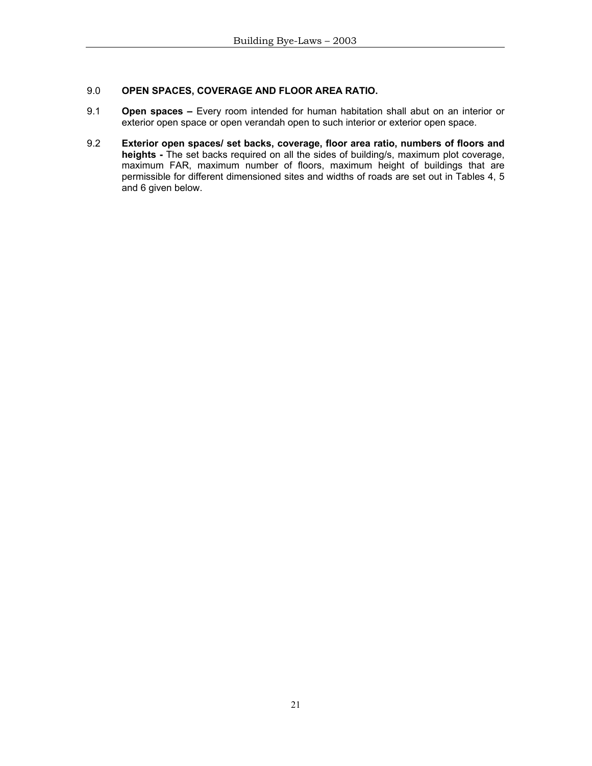# 9.0 **OPEN SPACES, COVERAGE AND FLOOR AREA RATIO.**

- 9.1 **Open spaces** Every room intended for human habitation shall abut on an interior or exterior open space or open verandah open to such interior or exterior open space.
- 9.2 **Exterior open spaces/ set backs, coverage, floor area ratio, numbers of floors and heights -** The set backs required on all the sides of building/s, maximum plot coverage, maximum FAR, maximum number of floors, maximum height of buildings that are permissible for different dimensioned sites and widths of roads are set out in Tables 4, 5 and 6 given below.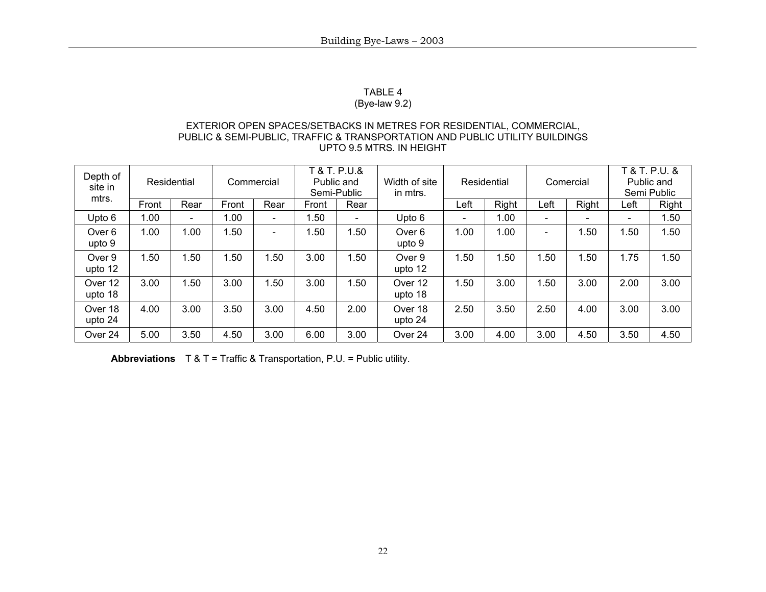## TABLE 4

# (Bye-law 9.2)

## EXTERIOR OPEN SPACES/SETBACKS IN METRES FOR RESIDENTIAL, COMMERCIAL, PUBLIC & SEMI-PUBLIC, TRAFFIC & TRANSPORTATION AND PUBLIC UTILITY BUILDINGS UPTO 9.5 MTRS. IN HEIGHT

| Depth of<br>site in<br>mtrs. |       | Residential              |       | Commercial               | T & T. P.U.&<br>Public and<br>Semi-Public |                          | Width of site<br>in mtrs. |      | Residential |      | Comercial |      | T & T. P.U. &<br>Public and<br>Semi Public |
|------------------------------|-------|--------------------------|-------|--------------------------|-------------------------------------------|--------------------------|---------------------------|------|-------------|------|-----------|------|--------------------------------------------|
|                              | Front | Rear                     | Front | Rear                     | Front                                     | Rear                     |                           | Left | Right       | Left | Right     | Left | Right                                      |
| Upto 6                       | 1.00  | $\overline{\phantom{0}}$ | 1.00  | $\overline{\phantom{0}}$ | .50                                       | $\overline{\phantom{0}}$ | Upto 6                    | -    | 1.00        |      |           | -    | l.50                                       |
| Over 6<br>upto 9             | 1.00  | 1.00                     | .50   | $\overline{\phantom{0}}$ | .50                                       | l.50                     | Over 6<br>upto 9          | 1.00 | 1.00        |      | .50       | .50  | .50                                        |
| Over 9<br>upto 12            | 1.50  | .50                      | l.50  | .50                      | 3.00                                      | 1.50                     | Over 9<br>upto 12         | 1.50 | .50         | .50  | 1.50      | 1.75 | .50                                        |
| Over 12<br>upto 18           | 3.00  | .50                      | 3.00  | .50                      | 3.00                                      | l.50                     | Over 12<br>upto 18        | l.50 | 3.00        | .50  | 3.00      | 2.00 | 3.00                                       |
| Over 18<br>upto 24           | 4.00  | 3.00                     | 3.50  | 3.00                     | 4.50                                      | 2.00                     | Over 18<br>upto 24        | 2.50 | 3.50        | 2.50 | 4.00      | 3.00 | 3.00                                       |
| Over 24                      | 5.00  | 3.50                     | 4.50  | 3.00                     | 6.00                                      | 3.00                     | Over 24                   | 3.00 | 4.00        | 3.00 | 4.50      | 3.50 | 4.50                                       |

**Abbreviations** T & T = Traffic & Transportation, P.U. = Public utility.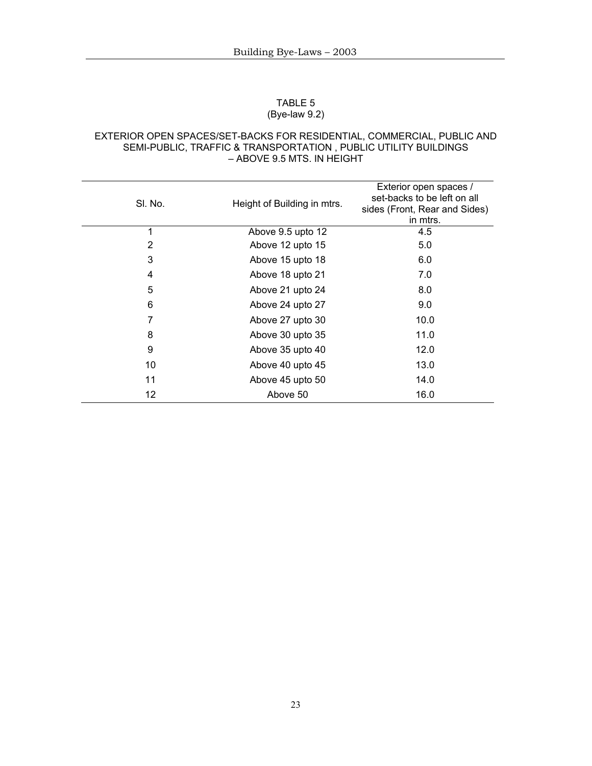#### TABLE 5 (Bye-law 9.2)

#### EXTERIOR OPEN SPACES/SET-BACKS FOR RESIDENTIAL, COMMERCIAL, PUBLIC AND SEMI-PUBLIC, TRAFFIC & TRANSPORTATION , PUBLIC UTILITY BUILDINGS – ABOVE 9.5 MTS. IN HEIGHT

| SI. No. | Height of Building in mtrs. | Exterior open spaces /<br>set-backs to be left on all<br>sides (Front, Rear and Sides)<br>in mtrs. |
|---------|-----------------------------|----------------------------------------------------------------------------------------------------|
| 1       | Above 9.5 upto 12           | 4.5                                                                                                |
| 2       | Above 12 upto 15            | 5.0                                                                                                |
| 3       | Above 15 upto 18            | 6.0                                                                                                |
| 4       | Above 18 upto 21            | 7.0                                                                                                |
| 5       | Above 21 upto 24            | 8.0                                                                                                |
| 6       | Above 24 upto 27            | 9.0                                                                                                |
| 7       | Above 27 upto 30            | 10.0                                                                                               |
| 8       | Above 30 upto 35            | 11.0                                                                                               |
| 9       | Above 35 upto 40            | 12.0                                                                                               |
| 10      | Above 40 upto 45            | 13.0                                                                                               |
| 11      | Above 45 upto 50            | 14.0                                                                                               |
| 12      | Above 50                    | 16.0                                                                                               |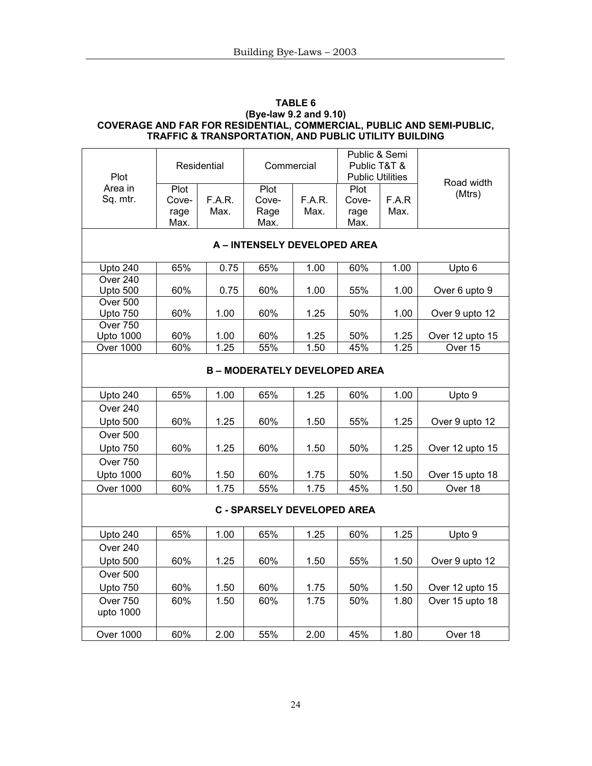## **TABLE 6 (Bye-law 9.2 and 9.10) COVERAGE AND FAR FOR RESIDENTIAL, COMMERCIAL, PUBLIC AND SEMI-PUBLIC, TRAFFIC & TRANSPORTATION, AND PUBLIC UTILITY BUILDING**

| Plot                                | Residential                   |                | Commercial                         |                | Public & Semi<br>Public T&T &<br><b>Public Utilities</b> |               | Road width      |  |  |  |
|-------------------------------------|-------------------------------|----------------|------------------------------------|----------------|----------------------------------------------------------|---------------|-----------------|--|--|--|
| Area in<br>Sq. mtr.                 | Plot<br>Cove-<br>rage<br>Max. | F.A.R.<br>Max. | Plot<br>Cove-<br>Rage<br>Max.      | F.A.R.<br>Max. | Plot<br>Cove-<br>rage<br>Max.                            | F.A.R<br>Max. | (Mtrs)          |  |  |  |
| A - INTENSELY DEVELOPED AREA        |                               |                |                                    |                |                                                          |               |                 |  |  |  |
| Upto 240                            | 65%                           | 0.75           | 65%                                | 1.00           | 60%                                                      | 1.00          | Upto 6          |  |  |  |
| Over 240<br>Upto 500                | 60%                           | 0.75           | 60%                                | 1.00           | 55%                                                      | 1.00          | Over 6 upto 9   |  |  |  |
| Over 500<br><b>Upto 750</b>         | 60%                           | 1.00           | 60%                                | 1.25           | 50%                                                      | 1.00          | Over 9 upto 12  |  |  |  |
| <b>Over 750</b><br><b>Upto 1000</b> | 60%                           | 1.00           | 60%                                | 1.25           | 50%                                                      | 1.25          | Over 12 upto 15 |  |  |  |
| <b>Over 1000</b>                    | 60%                           | 1.25           | 55%                                | 1.50           | 45%                                                      | 1.25          | Over 15         |  |  |  |
|                                     |                               |                | <b>B-MODERATELY DEVELOPED AREA</b> |                |                                                          |               |                 |  |  |  |
| Upto 240                            | 65%                           | 1.00           | 65%                                | 1.25           | 60%                                                      | 1.00          | Upto 9          |  |  |  |
| Over 240                            |                               |                |                                    |                |                                                          |               |                 |  |  |  |
| Upto 500                            | 60%                           | 1.25           | 60%                                | 1.50           | 55%                                                      | 1.25          | Over 9 upto 12  |  |  |  |
| Over 500                            |                               |                |                                    |                |                                                          |               |                 |  |  |  |
| Upto 750                            | 60%                           | 1.25           | 60%                                | 1.50           | 50%                                                      | 1.25          | Over 12 upto 15 |  |  |  |
| <b>Over 750</b>                     |                               |                |                                    |                |                                                          |               |                 |  |  |  |
| <b>Upto 1000</b>                    | 60%                           | 1.50           | 60%                                | 1.75           | 50%                                                      | 1.50          | Over 15 upto 18 |  |  |  |
| <b>Over 1000</b>                    | 60%                           | 1.75           | 55%                                | 1.75           | 45%                                                      | 1.50          | Over 18         |  |  |  |
| <b>C - SPARSELY DEVELOPED AREA</b>  |                               |                |                                    |                |                                                          |               |                 |  |  |  |

| Upto 240              | 65% | 1.00 | 65% | 1.25 | 60% | 1.25 | Upto 9          |
|-----------------------|-----|------|-----|------|-----|------|-----------------|
| <b>Over 240</b>       |     |      |     |      |     |      |                 |
| Upto $500$            | 60% | 1.25 | 60% | 1.50 | 55% | 1.50 | Over 9 upto 12  |
| <b>Over 500</b>       |     |      |     |      |     |      |                 |
| Upto 750              | 60% | 1.50 | 60% | 1.75 | 50% | 1.50 | Over 12 upto 15 |
| Over 750<br>upto 1000 | 60% | 1.50 | 60% | 1.75 | 50% | 1.80 | Over 15 upto 18 |
| <b>Over 1000</b>      | 60% | 2.00 | 55% | 2.00 | 45% | 1.80 | Over 18         |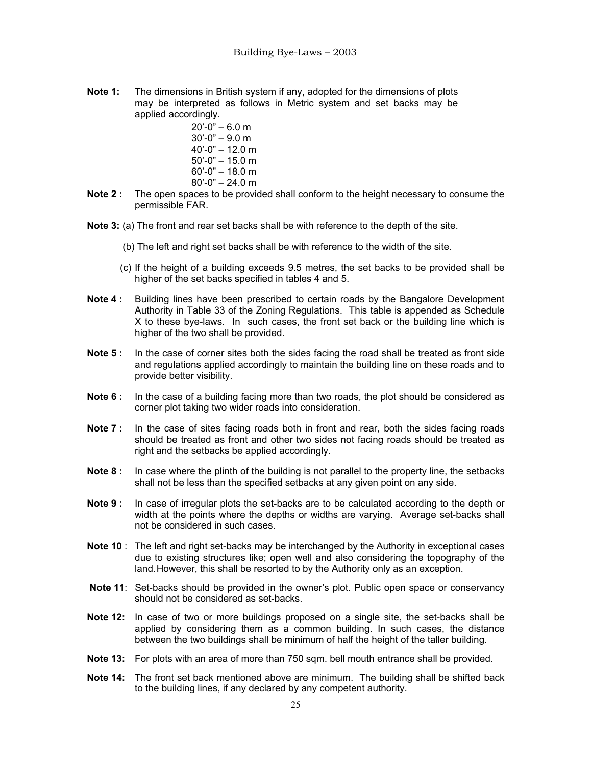**Note 1:** The dimensions in British system if any, adopted for the dimensions of plots may be interpreted as follows in Metric system and set backs may be applied accordingly.

 20'-0" – 6.0 m 30'-0" – 9.0 m 40'-0" – 12.0 m 50'-0" – 15.0 m 60'-0" – 18.0 m 80'-0" – 24.0 m

- **Note 2 :** The open spaces to be provided shall conform to the height necessary to consume the permissible FAR.
- **Note 3:** (a) The front and rear set backs shall be with reference to the depth of the site.
	- (b) The left and right set backs shall be with reference to the width of the site.
	- (c) If the height of a building exceeds 9.5 metres, the set backs to be provided shall be higher of the set backs specified in tables 4 and 5.
- **Note 4 :** Building lines have been prescribed to certain roads by the Bangalore Development Authority in Table 33 of the Zoning Regulations. This table is appended as Schedule X to these bye-laws. In such cases, the front set back or the building line which is higher of the two shall be provided.
- **Note 5:** In the case of corner sites both the sides facing the road shall be treated as front side and regulations applied accordingly to maintain the building line on these roads and to provide better visibility.
- **Note 6 :** In the case of a building facing more than two roads, the plot should be considered as corner plot taking two wider roads into consideration.
- **Note 7**: In the case of sites facing roads both in front and rear, both the sides facing roads should be treated as front and other two sides not facing roads should be treated as right and the setbacks be applied accordingly.
- **Note 8 :** In case where the plinth of the building is not parallel to the property line, the setbacks shall not be less than the specified setbacks at any given point on any side.
- **Note 9 :** In case of irregular plots the set-backs are to be calculated according to the depth or width at the points where the depths or widths are varying. Average set-backs shall not be considered in such cases.
- **Note 10** : The left and right set-backs may be interchanged by the Authority in exceptional cases due to existing structures like; open well and also considering the topography of the land. However, this shall be resorted to by the Authority only as an exception.
- **Note 11:** Set-backs should be provided in the owner's plot. Public open space or conservancy should not be considered as set-backs.
- **Note 12:** In case of two or more buildings proposed on a single site, the set-backs shall be applied by considering them as a common building. In such cases, the distance between the two buildings shall be minimum of half the height of the taller building.
- **Note 13:** For plots with an area of more than 750 sqm. bell mouth entrance shall be provided.
- **Note 14:** The front set back mentioned above are minimum. The building shall be shifted back to the building lines, if any declared by any competent authority.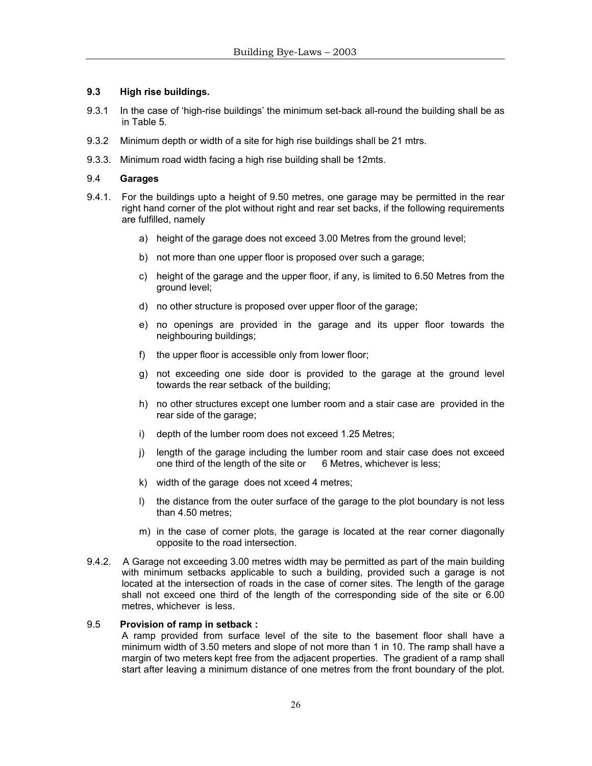## **9.3 High rise buildings.**

- 9.3.1 In the case of 'high-rise buildings' the minimum set-back all-round the building shall be as in Table 5.
- 9.3.2 Minimum depth or width of a site for high rise buildings shall be 21 mtrs.
- 9.3.3. Minimum road width facing a high rise building shall be 12mts.

## 9.4 **Garages**

- 9.4.1. For the buildings upto a height of 9.50 metres, one garage may be permitted in the rear right hand corner of the plot without right and rear set backs, if the following requirements are fulfilled, namely
	- a) height of the garage does not exceed 3.00 Metres from the ground level;
	- b) not more than one upper floor is proposed over such a garage;
	- c) height of the garage and the upper floor, if any, is limited to 6.50 Metres from the ground level;
	- d) no other structure is proposed over upper floor of the garage;
	- e) no openings are provided in the garage and its upper floor towards the neighbouring buildings;
	- f) the upper floor is accessible only from lower floor;
	- g) not exceeding one side door is provided to the garage at the ground level towards the rear setback of the building;
	- h) no other structures except one lumber room and a stair case are provided in the rear side of the garage;
	- i) depth of the lumber room does not exceed 1.25 Metres;
	- j) length of the garage including the lumber room and stair case does not exceed one third of the length of the site or 6 Metres, whichever is less;
	- k) width of the garage does not xceed 4 metres;
	- l) the distance from the outer surface of the garage to the plot boundary is not less than 4.50 metres;
	- m) in the case of corner plots, the garage is located at the rear corner diagonally opposite to the road intersection.
- 9.4.2. A Garage not exceeding 3.00 metres width may be permitted as part of the main building with minimum setbacks applicable to such a building, provided such a garage is not located at the intersection of roads in the case of corner sites. The length of the garage shall not exceed one third of the length of the corresponding side of the site or 6.00 metres, whichever is less.

#### 9.5 **Provision of ramp in setback :**

A ramp provided from surface level of the site to the basement floor shall have a minimum width of 3.50 meters and slope of not more than 1 in 10. The ramp shall have a margin of two meters kept free from the adjacent properties. The gradient of a ramp shall start after leaving a minimum distance of one metres from the front boundary of the plot.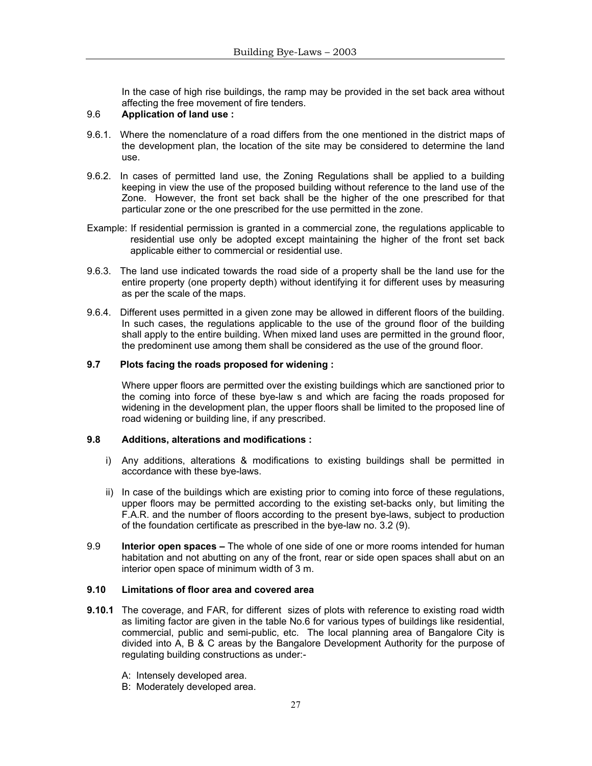In the case of high rise buildings, the ramp may be provided in the set back area without affecting the free movement of fire tenders.

- 9.6 **Application of land use :**
- 9.6.1. Where the nomenclature of a road differs from the one mentioned in the district maps of the development plan, the location of the site may be considered to determine the land use.
- 9.6.2. In cases of permitted land use, the Zoning Regulations shall be applied to a building keeping in view the use of the proposed building without reference to the land use of the Zone. However, the front set back shall be the higher of the one prescribed for that particular zone or the one prescribed for the use permitted in the zone.
- Example: If residential permission is granted in a commercial zone, the regulations applicable to residential use only be adopted except maintaining the higher of the front set back applicable either to commercial or residential use.
- 9.6.3. The land use indicated towards the road side of a property shall be the land use for the entire property (one property depth) without identifying it for different uses by measuring as per the scale of the maps.
- 9.6.4. Different uses permitted in a given zone may be allowed in different floors of the building. In such cases, the regulations applicable to the use of the ground floor of the building shall apply to the entire building. When mixed land uses are permitted in the ground floor, the predominent use among them shall be considered as the use of the ground floor.

## **9.7 Plots facing the roads proposed for widening :**

Where upper floors are permitted over the existing buildings which are sanctioned prior to the coming into force of these bye-law s and which are facing the roads proposed for widening in the development plan, the upper floors shall be limited to the proposed line of road widening or building line, if any prescribed.

#### **9.8 Additions, alterations and modifications :**

- i) Any additions, alterations & modifications to existing buildings shall be permitted in accordance with these bye-laws.
- ii) In case of the buildings which are existing prior to coming into force of these regulations, upper floors may be permitted according to the existing set-backs only, but limiting the F.A.R. and the number of floors according to the present bye-laws, subject to production of the foundation certificate as prescribed in the bye-law no. 3.2 (9).
- 9.9 **Interior open spaces** The whole of one side of one or more rooms intended for human habitation and not abutting on any of the front, rear or side open spaces shall abut on an interior open space of minimum width of 3 m.

#### **9.10 Limitations of floor area and covered area**

- **9.10.1** The coverage, and FAR, for different sizes of plots with reference to existing road width as limiting factor are given in the table No.6 for various types of buildings like residential, commercial, public and semi-public, etc. The local planning area of Bangalore City is divided into A, B & C areas by the Bangalore Development Authority for the purpose of regulating building constructions as under:-
	- A: Intensely developed area.
	- B: Moderately developed area.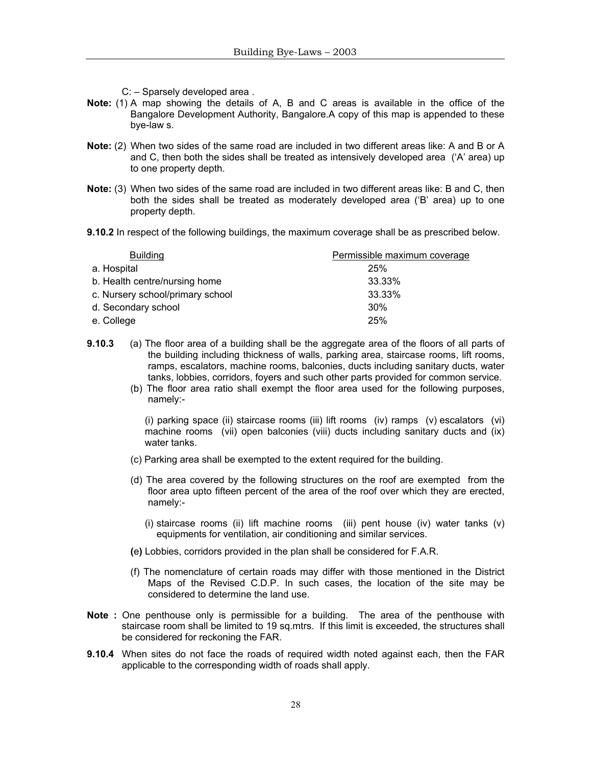- C: Sparsely developed area .
- **Note:** (1) A map showing the details of A, B and C areas is available in the office of the Bangalore Development Authority, Bangalore.A copy of this map is appended to these bye-law s.
- **Note:** (2) When two sides of the same road are included in two different areas like: A and B or A and C, then both the sides shall be treated as intensively developed area ('A' area) up to one property depth.
- **Note:** (3) When two sides of the same road are included in two different areas like: B and C, then both the sides shall be treated as moderately developed area ('B' area) up to one property depth.
- **9.10.2** In respect of the following buildings, the maximum coverage shall be as prescribed below.

| <b>Building</b>                  | Permissible maximum coverage |
|----------------------------------|------------------------------|
| a. Hospital                      | 25%                          |
| b. Health centre/nursing home    | 33.33%                       |
| c. Nursery school/primary school | 33.33%                       |
| d. Secondary school              | 30%                          |
| e. College                       | 25%                          |

- **9.10.3** (a) The floor area of a building shall be the aggregate area of the floors of all parts of the building including thickness of walls, parking area, staircase rooms, lift rooms, ramps, escalators, machine rooms, balconies, ducts including sanitary ducts, water tanks, lobbies, corridors, foyers and such other parts provided for common service.
	- (b) The floor area ratio shall exempt the floor area used for the following purposes, namely:-

(i) parking space (ii) staircase rooms (iii) lift rooms (iv) ramps (v) escalators (vi) machine rooms (vii) open balconies (viii) ducts including sanitary ducts and (ix) water tanks.

- (c) Parking area shall be exempted to the extent required for the building.
- (d) The area covered by the following structures on the roof are exempted from the floor area upto fifteen percent of the area of the roof over which they are erected, namely:-
	- (i) staircase rooms (ii) lift machine rooms (iii) pent house (iv) water tanks (v) equipments for ventilation, air conditioning and similar services.
- **(**e**)** Lobbies, corridors provided in the plan shall be considered for F.A.R.
- (f) The nomenclature of certain roads may differ with those mentioned in the District Maps of the Revised C.D.P. In such cases, the location of the site may be considered to determine the land use.
- **Note :** One penthouse only is permissible for a building. The area of the penthouse with staircase room shall be limited to 19 sq.mtrs. If this limit is exceeded, the structures shall be considered for reckoning the FAR.
- **9.10.4** When sites do not face the roads of required width noted against each, then the FAR applicable to the corresponding width of roads shall apply.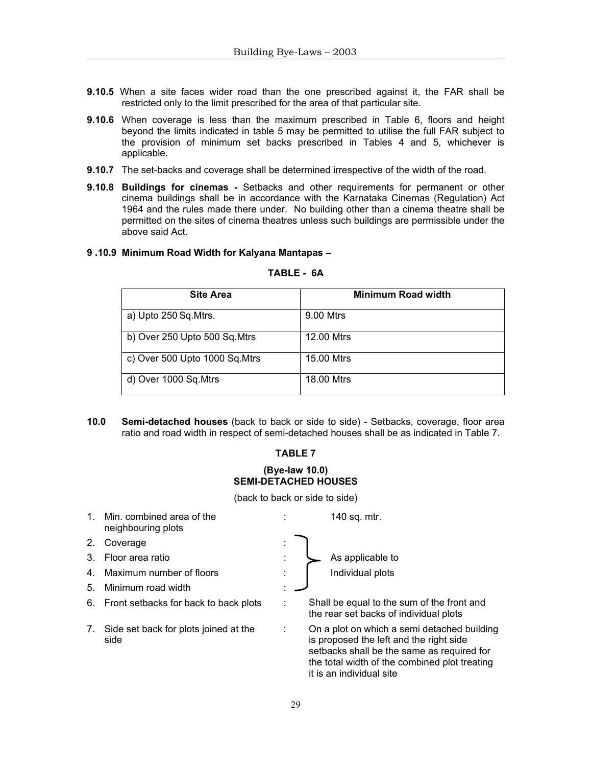- **9.10.5** When a site faces wider road than the one prescribed against it, the FAR shall be restricted only to the limit prescribed for the area of that particular site.
- **9.10.6** When coverage is less than the maximum prescribed in Table 6, floors and height beyond the limits indicated in table 5 may be permitted to utilise the full FAR subject to the provision of minimum set backs prescribed in Tables 4 and 5, whichever is applicable.
- **9.10.7** The set-backs and coverage shall be determined irrespective of the width of the road.
- **9.10.8 Buildings for cinemas** Setbacks and other requirements for permanent or other cinema buildings shall be in accordance with the Karnataka Cinemas (Regulation) Act 1964 and the rules made there under. No building other than a cinema theatre shall be permitted on the sites of cinema theatres unless such buildings are permissible under the above said Act.

#### **9 .10.9 Minimum Road Width for Kalyana Mantapas –**

## **TABLE - 6A**

| <b>Site Area</b>               | <b>Minimum Road width</b> |
|--------------------------------|---------------------------|
| a) Upto 250 Sq. Mtrs.          | 9.00 Mtrs                 |
| b) Over 250 Upto 500 Sq.Mtrs   | 12.00 Mtrs                |
| c) Over 500 Upto 1000 Sq. Mtrs | 15.00 Mtrs                |
| d) Over 1000 Sq.Mtrs           | 18.00 Mtrs                |

**10.0 Semi-detached houses** (back to back or side to side) - Setbacks, coverage, floor area ratio and road width in respect of semi-detached houses shall be as indicated in Table 7.

#### **TABLE 7**

#### **(Bye-law 10.0) SEMI-DETACHED HOUSES**

(back to back or side to side)

| $1_{-}$ | Min. combined area of the<br>neighbouring plots | 140 sq. mtr.                                                                                                                                                                                                      |
|---------|-------------------------------------------------|-------------------------------------------------------------------------------------------------------------------------------------------------------------------------------------------------------------------|
| 2.      | Coverage                                        |                                                                                                                                                                                                                   |
| 3.      | Floor area ratio                                | As applicable to                                                                                                                                                                                                  |
| 4.      | Maximum number of floors                        | Individual plots                                                                                                                                                                                                  |
| 5.      | Minimum road width                              |                                                                                                                                                                                                                   |
|         | 6. Front setbacks for back to back plots        | Shall be equal to the sum of the front and<br>the rear set backs of individual plots                                                                                                                              |
| 7.      | Side set back for plots joined at the<br>side   | On a plot on which a semi detached building<br>is proposed the left and the right side<br>setbacks shall be the same as required for<br>the total width of the combined plot treating<br>it is an individual site |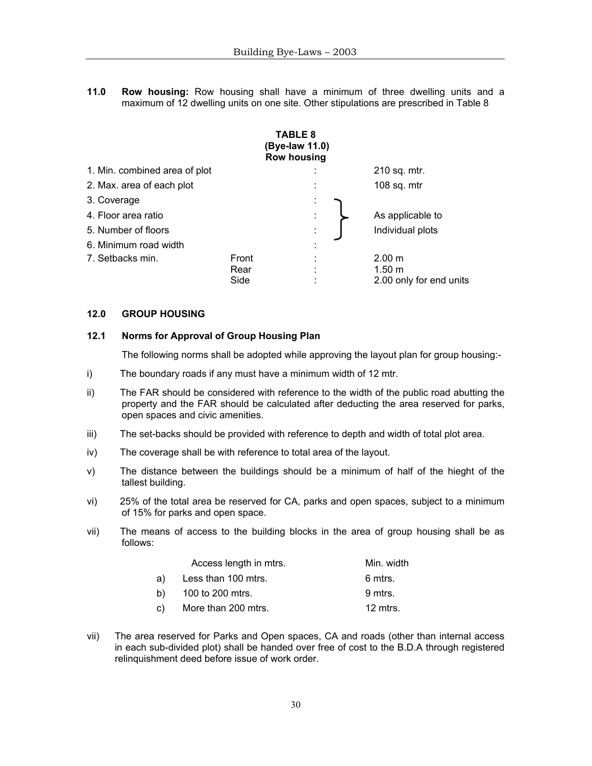**11.0 Row housing:** Row housing shall have a minimum of three dwelling units and a maximum of 12 dwelling units on one site. Other stipulations are prescribed in Table 8

|                               |       | <b>TABLE 8</b><br>(Bye-law 11.0)<br><b>Row housing</b> |                         |
|-------------------------------|-------|--------------------------------------------------------|-------------------------|
| 1. Min. combined area of plot |       |                                                        | 210 sq. mtr.            |
| 2. Max. area of each plot     |       | ٠<br>÷.                                                | 108 sq. $mtr$           |
| 3. Coverage                   |       | ÷                                                      |                         |
| 4. Floor area ratio           |       | ÷                                                      | As applicable to        |
| 5. Number of floors           |       | $\bullet$<br>٠                                         | Individual plots        |
| 6. Minimum road width         |       | ٠<br>٠                                                 |                         |
| 7. Setbacks min.              | Front |                                                        | 2.00 m                  |
|                               | Rear  |                                                        | 1.50 m                  |
|                               | Side  |                                                        | 2.00 only for end units |

#### **12.0 GROUP HOUSING**

## **12.1 Norms for Approval of Group Housing Plan**

The following norms shall be adopted while approving the layout plan for group housing:-

- i) The boundary roads if any must have a minimum width of 12 mtr.
- ii) The FAR should be considered with reference to the width of the public road abutting the property and the FAR should be calculated after deducting the area reserved for parks, open spaces and civic amenities.
- iii) The set-backs should be provided with reference to depth and width of total plot area.
- iv) The coverage shall be with reference to total area of the layout.
- v) The distance between the buildings should be a minimum of half of the hieght of the tallest building.
- vi) 25% of the total area be reserved for CA, parks and open spaces, subject to a minimum of 15% for parks and open space.
- vii) The means of access to the building blocks in the area of group housing shall be as follows:

|    | Access length in mtrs. | Min. width |
|----|------------------------|------------|
| a) | Less than 100 mtrs.    | 6 mtrs.    |
| b) | 100 to 200 mtrs.       | 9 mtrs.    |
| C) | More than 200 mtrs.    | 12 mtrs.   |

vii) The area reserved for Parks and Open spaces, CA and roads (other than internal access in each sub-divided plot) shall be handed over free of cost to the B.D.A through registered relinquishment deed before issue of work order.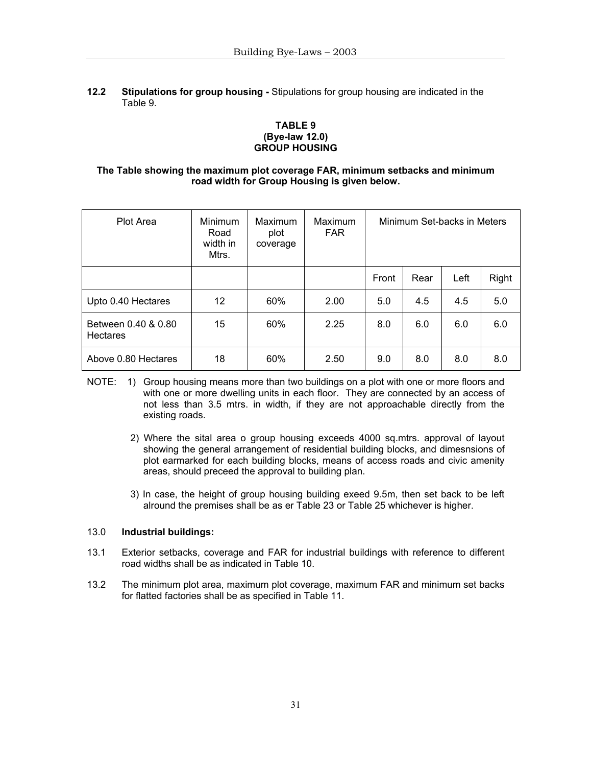## **12.2 Stipulations for group housing -** Stipulations for group housing are indicated in the Table 9.

## **TABLE 9 (Bye-law 12.0) GROUP HOUSING**

## **The Table showing the maximum plot coverage FAR, minimum setbacks and minimum road width for Group Housing is given below.**

| Plot Area                       | Minimum<br>Road<br>width in<br>Mtrs. | Maximum<br>plot<br>coverage | Maximum<br><b>FAR</b> | Minimum Set-backs in Meters |      |      |       |
|---------------------------------|--------------------------------------|-----------------------------|-----------------------|-----------------------------|------|------|-------|
|                                 |                                      |                             |                       | Front                       | Rear | Left | Right |
| Upto 0.40 Hectares              | $12 \overline{ }$                    | 60%                         | 2.00                  | 5.0                         | 4.5  | 4.5  | 5.0   |
| Between 0.40 & 0.80<br>Hectares | 15                                   | 60%                         | 2.25                  | 8.0                         | 6.0  | 6.0  | 6.0   |
| Above 0.80 Hectares             | 18                                   | 60%                         | 2.50                  | 9.0                         | 8.0  | 8.0  | 8.0   |

- NOTE: 1) Group housing means more than two buildings on a plot with one or more floors and with one or more dwelling units in each floor. They are connected by an access of not less than 3.5 mtrs. in width, if they are not approachable directly from the existing roads.
	- 2) Where the sital area o group housing exceeds 4000 sq.mtrs. approval of layout showing the general arrangement of residential building blocks, and dimesnsions of plot earmarked for each building blocks, means of access roads and civic amenity areas, should preceed the approval to building plan.
	- 3) In case, the height of group housing building exeed 9.5m, then set back to be left alround the premises shall be as er Table 23 or Table 25 whichever is higher.

## 13.0 **Industrial buildings:**

- 13.1 Exterior setbacks, coverage and FAR for industrial buildings with reference to different road widths shall be as indicated in Table 10.
- 13.2 The minimum plot area, maximum plot coverage, maximum FAR and minimum set backs for flatted factories shall be as specified in Table 11.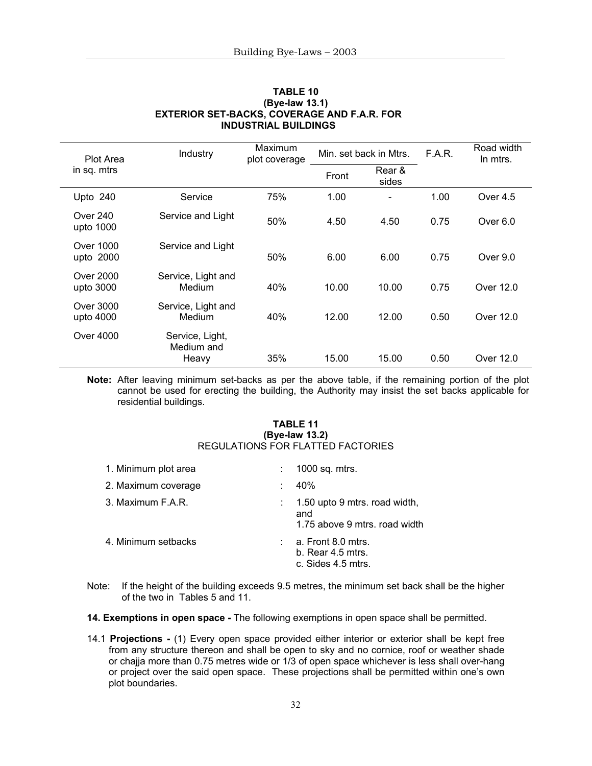| Plot Area                    | Industry                               | Maximum<br>plot coverage |       | Min. set back in Mtrs. | F.A.R. | Road width<br>In mtrs. |
|------------------------------|----------------------------------------|--------------------------|-------|------------------------|--------|------------------------|
| in sq. mtrs                  |                                        |                          | Front | Rear &<br>sides        |        |                        |
| Upto 240                     | Service                                | 75%                      | 1.00  |                        | 1.00   | Over 4.5               |
| <b>Over 240</b><br>upto 1000 | Service and Light                      | 50%                      | 4.50  | 4.50                   | 0.75   | Over 6.0               |
| Over 1000<br>upto 2000       | Service and Light                      | 50%                      | 6.00  | 6.00                   | 0.75   | Over $9.0$             |
| Over 2000<br>upto 3000       | Service, Light and<br>Medium           | 40%                      | 10.00 | 10.00                  | 0.75   | Over 12.0              |
| Over 3000<br>upto 4000       | Service, Light and<br>Medium           | 40%                      | 12.00 | 12.00                  | 0.50   | Over 12.0              |
| Over 4000                    | Service, Light,<br>Medium and<br>Heavy | 35%                      | 15.00 | 15.00                  | 0.50   | Over 12.0              |

#### **TABLE 10 (Bye-law 13.1) EXTERIOR SET-BACKS, COVERAGE AND F.A.R. FOR INDUSTRIAL BUILDINGS**

**Note:** After leaving minimum set-backs as per the above table, if the remaining portion of the plot cannot be used for erecting the building, the Authority may insist the set backs applicable for residential buildings.

#### **TABLE 11 (Bye-law 13.2)**  REGULATIONS FOR FLATTED FACTORIES

| 1. Minimum plot area | 1000 sq. mtrs.                                                        |
|----------------------|-----------------------------------------------------------------------|
| 2. Maximum coverage  | 40%                                                                   |
| 3. Maximum F.A.R.    | 1.50 upto 9 mtrs. road width,<br>and<br>1.75 above 9 mtrs, road width |
| 4. Minimum setbacks  | a. Front 8.0 mtrs.<br>$b.$ Rear 4.5 mtrs.<br>c. Sides 4.5 mtrs.       |

Note: If the height of the building exceeds 9.5 metres, the minimum set back shall be the higher of the two in Tables 5 and 11.

**14. Exemptions in open space -** The following exemptions in open space shall be permitted.

14.1 **Projections -** (1) Every open space provided either interior or exterior shall be kept free from any structure thereon and shall be open to sky and no cornice, roof or weather shade or chajja more than 0.75 metres wide or 1/3 of open space whichever is less shall over-hang or project over the said open space. These projections shall be permitted within one's own plot boundaries.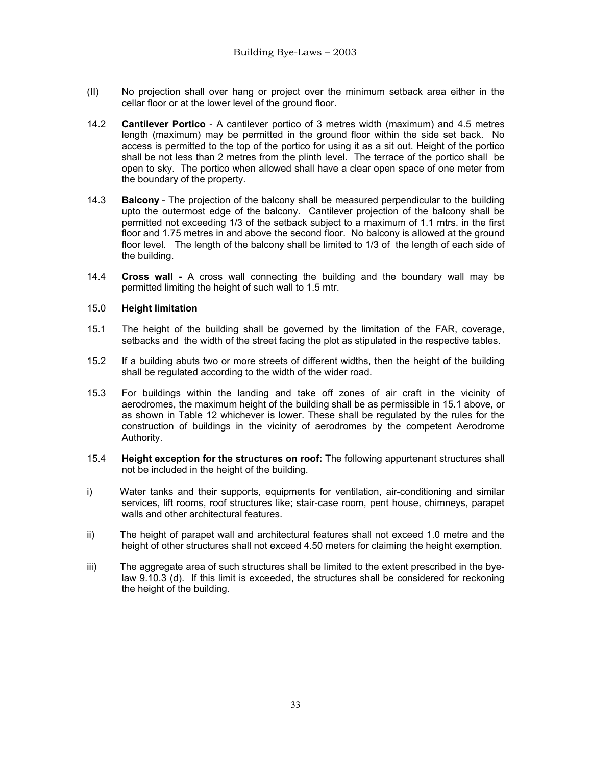- (II) No projection shall over hang or project over the minimum setback area either in the cellar floor or at the lower level of the ground floor.
- 14.2 **Cantilever Portico** A cantilever portico of 3 metres width (maximum) and 4.5 metres length (maximum) may be permitted in the ground floor within the side set back. No access is permitted to the top of the portico for using it as a sit out. Height of the portico shall be not less than 2 metres from the plinth level. The terrace of the portico shall be open to sky. The portico when allowed shall have a clear open space of one meter from the boundary of the property.
- 14.3 **Balcony**  The projection of the balcony shall be measured perpendicular to the building upto the outermost edge of the balcony. Cantilever projection of the balcony shall be permitted not exceeding 1/3 of the setback subject to a maximum of 1.1 mtrs. in the first floor and 1.75 metres in and above the second floor. No balcony is allowed at the ground floor level. The length of the balcony shall be limited to 1/3 of the length of each side of the building.
- 14.4 **Cross wall -** A cross wall connecting the building and the boundary wall may be permitted limiting the height of such wall to 1.5 mtr.

#### 15.0 **Height limitation**

- 15.1 The height of the building shall be governed by the limitation of the FAR, coverage, setbacks and the width of the street facing the plot as stipulated in the respective tables.
- 15.2 If a building abuts two or more streets of different widths, then the height of the building shall be regulated according to the width of the wider road.
- 15.3 For buildings within the landing and take off zones of air craft in the vicinity of aerodromes, the maximum height of the building shall be as permissible in 15.1 above, or as shown in Table 12 whichever is lower. These shall be regulated by the rules for the construction of buildings in the vicinity of aerodromes by the competent Aerodrome Authority.
- 15.4 **Height exception for the structures on roof:** The following appurtenant structures shall not be included in the height of the building.
- i) Water tanks and their supports, equipments for ventilation, air-conditioning and similar services, lift rooms, roof structures like; stair-case room, pent house, chimneys, parapet walls and other architectural features.
- ii) The height of parapet wall and architectural features shall not exceed 1.0 metre and the height of other structures shall not exceed 4.50 meters for claiming the height exemption.
- iii) The aggregate area of such structures shall be limited to the extent prescribed in the byelaw 9.10.3 (d). If this limit is exceeded, the structures shall be considered for reckoning the height of the building.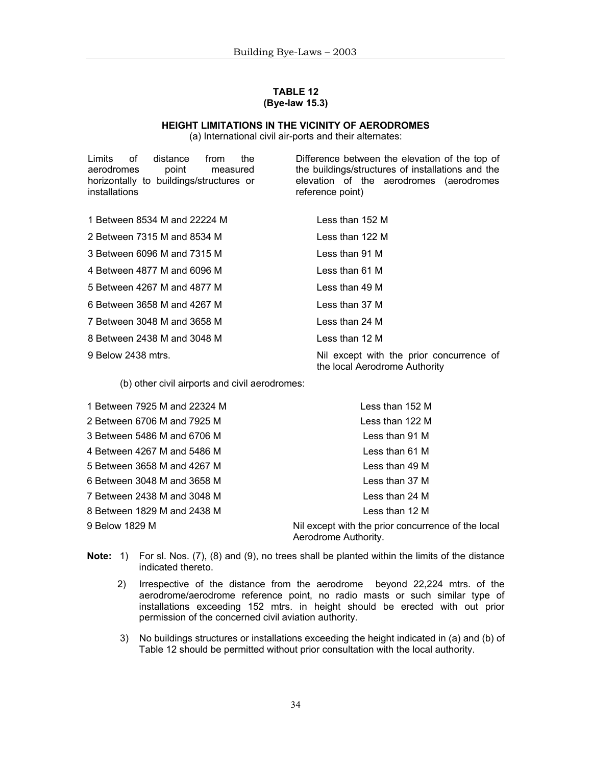## **TABLE 12 (Bye-law 15.3)**

## **HEIGHT LIMITATIONS IN THE VICINITY OF AERODROMES**

(a) International civil air-ports and their alternates:

| Limits<br>of distance<br>the<br>from<br>aerodromes<br>point<br>measured<br>horizontally to buildings/structures or<br>installations | Difference between the elevation of the top of<br>the buildings/structures of installations and the<br>elevation of the aerodromes (aerodromes<br>reference point) |
|-------------------------------------------------------------------------------------------------------------------------------------|--------------------------------------------------------------------------------------------------------------------------------------------------------------------|
| 1 Between 8534 M and 22224 M                                                                                                        | Less than 152 M                                                                                                                                                    |
| 2 Between 7315 M and 8534 M                                                                                                         | Less than 122 M                                                                                                                                                    |
| 3 Between 6096 M and 7315 M                                                                                                         | Less than 91 M                                                                                                                                                     |
| 4 Between 4877 M and 6096 M                                                                                                         | Less than 61 M                                                                                                                                                     |
| 5 Between 4267 M and 4877 M                                                                                                         | Less than 49 M                                                                                                                                                     |
| 6 Between 3658 M and 4267 M                                                                                                         | Less than 37 M                                                                                                                                                     |
| 7 Between 3048 M and 3658 M                                                                                                         | Less than 24 M                                                                                                                                                     |
| 8 Between 2438 M and 3048 M                                                                                                         | Less than 12 M                                                                                                                                                     |
| 9 Below 2438 mtrs.                                                                                                                  | Nil except with the prior concurrence of<br>the local Aerodrome Authority                                                                                          |

(b) other civil airports and civil aerodromes:

| 1 Between 7925 M and 22324 M | Less than 152 M                                                            |
|------------------------------|----------------------------------------------------------------------------|
| 2 Between 6706 M and 7925 M  | Less than 122 M                                                            |
| 3 Between 5486 M and 6706 M  | Less than 91 M                                                             |
| 4 Between 4267 M and 5486 M  | Less than 61 M                                                             |
| 5 Between 3658 M and 4267 M  | Less than 49 M                                                             |
| 6 Between 3048 M and 3658 M  | Less than 37 M                                                             |
| 7 Between 2438 M and 3048 M  | Less than 24 M                                                             |
| 8 Between 1829 M and 2438 M  | Less than 12 M                                                             |
| 9 Below 1829 M               | Nil except with the prior concurrence of the local<br>Aerodrome Authority. |

- **Note:** 1) For sl. Nos. (7), (8) and (9), no trees shall be planted within the limits of the distance indicated thereto.
	- 2) Irrespective of the distance from the aerodrome beyond 22,224 mtrs. of the aerodrome/aerodrome reference point, no radio masts or such similar type of installations exceeding 152 mtrs. in height should be erected with out prior permission of the concerned civil aviation authority.
	- 3) No buildings structures or installations exceeding the height indicated in (a) and (b) of Table 12 should be permitted without prior consultation with the local authority.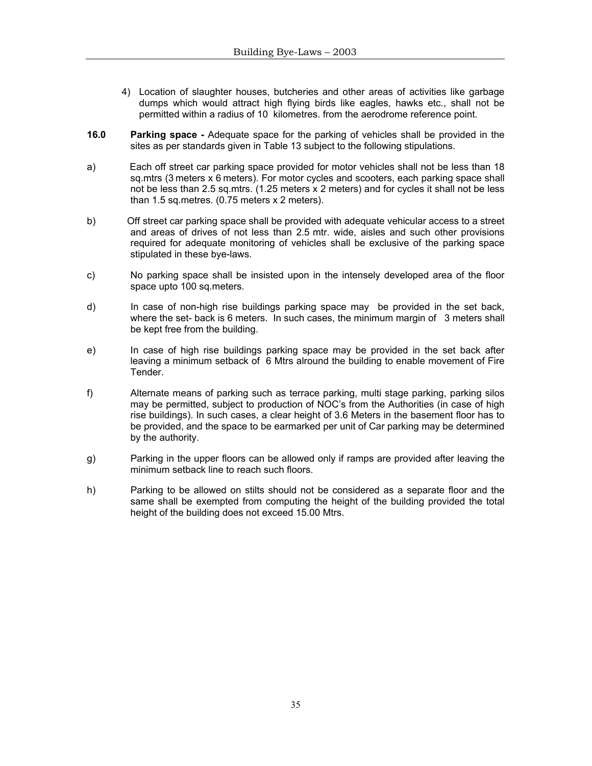- 4) Location of slaughter houses, butcheries and other areas of activities like garbage dumps which would attract high flying birds like eagles, hawks etc., shall not be permitted within a radius of 10 kilometres. from the aerodrome reference point.
- **16.0 Parking space** Adequate space for the parking of vehicles shall be provided in the sites as per standards given in Table 13 subject to the following stipulations.
- a) Each off street car parking space provided for motor vehicles shall not be less than 18 sq.mtrs (3 meters x 6 meters). For motor cycles and scooters, each parking space shall not be less than 2.5 sq.mtrs. (1.25 meters x 2 meters) and for cycles it shall not be less than 1.5 sq.metres. (0.75 meters x 2 meters).
- b) Off street car parking space shall be provided with adequate vehicular access to a street and areas of drives of not less than 2.5 mtr. wide, aisles and such other provisions required for adequate monitoring of vehicles shall be exclusive of the parking space stipulated in these bye-laws.
- c) No parking space shall be insisted upon in the intensely developed area of the floor space upto 100 sq.meters.
- d) In case of non-high rise buildings parking space may be provided in the set back, where the set- back is 6 meters. In such cases, the minimum margin of 3 meters shall be kept free from the building.
- e) In case of high rise buildings parking space may be provided in the set back after leaving a minimum setback of 6 Mtrs alround the building to enable movement of Fire Tender.
- f) Alternate means of parking such as terrace parking, multi stage parking, parking silos may be permitted, subject to production of NOC's from the Authorities (in case of high rise buildings). In such cases, a clear height of 3.6 Meters in the basement floor has to be provided, and the space to be earmarked per unit of Car parking may be determined by the authority.
- g) Parking in the upper floors can be allowed only if ramps are provided after leaving the minimum setback line to reach such floors.
- h) Parking to be allowed on stilts should not be considered as a separate floor and the same shall be exempted from computing the height of the building provided the total height of the building does not exceed 15.00 Mtrs.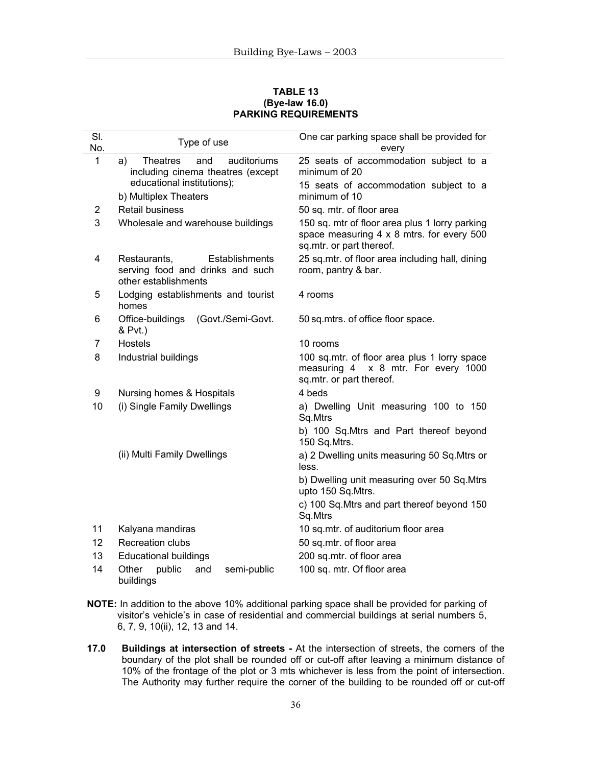#### **TABLE 13 (Bye-law 16.0) PARKING REQUIREMENTS**

| SI. | Type of use                                                                                | One car parking space shall be provided for                                                                             |  |  |
|-----|--------------------------------------------------------------------------------------------|-------------------------------------------------------------------------------------------------------------------------|--|--|
| No. |                                                                                            | every                                                                                                                   |  |  |
| 1   | <b>Theatres</b><br>and<br>auditoriums<br>a)<br>including cinema theatres (except           | 25 seats of accommodation subject to a<br>minimum of 20                                                                 |  |  |
|     | educational institutions);<br>b) Multiplex Theaters                                        | 15 seats of accommodation subject to a<br>minimum of 10                                                                 |  |  |
| 2   | <b>Retail business</b>                                                                     | 50 sq. mtr. of floor area                                                                                               |  |  |
| 3   | Wholesale and warehouse buildings                                                          | 150 sq. mtr of floor area plus 1 lorry parking<br>space measuring 4 x 8 mtrs. for every 500<br>sq.mtr. or part thereof. |  |  |
| 4   | Restaurants,<br>Establishments<br>serving food and drinks and such<br>other establishments | 25 sq.mtr. of floor area including hall, dining<br>room, pantry & bar.                                                  |  |  |
| 5   | Lodging establishments and tourist<br>homes                                                | 4 rooms                                                                                                                 |  |  |
| 6   | Office-buildings<br>(Govt./Semi-Govt.<br>& Pvt.)                                           | 50 sq.mtrs. of office floor space.                                                                                      |  |  |
| 7   | <b>Hostels</b>                                                                             | 10 rooms                                                                                                                |  |  |
| 8   | Industrial buildings                                                                       | 100 sq.mtr. of floor area plus 1 lorry space<br>measuring 4 x 8 mtr. For every 1000<br>sq.mtr. or part thereof.         |  |  |
| 9   | Nursing homes & Hospitals                                                                  | 4 beds                                                                                                                  |  |  |
| 10  | (i) Single Family Dwellings                                                                | a) Dwelling Unit measuring 100 to 150<br>Sq.Mtrs                                                                        |  |  |
|     |                                                                                            | b) 100 Sq.Mtrs and Part thereof beyond<br>150 Sq.Mtrs.                                                                  |  |  |
|     | (ii) Multi Family Dwellings                                                                | a) 2 Dwelling units measuring 50 Sq. Mtrs or<br>less.                                                                   |  |  |
|     |                                                                                            | b) Dwelling unit measuring over 50 Sq.Mtrs<br>upto 150 Sq.Mtrs.                                                         |  |  |
|     |                                                                                            | c) 100 Sq. Mtrs and part thereof beyond 150<br>Sq.Mtrs                                                                  |  |  |
| 11  | Kalyana mandiras                                                                           | 10 sq.mtr. of auditorium floor area                                                                                     |  |  |
| 12  | <b>Recreation clubs</b>                                                                    | 50 sq.mtr. of floor area                                                                                                |  |  |
| 13  | <b>Educational buildings</b>                                                               | 200 sq.mtr. of floor area                                                                                               |  |  |
| 14  | Other<br>public<br>and<br>semi-public<br>buildings                                         | 100 sq. mtr. Of floor area                                                                                              |  |  |

- **NOTE:** In addition to the above 10% additional parking space shall be provided for parking of visitor's vehicle's in case of residential and commercial buildings at serial numbers 5, 6, 7, 9, 10(ii), 12, 13 and 14.
- **17.0 Buildings at intersection of streets** At the intersection of streets, the corners of the boundary of the plot shall be rounded off or cut-off after leaving a minimum distance of 10% of the frontage of the plot or 3 mts whichever is less from the point of intersection. The Authority may further require the corner of the building to be rounded off or cut-off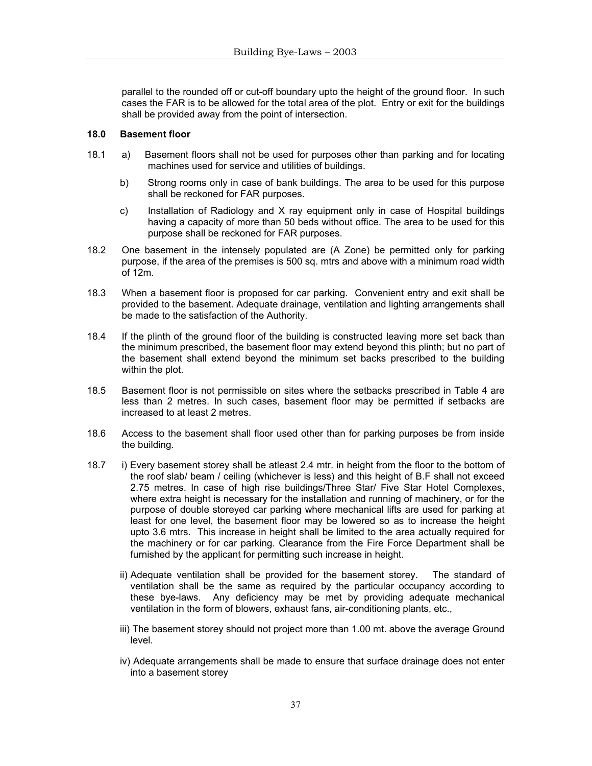parallel to the rounded off or cut-off boundary upto the height of the ground floor. In such cases the FAR is to be allowed for the total area of the plot. Entry or exit for the buildings shall be provided away from the point of intersection.

#### **18.0 Basement floor**

- 18.1 a) Basement floors shall not be used for purposes other than parking and for locating machines used for service and utilities of buildings.
	- b) Strong rooms only in case of bank buildings. The area to be used for this purpose shall be reckoned for FAR purposes.
	- c) Installation of Radiology and X ray equipment only in case of Hospital buildings having a capacity of more than 50 beds without office. The area to be used for this purpose shall be reckoned for FAR purposes.
- 18.2 One basement in the intensely populated are (A Zone) be permitted only for parking purpose, if the area of the premises is 500 sq. mtrs and above with a minimum road width of 12m.
- 18.3 When a basement floor is proposed for car parking. Convenient entry and exit shall be provided to the basement. Adequate drainage, ventilation and lighting arrangements shall be made to the satisfaction of the Authority.
- 18.4 If the plinth of the ground floor of the building is constructed leaving more set back than the minimum prescribed, the basement floor may extend beyond this plinth; but no part of the basement shall extend beyond the minimum set backs prescribed to the building within the plot.
- 18.5 Basement floor is not permissible on sites where the setbacks prescribed in Table 4 are less than 2 metres. In such cases, basement floor may be permitted if setbacks are increased to at least 2 metres.
- 18.6 Access to the basement shall floor used other than for parking purposes be from inside the building.
- 18.7 i) Every basement storey shall be atleast 2.4 mtr. in height from the floor to the bottom of the roof slab/ beam / ceiling (whichever is less) and this height of B.F shall not exceed 2.75 metres. In case of high rise buildings/Three Star/ Five Star Hotel Complexes, where extra height is necessary for the installation and running of machinery, or for the purpose of double storeyed car parking where mechanical lifts are used for parking at least for one level, the basement floor may be lowered so as to increase the height upto 3.6 mtrs. This increase in height shall be limited to the area actually required for the machinery or for car parking. Clearance from the Fire Force Department shall be furnished by the applicant for permitting such increase in height.
	- ii) Adequate ventilation shall be provided for the basement storey. The standard of ventilation shall be the same as required by the particular occupancy according to these bye-laws. Any deficiency may be met by providing adequate mechanical ventilation in the form of blowers, exhaust fans, air-conditioning plants, etc.,
	- iii) The basement storey should not project more than 1.00 mt. above the average Ground level.
	- iv) Adequate arrangements shall be made to ensure that surface drainage does not enter into a basement storey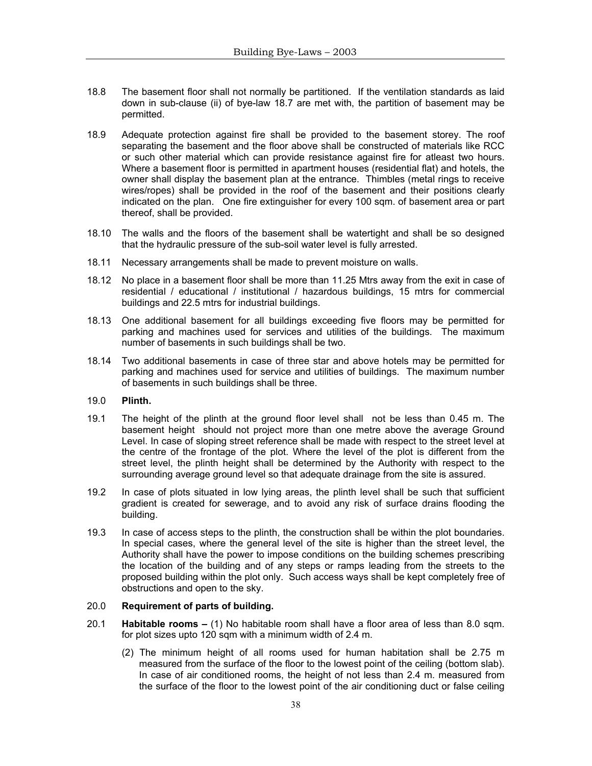- 18.8 The basement floor shall not normally be partitioned. If the ventilation standards as laid down in sub-clause (ii) of bye-law 18.7 are met with, the partition of basement may be permitted.
- 18.9 Adequate protection against fire shall be provided to the basement storey. The roof separating the basement and the floor above shall be constructed of materials like RCC or such other material which can provide resistance against fire for atleast two hours. Where a basement floor is permitted in apartment houses (residential flat) and hotels, the owner shall display the basement plan at the entrance. Thimbles (metal rings to receive wires/ropes) shall be provided in the roof of the basement and their positions clearly indicated on the plan. One fire extinguisher for every 100 sqm. of basement area or part thereof, shall be provided.
- 18.10 The walls and the floors of the basement shall be watertight and shall be so designed that the hydraulic pressure of the sub-soil water level is fully arrested.
- 18.11 Necessary arrangements shall be made to prevent moisture on walls.
- 18.12 No place in a basement floor shall be more than 11.25 Mtrs away from the exit in case of residential / educational / institutional / hazardous buildings, 15 mtrs for commercial buildings and 22.5 mtrs for industrial buildings.
- 18.13 One additional basement for all buildings exceeding five floors may be permitted for parking and machines used for services and utilities of the buildings. The maximum number of basements in such buildings shall be two.
- 18.14 Two additional basements in case of three star and above hotels may be permitted for parking and machines used for service and utilities of buildings. The maximum number of basements in such buildings shall be three.
- 19.0 **Plinth.**
- 19.1 The height of the plinth at the ground floor level shall not be less than 0.45 m. The basement height should not project more than one metre above the average Ground Level. In case of sloping street reference shall be made with respect to the street level at the centre of the frontage of the plot. Where the level of the plot is different from the street level, the plinth height shall be determined by the Authority with respect to the surrounding average ground level so that adequate drainage from the site is assured.
- 19.2 In case of plots situated in low lying areas, the plinth level shall be such that sufficient gradient is created for sewerage, and to avoid any risk of surface drains flooding the building.
- 19.3 In case of access steps to the plinth, the construction shall be within the plot boundaries. In special cases, where the general level of the site is higher than the street level, the Authority shall have the power to impose conditions on the building schemes prescribing the location of the building and of any steps or ramps leading from the streets to the proposed building within the plot only. Such access ways shall be kept completely free of obstructions and open to the sky.

# 20.0 **Requirement of parts of building.**

- 20.1 **Habitable rooms** (1) No habitable room shall have a floor area of less than 8.0 sqm. for plot sizes upto 120 sqm with a minimum width of 2.4 m.
	- (2) The minimum height of all rooms used for human habitation shall be 2.75 m measured from the surface of the floor to the lowest point of the ceiling (bottom slab). In case of air conditioned rooms, the height of not less than 2.4 m. measured from the surface of the floor to the lowest point of the air conditioning duct or false ceiling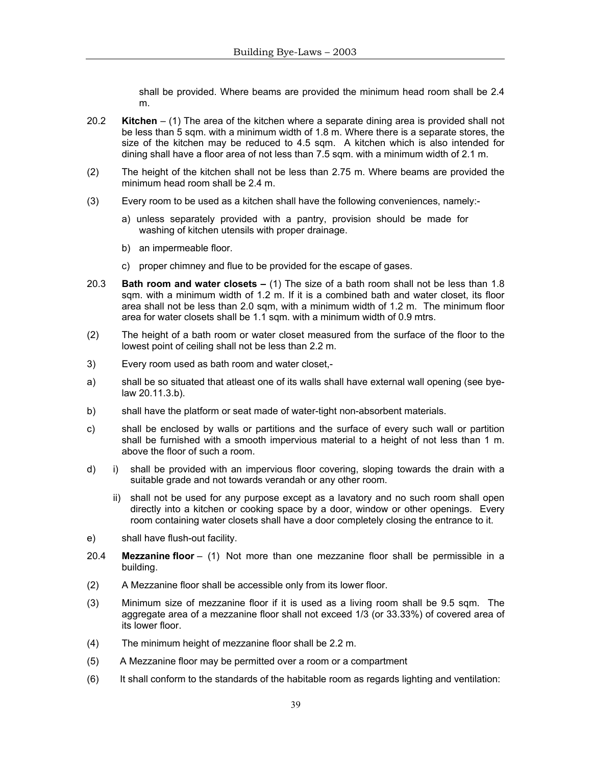shall be provided. Where beams are provided the minimum head room shall be 2.4 m.

- 20.2 **Kitchen**  (1) The area of the kitchen where a separate dining area is provided shall not be less than 5 sqm. with a minimum width of 1.8 m. Where there is a separate stores, the size of the kitchen may be reduced to 4.5 sqm. A kitchen which is also intended for dining shall have a floor area of not less than 7.5 sqm. with a minimum width of 2.1 m.
- (2) The height of the kitchen shall not be less than 2.75 m. Where beams are provided the minimum head room shall be 2.4 m.
- (3) Every room to be used as a kitchen shall have the following conveniences, namely:
	- a) unless separately provided with a pantry, provision should be made for washing of kitchen utensils with proper drainage.
	- b) an impermeable floor.
	- c) proper chimney and flue to be provided for the escape of gases.
- 20.3 **Bath room and water closets** (1) The size of a bath room shall not be less than 1.8 sqm. with a minimum width of 1.2 m. If it is a combined bath and water closet, its floor area shall not be less than 2.0 sqm, with a minimum width of 1.2 m. The minimum floor area for water closets shall be 1.1 sqm. with a minimum width of 0.9 mtrs.
- (2) The height of a bath room or water closet measured from the surface of the floor to the lowest point of ceiling shall not be less than 2.2 m.
- 3) Every room used as bath room and water closet,-
- a) shall be so situated that atleast one of its walls shall have external wall opening (see byelaw 20.11.3.b).
- b) shall have the platform or seat made of water-tight non-absorbent materials.
- c) shall be enclosed by walls or partitions and the surface of every such wall or partition shall be furnished with a smooth impervious material to a height of not less than 1 m. above the floor of such a room.
- d) i) shall be provided with an impervious floor covering, sloping towards the drain with a suitable grade and not towards verandah or any other room.
	- ii) shall not be used for any purpose except as a lavatory and no such room shall open directly into a kitchen or cooking space by a door, window or other openings. Every room containing water closets shall have a door completely closing the entrance to it.
- e) shall have flush-out facility.
- 20.4 **Mezzanine floor**  (1) Not more than one mezzanine floor shall be permissible in a building.
- (2) A Mezzanine floor shall be accessible only from its lower floor.
- (3) Minimum size of mezzanine floor if it is used as a living room shall be 9.5 sqm. The aggregate area of a mezzanine floor shall not exceed 1/3 (or 33.33%) of covered area of its lower floor.
- (4) The minimum height of mezzanine floor shall be 2.2 m.
- (5) A Mezzanine floor may be permitted over a room or a compartment
- (6) It shall conform to the standards of the habitable room as regards lighting and ventilation: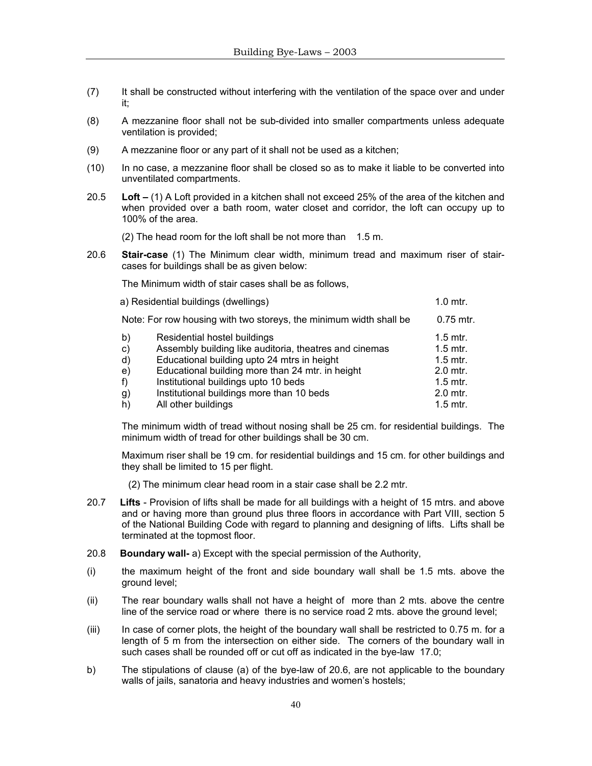- (7) It shall be constructed without interfering with the ventilation of the space over and under it;
- (8) A mezzanine floor shall not be sub-divided into smaller compartments unless adequate ventilation is provided;
- (9) A mezzanine floor or any part of it shall not be used as a kitchen;
- (10) In no case, a mezzanine floor shall be closed so as to make it liable to be converted into unventilated compartments.
- 20.5 **Loft** (1) A Loft provided in a kitchen shall not exceed 25% of the area of the kitchen and when provided over a bath room, water closet and corridor, the loft can occupy up to 100% of the area.

 $(2)$  The head room for the loft shall be not more than  $1.5$  m.

20.6 **Stair-case** (1) The Minimum clear width, minimum tread and maximum riser of staircases for buildings shall be as given below:

The Minimum width of stair cases shall be as follows,

|    | a) Residential buildings (dwellings)                               | $1.0$ mtr.  |
|----|--------------------------------------------------------------------|-------------|
|    | Note: For row housing with two storeys, the minimum width shall be | $0.75$ mtr. |
| b) | Residential hostel buildings                                       | $1.5$ mtr.  |
| c) | Assembly building like auditoria, theatres and cinemas             | $1.5$ mtr.  |
| d) | Educational building upto 24 mtrs in height                        | $1.5$ mtr.  |
| e) | Educational building more than 24 mtr. in height                   | $2.0$ mtr.  |
| f) | Institutional buildings upto 10 beds                               | $1.5$ mtr.  |
| g) | Institutional buildings more than 10 beds                          | $2.0$ mtr.  |
| h) | All other buildings                                                | $1.5$ mtr.  |

The minimum width of tread without nosing shall be 25 cm. for residential buildings. The minimum width of tread for other buildings shall be 30 cm.

Maximum riser shall be 19 cm. for residential buildings and 15 cm. for other buildings and they shall be limited to 15 per flight.

- (2) The minimum clear head room in a stair case shall be 2.2 mtr.
- 20.7 **Lifts** Provision of lifts shall be made for all buildings with a height of 15 mtrs. and above and or having more than ground plus three floors in accordance with Part VIII, section 5 of the National Building Code with regard to planning and designing of lifts. Lifts shall be terminated at the topmost floor.
- 20.8 **Boundary wall-** a) Except with the special permission of the Authority,
- (i) the maximum height of the front and side boundary wall shall be 1.5 mts. above the ground level;
- (ii) The rear boundary walls shall not have a height of more than 2 mts. above the centre line of the service road or where there is no service road 2 mts. above the ground level;
- $(iii)$  In case of corner plots, the height of the boundary wall shall be restricted to 0.75 m. for a length of 5 m from the intersection on either side. The corners of the boundary wall in such cases shall be rounded off or cut off as indicated in the bye-law 17.0;
- b) The stipulations of clause (a) of the bye-law of 20.6, are not applicable to the boundary walls of jails, sanatoria and heavy industries and women's hostels;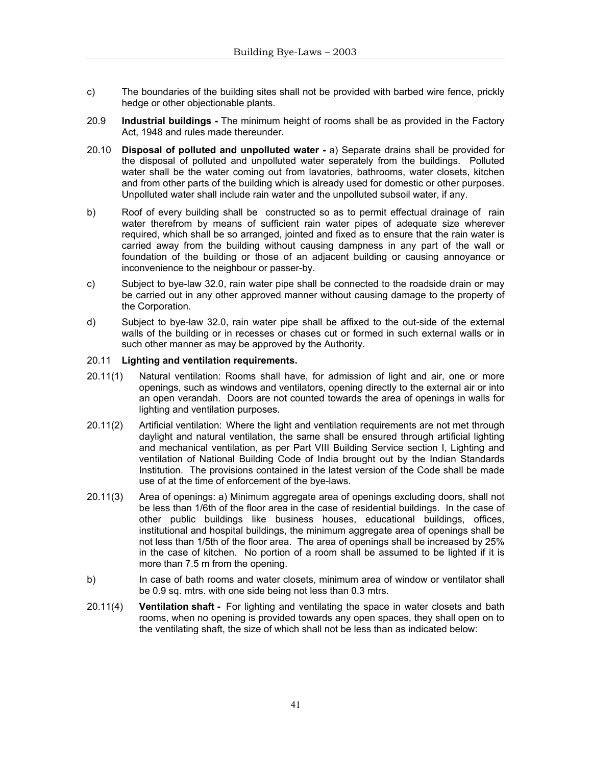- c) The boundaries of the building sites shall not be provided with barbed wire fence, prickly hedge or other objectionable plants.
- 20.9 **Industrial buildings** The minimum height of rooms shall be as provided in the Factory Act, 1948 and rules made thereunder.
- 20.10 **Disposal of polluted and unpolluted water** a) Separate drains shall be provided for the disposal of polluted and unpolluted water seperately from the buildings. Polluted water shall be the water coming out from lavatories, bathrooms, water closets, kitchen and from other parts of the building which is already used for domestic or other purposes. Unpolluted water shall include rain water and the unpolluted subsoil water, if any.
- b) Roof of every building shall be constructed so as to permit effectual drainage of rain water therefrom by means of sufficient rain water pipes of adequate size wherever required, which shall be so arranged, jointed and fixed as to ensure that the rain water is carried away from the building without causing dampness in any part of the wall or foundation of the building or those of an adjacent building or causing annoyance or inconvenience to the neighbour or passer-by.
- c) Subject to bye-law 32.0, rain water pipe shall be connected to the roadside drain or may be carried out in any other approved manner without causing damage to the property of the Corporation.
- d) Subject to bye-law 32.0, rain water pipe shall be affixed to the out-side of the external walls of the building or in recesses or chases cut or formed in such external walls or in such other manner as may be approved by the Authority.

#### 20.11 **Lighting and ventilation requirements.**

- 20.11(1) Natural ventilation: Rooms shall have, for admission of light and air, one or more openings, such as windows and ventilators, opening directly to the external air or into an open verandah. Doors are not counted towards the area of openings in walls for lighting and ventilation purposes.
- 20.11(2) Artificial ventilation: Where the light and ventilation requirements are not met through daylight and natural ventilation, the same shall be ensured through artificial lighting and mechanical ventilation, as per Part VIII Building Service section I, Lighting and ventilation of National Building Code of India brought out by the Indian Standards Institution. The provisions contained in the latest version of the Code shall be made use of at the time of enforcement of the bye-laws.
- 20.11(3) Area of openings: a) Minimum aggregate area of openings excluding doors, shall not be less than 1/6th of the floor area in the case of residential buildings. In the case of other public buildings like business houses, educational buildings, offices, institutional and hospital buildings, the minimum aggregate area of openings shall be not less than 1/5th of the floor area. The area of openings shall be increased by 25% in the case of kitchen. No portion of a room shall be assumed to be lighted if it is more than 7.5 m from the opening.
- b) In case of bath rooms and water closets, minimum area of window or ventilator shall be 0.9 sq. mtrs. with one side being not less than 0.3 mtrs.
- 20.11(4) **Ventilation shaft** For lighting and ventilating the space in water closets and bath rooms, when no opening is provided towards any open spaces, they shall open on to the ventilating shaft, the size of which shall not be less than as indicated below: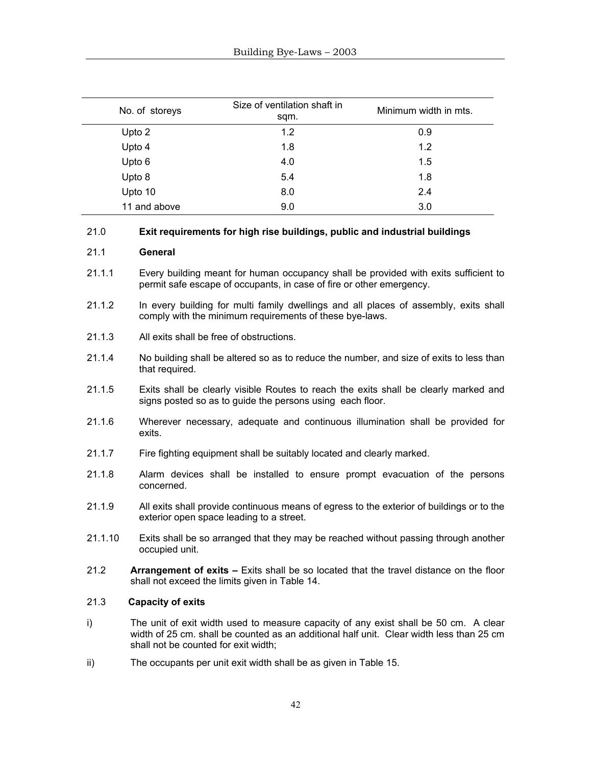| No. of storeys | Size of ventilation shaft in<br>sqm. | Minimum width in mts. |
|----------------|--------------------------------------|-----------------------|
| Upto 2         | 1.2                                  | 0.9                   |
| Upto 4         | 1.8                                  | 1.2                   |
| Upto 6         | 4.0                                  | 1.5                   |
| Upto 8         | 5.4                                  | 1.8                   |
| Upto 10        | 8.0                                  | 2.4                   |
| 11 and above   | 9.0                                  | 3.0                   |

#### 21.0 **Exit requirements for high rise buildings, public and industrial buildings**

#### 21.1 **General**

- 21.1.1 Every building meant for human occupancy shall be provided with exits sufficient to permit safe escape of occupants, in case of fire or other emergency.
- 21.1.2 In every building for multi family dwellings and all places of assembly, exits shall comply with the minimum requirements of these bye-laws.
- 21.1.3 All exits shall be free of obstructions.
- 21.1.4 No building shall be altered so as to reduce the number, and size of exits to less than that required.
- 21.1.5 Exits shall be clearly visible Routes to reach the exits shall be clearly marked and signs posted so as to guide the persons using each floor.
- 21.1.6 Wherever necessary, adequate and continuous illumination shall be provided for exits.
- 21.1.7 Fire fighting equipment shall be suitably located and clearly marked.
- 21.1.8 Alarm devices shall be installed to ensure prompt evacuation of the persons concerned.
- 21.1.9 All exits shall provide continuous means of egress to the exterior of buildings or to the exterior open space leading to a street.
- 21.1.10 Exits shall be so arranged that they may be reached without passing through another occupied unit.
- 21.2 **Arrangement of exits** Exits shall be so located that the travel distance on the floor shall not exceed the limits given in Table 14.

# 21.3 **Capacity of exits**

- i) The unit of exit width used to measure capacity of any exist shall be 50 cm. A clear width of 25 cm. shall be counted as an additional half unit. Clear width less than 25 cm shall not be counted for exit width;
- ii) The occupants per unit exit width shall be as given in Table 15.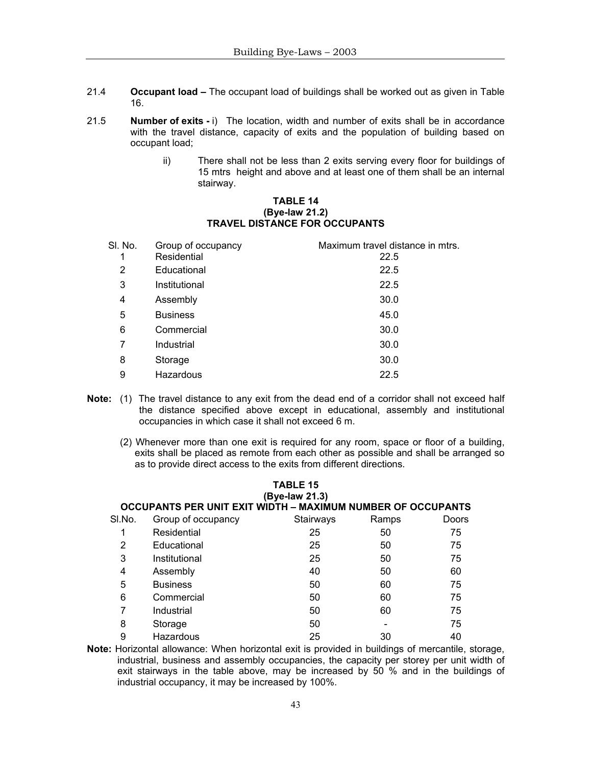- 21.4 **Occupant load** The occupant load of buildings shall be worked out as given in Table 16.
- 21.5 **Number of exits** i) The location, width and number of exits shall be in accordance with the travel distance, capacity of exits and the population of building based on occupant load;
	- ii) There shall not be less than 2 exits serving every floor for buildings of 15 mtrs height and above and at least one of them shall be an internal stairway.

#### **TABLE 14 (Bye-law 21.2) TRAVEL DISTANCE FOR OCCUPANTS**

| SI. No. | Group of occupancy | Maximum travel distance in mtrs. |
|---------|--------------------|----------------------------------|
|         | Residential        | 22.5                             |
| 2       | Educational        | 22.5                             |
| 3       | Institutional      | 22.5                             |
| 4       | Assembly           | 30.0                             |
| 5       | <b>Business</b>    | 45.0                             |
| 6       | Commercial         | 30.0                             |
| 7       | Industrial         | 30.0                             |
| 8       | Storage            | 30.0                             |
| 9       | Hazardous          | 22.5                             |

**Note:** (1) The travel distance to any exit from the dead end of a corridor shall not exceed half the distance specified above except in educational, assembly and institutional occupancies in which case it shall not exceed 6 m.

**TABLE 15** 

 (2) Whenever more than one exit is required for any room, space or floor of a building, exits shall be placed as remote from each other as possible and shall be arranged so as to provide direct access to the exits from different directions.

|        |                                                                    | (Bye-law 21.3) |       |       |
|--------|--------------------------------------------------------------------|----------------|-------|-------|
|        | <b>OCCUPANTS PER UNIT EXIT WIDTH - MAXIMUM NUMBER OF OCCUPANTS</b> |                |       |       |
| SI.No. | Group of occupancy                                                 | Stairways      | Ramps | Doors |
|        | Residential                                                        | 25             | 50    | 75    |
| 2      | Educational                                                        | 25             | 50    | 75    |
| 3      | Institutional                                                      | 25             | 50    | 75    |
| 4      | Assembly                                                           | 40             | 50    | 60    |
| 5      | <b>Business</b>                                                    | 50             | 60    | 75    |
| 6      | Commercial                                                         | 50             | 60    | 75    |
| 7      | Industrial                                                         | 50             | 60    | 75    |
| 8      | Storage                                                            | 50             |       | 75    |
| 9      | Hazardous                                                          | 25             | 30    | 40    |
|        |                                                                    |                |       |       |

**Note:** Horizontal allowance: When horizontal exit is provided in buildings of mercantile, storage, industrial, business and assembly occupancies, the capacity per storey per unit width of exit stairways in the table above, may be increased by 50 % and in the buildings of industrial occupancy, it may be increased by 100%.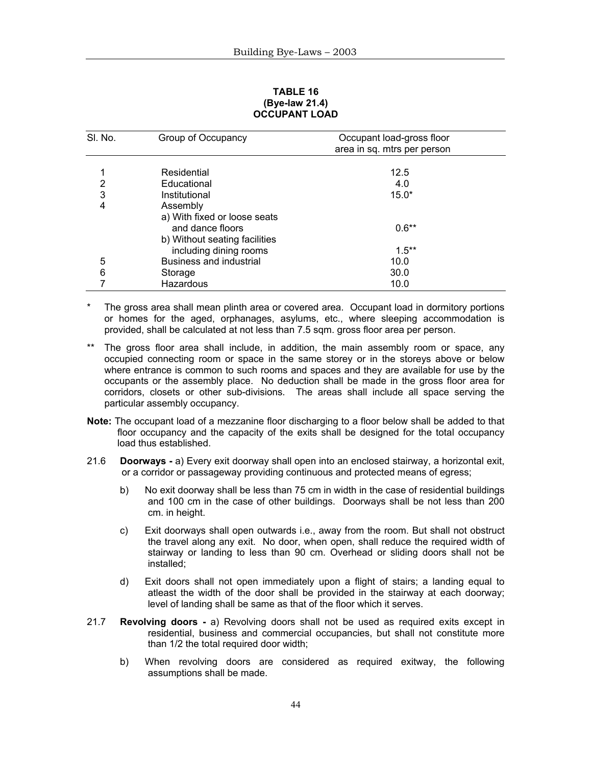#### **TABLE 16 (Bye-law 21.4) OCCUPANT LOAD**

| SI. No. | Group of Occupancy             | Occupant load-gross floor   |
|---------|--------------------------------|-----------------------------|
|         |                                | area in sq. mtrs per person |
|         |                                |                             |
| 1       | Residential                    | 12.5                        |
| 2       | Educational                    | 4.0                         |
| 3       | Institutional                  | $15.0*$                     |
| 4       | Assembly                       |                             |
|         | a) With fixed or loose seats   |                             |
|         | and dance floors               | $0.6**$                     |
|         | b) Without seating facilities  |                             |
|         | including dining rooms         | $1.5***$                    |
| 5       | <b>Business and industrial</b> | 10.0                        |
| 6       | Storage                        | 30.0                        |
|         | Hazardous                      | 10.0                        |

The gross area shall mean plinth area or covered area. Occupant load in dormitory portions or homes for the aged, orphanages, asylums, etc., where sleeping accommodation is provided, shall be calculated at not less than 7.5 sqm. gross floor area per person.

- \*\* The gross floor area shall include, in addition, the main assembly room or space, any occupied connecting room or space in the same storey or in the storeys above or below where entrance is common to such rooms and spaces and they are available for use by the occupants or the assembly place. No deduction shall be made in the gross floor area for corridors, closets or other sub-divisions. The areas shall include all space serving the particular assembly occupancy.
- **Note:** The occupant load of a mezzanine floor discharging to a floor below shall be added to that floor occupancy and the capacity of the exits shall be designed for the total occupancy load thus established.
- 21.6 **Doorways** a) Every exit doorway shall open into an enclosed stairway, a horizontal exit, or a corridor or passageway providing continuous and protected means of egress;
	- b) No exit doorway shall be less than 75 cm in width in the case of residential buildings and 100 cm in the case of other buildings. Doorways shall be not less than 200 cm. in height.
	- c) Exit doorways shall open outwards i.e., away from the room. But shall not obstruct the travel along any exit. No door, when open, shall reduce the required width of stairway or landing to less than 90 cm. Overhead or sliding doors shall not be installed;
	- d) Exit doors shall not open immediately upon a flight of stairs; a landing equal to atleast the width of the door shall be provided in the stairway at each doorway; level of landing shall be same as that of the floor which it serves.
- 21.7 **Revolving doors** a) Revolving doors shall not be used as required exits except in residential, business and commercial occupancies, but shall not constitute more than 1/2 the total required door width;
	- b) When revolving doors are considered as required exitway, the following assumptions shall be made.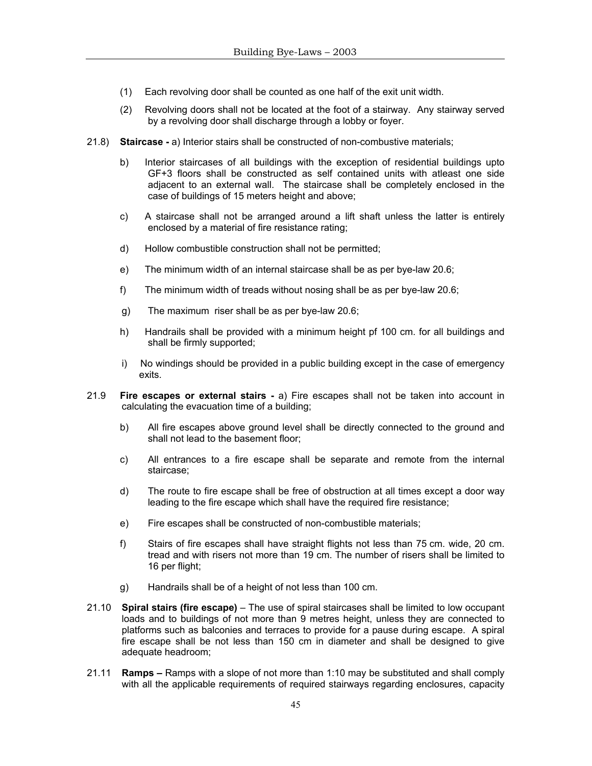- (1) Each revolving door shall be counted as one half of the exit unit width.
- (2) Revolving doors shall not be located at the foot of a stairway. Any stairway served by a revolving door shall discharge through a lobby or foyer.
- 21.8) **Staircase** a) Interior stairs shall be constructed of non-combustive materials;
	- b) Interior staircases of all buildings with the exception of residential buildings upto GF+3 floors shall be constructed as self contained units with atleast one side adjacent to an external wall. The staircase shall be completely enclosed in the case of buildings of 15 meters height and above;
	- c) A staircase shall not be arranged around a lift shaft unless the latter is entirely enclosed by a material of fire resistance rating;
	- d) Hollow combustible construction shall not be permitted;
	- e) The minimum width of an internal staircase shall be as per bye-law 20.6;
	- f) The minimum width of treads without nosing shall be as per bye-law 20.6;
	- g) The maximum riser shall be as per bye-law 20.6;
	- h) Handrails shall be provided with a minimum height pf 100 cm. for all buildings and shall be firmly supported;
	- i) No windings should be provided in a public building except in the case of emergency exits.
- 21.9 **Fire escapes or external stairs** a) Fire escapes shall not be taken into account in calculating the evacuation time of a building;
	- b) All fire escapes above ground level shall be directly connected to the ground and shall not lead to the basement floor;
	- c) All entrances to a fire escape shall be separate and remote from the internal staircase;
	- d) The route to fire escape shall be free of obstruction at all times except a door way leading to the fire escape which shall have the required fire resistance;
	- e) Fire escapes shall be constructed of non-combustible materials;
	- f) Stairs of fire escapes shall have straight flights not less than 75 cm. wide, 20 cm. tread and with risers not more than 19 cm. The number of risers shall be limited to 16 per flight;
	- g) Handrails shall be of a height of not less than 100 cm.
- 21.10 **Spiral stairs (fire escape)** The use of spiral staircases shall be limited to low occupant loads and to buildings of not more than 9 metres height, unless they are connected to platforms such as balconies and terraces to provide for a pause during escape. A spiral fire escape shall be not less than 150 cm in diameter and shall be designed to give adequate headroom;
- 21.11 **Ramps** Ramps with a slope of not more than 1:10 may be substituted and shall comply with all the applicable requirements of required stairways regarding enclosures, capacity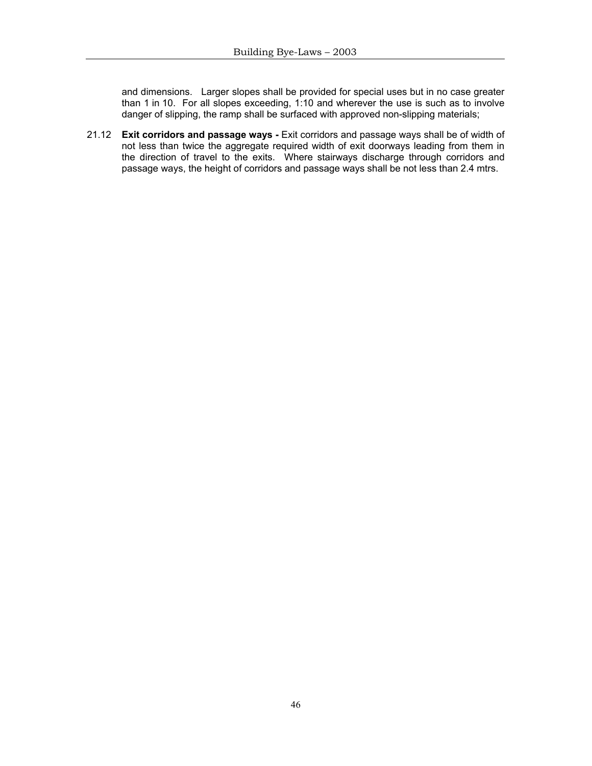and dimensions. Larger slopes shall be provided for special uses but in no case greater than 1 in 10. For all slopes exceeding, 1:10 and wherever the use is such as to involve danger of slipping, the ramp shall be surfaced with approved non-slipping materials;

21.12 **Exit corridors and passage ways -** Exit corridors and passage ways shall be of width of not less than twice the aggregate required width of exit doorways leading from them in the direction of travel to the exits. Where stairways discharge through corridors and passage ways, the height of corridors and passage ways shall be not less than 2.4 mtrs.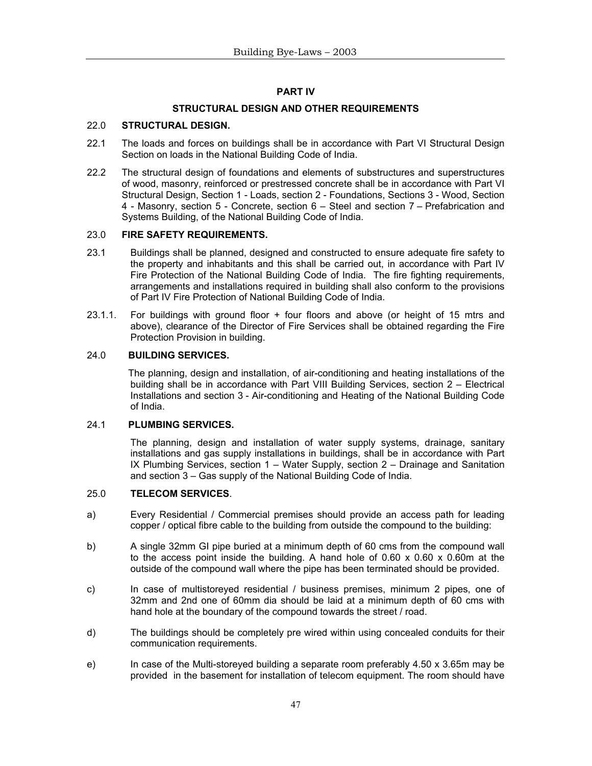# **PART IV**

# **STRUCTURAL DESIGN AND OTHER REQUIREMENTS**

# 22.0 **STRUCTURAL DESIGN.**

- 22.1 The loads and forces on buildings shall be in accordance with Part VI Structural Design Section on loads in the National Building Code of India.
- 22.2 The structural design of foundations and elements of substructures and superstructures of wood, masonry, reinforced or prestressed concrete shall be in accordance with Part VI Structural Design, Section 1 - Loads, section 2 - Foundations, Sections 3 - Wood, Section 4 - Masonry, section 5 - Concrete, section 6 – Steel and section 7 – Prefabrication and Systems Building, of the National Building Code of India.

# 23.0 **FIRE SAFETY REQUIREMENTS.**

- 23.1 Buildings shall be planned, designed and constructed to ensure adequate fire safety to the property and inhabitants and this shall be carried out, in accordance with Part IV Fire Protection of the National Building Code of India. The fire fighting requirements, arrangements and installations required in building shall also conform to the provisions of Part IV Fire Protection of National Building Code of India.
- 23.1.1. For buildings with ground floor + four floors and above (or height of 15 mtrs and above), clearance of the Director of Fire Services shall be obtained regarding the Fire Protection Provision in building.

# 24.0 **BUILDING SERVICES.**

 The planning, design and installation, of air-conditioning and heating installations of the building shall be in accordance with Part VIII Building Services, section 2 – Electrical Installations and section 3 - Air-conditioning and Heating of the National Building Code of India.

#### 24.1 **PLUMBING SERVICES.**

 The planning, design and installation of water supply systems, drainage, sanitary installations and gas supply installations in buildings, shall be in accordance with Part IX Plumbing Services, section 1 – Water Supply, section 2 – Drainage and Sanitation and section 3 – Gas supply of the National Building Code of India.

#### 25.0 **TELECOM SERVICES**.

- a) Every Residential / Commercial premises should provide an access path for leading copper / optical fibre cable to the building from outside the compound to the building:
- b) A single 32mm GI pipe buried at a minimum depth of 60 cms from the compound wall to the access point inside the building. A hand hole of  $0.60 \times 0.60 \times 0.60$  at the outside of the compound wall where the pipe has been terminated should be provided.
- c) In case of multistoreyed residential / business premises, minimum 2 pipes, one of 32mm and 2nd one of 60mm dia should be laid at a minimum depth of 60 cms with hand hole at the boundary of the compound towards the street / road.
- d) The buildings should be completely pre wired within using concealed conduits for their communication requirements.
- e) In case of the Multi-storeyed building a separate room preferably 4.50 x 3.65m may be provided in the basement for installation of telecom equipment. The room should have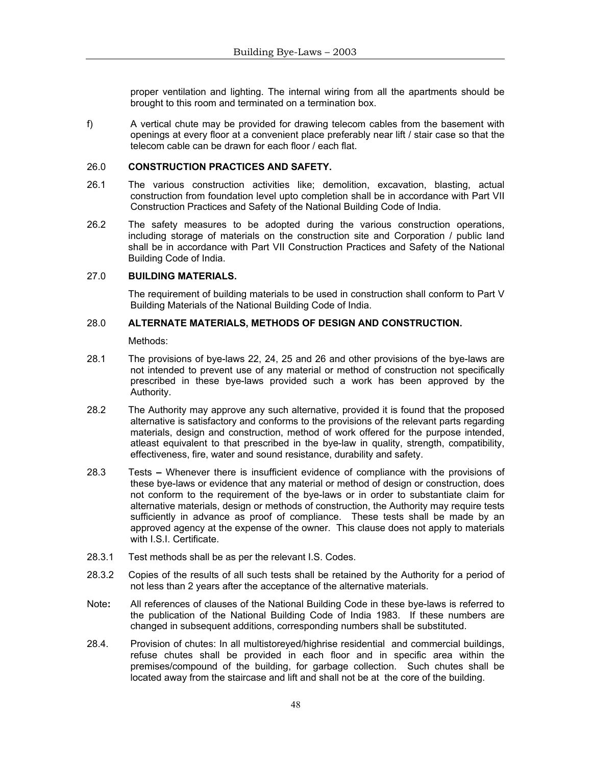proper ventilation and lighting. The internal wiring from all the apartments should be brought to this room and terminated on a termination box.

f) A vertical chute may be provided for drawing telecom cables from the basement with openings at every floor at a convenient place preferably near lift / stair case so that the telecom cable can be drawn for each floor / each flat.

# 26.0 **CONSTRUCTION PRACTICES AND SAFETY.**

- 26.1 The various construction activities like; demolition, excavation, blasting, actual construction from foundation level upto completion shall be in accordance with Part VII Construction Practices and Safety of the National Building Code of India.
- 26.2 The safety measures to be adopted during the various construction operations, including storage of materials on the construction site and Corporation / public land shall be in accordance with Part VII Construction Practices and Safety of the National Building Code of India.

#### 27.0 **BUILDING MATERIALS.**

 The requirement of building materials to be used in construction shall conform to Part V Building Materials of the National Building Code of India.

#### 28.0 **ALTERNATE MATERIALS, METHODS OF DESIGN AND CONSTRUCTION.**

Methods:

- 28.1 The provisions of bye-laws 22, 24, 25 and 26 and other provisions of the bye-laws are not intended to prevent use of any material or method of construction not specifically prescribed in these bye-laws provided such a work has been approved by the Authority.
- 28.2 The Authority may approve any such alternative, provided it is found that the proposed alternative is satisfactory and conforms to the provisions of the relevant parts regarding materials, design and construction, method of work offered for the purpose intended, atleast equivalent to that prescribed in the bye-law in quality, strength, compatibility, effectiveness, fire, water and sound resistance, durability and safety.
- 28.3 TestsWhenever there is insufficient evidence of compliance with the provisions of these bye-laws or evidence that any material or method of design or construction, does not conform to the requirement of the bye-laws or in order to substantiate claim for alternative materials, design or methods of construction, the Authority may require tests sufficiently in advance as proof of compliance. These tests shall be made by an approved agency at the expense of the owner. This clause does not apply to materials with I.S.I. Certificate.
- 28.3.1 Test methods shall be as per the relevant I.S. Codes.
- 28.3.2 Copies of the results of all such tests shall be retained by the Authority for a period of not less than 2 years after the acceptance of the alternative materials.
- Note**:** All references of clauses of the National Building Code in these bye-laws is referred to the publication of the National Building Code of India 1983. If these numbers are changed in subsequent additions, corresponding numbers shall be substituted.
- 28.4. Provision of chutes: In all multistoreyed/highrise residential and commercial buildings, refuse chutes shall be provided in each floor and in specific area within the premises/compound of the building, for garbage collection. Such chutes shall be located away from the staircase and lift and shall not be at the core of the building.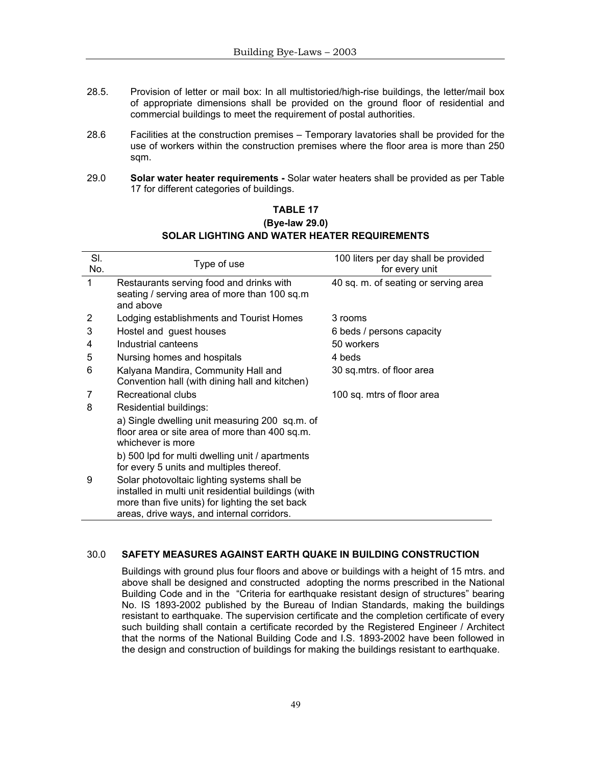- 28.5. Provision of letter or mail box: In all multistoried/high-rise buildings, the letter/mail box of appropriate dimensions shall be provided on the ground floor of residential and commercial buildings to meet the requirement of postal authorities.
- 28.6 Facilities at the construction premises Temporary lavatories shall be provided for the use of workers within the construction premises where the floor area is more than 250 sqm.
- 29.0 **Solar water heater requirements -** Solar water heaters shall be provided as per Table 17 for different categories of buildings.

| SI.<br>No. | Type of use                                                                                                                                                                                          | 100 liters per day shall be provided<br>for every unit |
|------------|------------------------------------------------------------------------------------------------------------------------------------------------------------------------------------------------------|--------------------------------------------------------|
| 1          | Restaurants serving food and drinks with<br>seating / serving area of more than 100 sq.m<br>and above                                                                                                | 40 sq. m. of seating or serving area                   |
| 2          | Lodging establishments and Tourist Homes                                                                                                                                                             | 3 rooms                                                |
| 3          | Hostel and guest houses                                                                                                                                                                              | 6 beds / persons capacity                              |
| 4          | Industrial canteens                                                                                                                                                                                  | 50 workers                                             |
| 5          | Nursing homes and hospitals                                                                                                                                                                          | 4 beds                                                 |
| 6          | Kalyana Mandira, Community Hall and<br>Convention hall (with dining hall and kitchen)                                                                                                                | 30 sq.mtrs. of floor area                              |
| 7          | Recreational clubs                                                                                                                                                                                   | 100 sq. mtrs of floor area                             |
| 8          | Residential buildings:                                                                                                                                                                               |                                                        |
|            | a) Single dwelling unit measuring 200 sq.m. of<br>floor area or site area of more than 400 sq.m.<br>whichever is more                                                                                |                                                        |
|            | b) 500 lpd for multi dwelling unit / apartments<br>for every 5 units and multiples thereof.                                                                                                          |                                                        |
| 9          | Solar photovoltaic lighting systems shall be<br>installed in multi unit residential buildings (with<br>more than five units) for lighting the set back<br>areas, drive ways, and internal corridors. |                                                        |

# **TABLE 17 (Bye-law 29.0) SOLAR LIGHTING AND WATER HEATER REQUIREMENTS**

# 30.0 **SAFETY MEASURES AGAINST EARTH QUAKE IN BUILDING CONSTRUCTION**

Buildings with ground plus four floors and above or buildings with a height of 15 mtrs. and above shall be designed and constructed adopting the norms prescribed in the National Building Code and in the "Criteria for earthquake resistant design of structures" bearing No. IS 1893-2002 published by the Bureau of Indian Standards, making the buildings resistant to earthquake. The supervision certificate and the completion certificate of every such building shall contain a certificate recorded by the Registered Engineer / Architect that the norms of the National Building Code and I.S. 1893-2002 have been followed in the design and construction of buildings for making the buildings resistant to earthquake.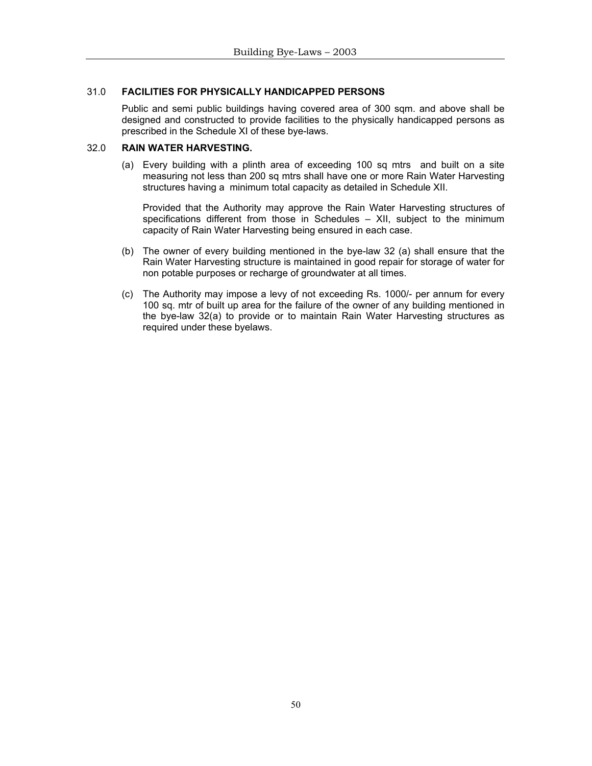# 31.0 **FACILITIES FOR PHYSICALLY HANDICAPPED PERSONS**

Public and semi public buildings having covered area of 300 sqm. and above shall be designed and constructed to provide facilities to the physically handicapped persons as prescribed in the Schedule XI of these bye-laws.

#### 32.0 **RAIN WATER HARVESTING.**

(a) Every building with a plinth area of exceeding 100 sq mtrs and built on a site measuring not less than 200 sq mtrs shall have one or more Rain Water Harvesting structures having a minimum total capacity as detailed in Schedule XII.

Provided that the Authority may approve the Rain Water Harvesting structures of specifications different from those in Schedules – XII, subject to the minimum capacity of Rain Water Harvesting being ensured in each case.

- (b) The owner of every building mentioned in the bye-law 32 (a) shall ensure that the Rain Water Harvesting structure is maintained in good repair for storage of water for non potable purposes or recharge of groundwater at all times.
- (c) The Authority may impose a levy of not exceeding Rs. 1000/- per annum for every 100 sq. mtr of built up area for the failure of the owner of any building mentioned in the bye-law 32(a) to provide or to maintain Rain Water Harvesting structures as required under these byelaws.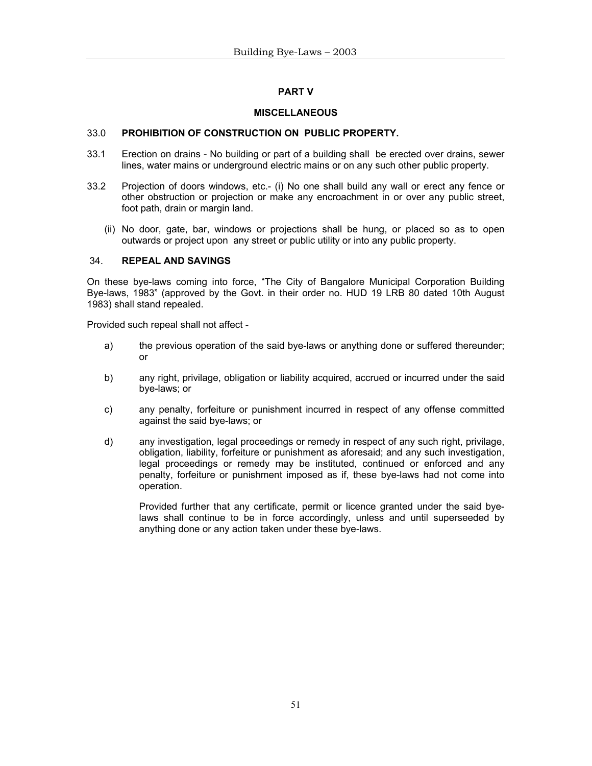# **PART V**

# **MISCELLANEOUS**

# 33.0 **PROHIBITION OF CONSTRUCTION ON PUBLIC PROPERTY.**

- 33.1 Erection on drains No building or part of a building shall be erected over drains, sewer lines, water mains or underground electric mains or on any such other public property.
- 33.2 Projection of doors windows, etc.- (i) No one shall build any wall or erect any fence or other obstruction or projection or make any encroachment in or over any public street, foot path, drain or margin land.
	- (ii) No door, gate, bar, windows or projections shall be hung, or placed so as to open outwards or project upon any street or public utility or into any public property.

# 34. **REPEAL AND SAVINGS**

On these bye-laws coming into force, "The City of Bangalore Municipal Corporation Building Bye-laws, 1983" (approved by the Govt. in their order no. HUD 19 LRB 80 dated 10th August 1983) shall stand repealed.

Provided such repeal shall not affect -

- a) the previous operation of the said bye-laws or anything done or suffered thereunder; or
- b) any right, privilage, obligation or liability acquired, accrued or incurred under the said bye-laws; or
- c) any penalty, forfeiture or punishment incurred in respect of any offense committed against the said bye-laws; or
- d) any investigation, legal proceedings or remedy in respect of any such right, privilage, obligation, liability, forfeiture or punishment as aforesaid; and any such investigation, legal proceedings or remedy may be instituted, continued or enforced and any penalty, forfeiture or punishment imposed as if, these bye-laws had not come into operation.

Provided further that any certificate, permit or licence granted under the said byelaws shall continue to be in force accordingly, unless and until superseeded by anything done or any action taken under these bye-laws.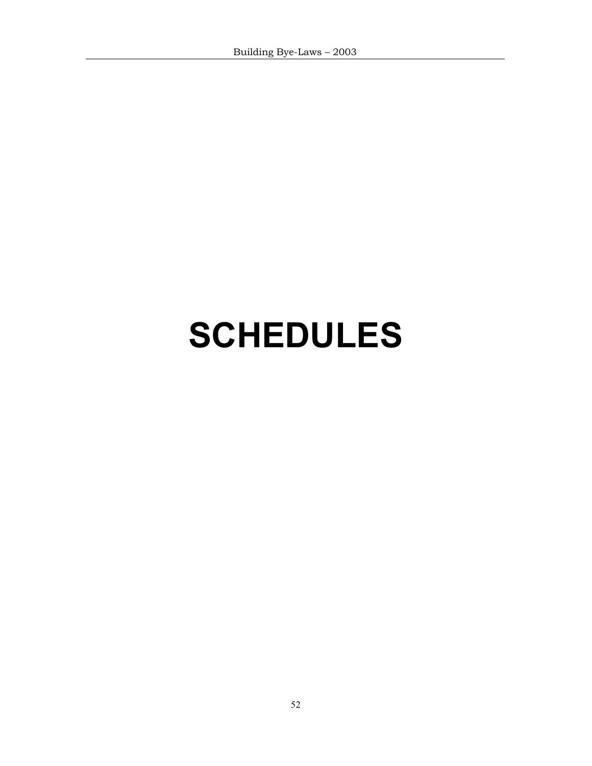# **SCHEDULES**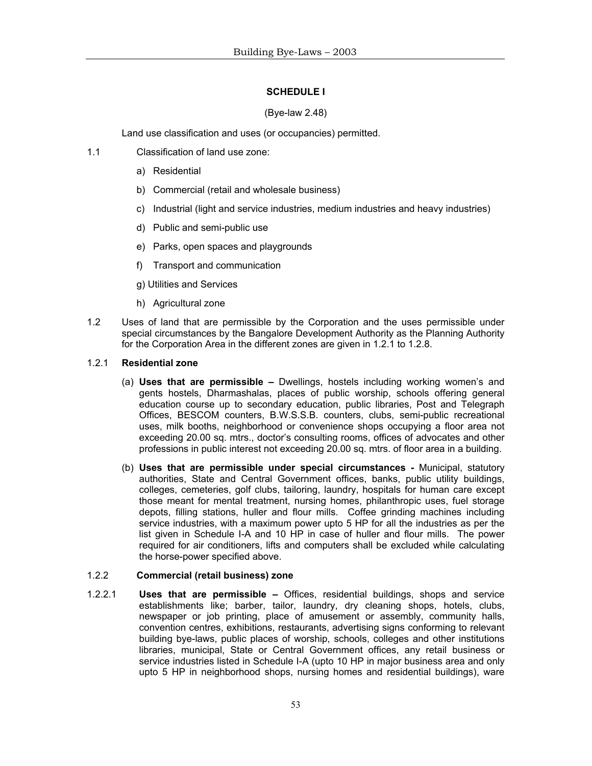# **SCHEDULE I**

# (Bye-law 2.48)

Land use classification and uses (or occupancies) permitted.

- 1.1 Classification of land use zone:
	- a) Residential
	- b) Commercial (retail and wholesale business)
	- c) Industrial (light and service industries, medium industries and heavy industries)
	- d) Public and semi-public use
	- e) Parks, open spaces and playgrounds
	- f) Transport and communication
	- g) Utilities and Services
	- h) Agricultural zone
- 1.2 Uses of land that are permissible by the Corporation and the uses permissible under special circumstances by the Bangalore Development Authority as the Planning Authority for the Corporation Area in the different zones are given in 1.2.1 to 1.2.8.

# 1.2.1 **Residential zone**

- (a) **Uses that are permissible** Dwellings, hostels including working women's and gents hostels, Dharmashalas, places of public worship, schools offering general education course up to secondary education, public libraries, Post and Telegraph Offices, BESCOM counters, B.W.S.S.B. counters, clubs, semi-public recreational uses, milk booths, neighborhood or convenience shops occupying a floor area not exceeding 20.00 sq. mtrs., doctor's consulting rooms, offices of advocates and other professions in public interest not exceeding 20.00 sq. mtrs. of floor area in a building.
- (b) **Uses that are permissible under special circumstances** Municipal, statutory authorities, State and Central Government offices, banks, public utility buildings, colleges, cemeteries, golf clubs, tailoring, laundry, hospitals for human care except those meant for mental treatment, nursing homes, philanthropic uses, fuel storage depots, filling stations, huller and flour mills. Coffee grinding machines including service industries, with a maximum power upto 5 HP for all the industries as per the list given in Schedule I-A and 10 HP in case of huller and flour mills. The power required for air conditioners, lifts and computers shall be excluded while calculating the horse-power specified above.

#### 1.2.2 **Commercial (retail business) zone**

1.2.2.1 **Uses that are permissible –** Offices, residential buildings, shops and service establishments like; barber, tailor, laundry, dry cleaning shops, hotels, clubs, newspaper or job printing, place of amusement or assembly, community halls, convention centres, exhibitions, restaurants, advertising signs conforming to relevant building bye-laws, public places of worship, schools, colleges and other institutions libraries, municipal, State or Central Government offices, any retail business or service industries listed in Schedule I-A (upto 10 HP in major business area and only upto 5 HP in neighborhood shops, nursing homes and residential buildings), ware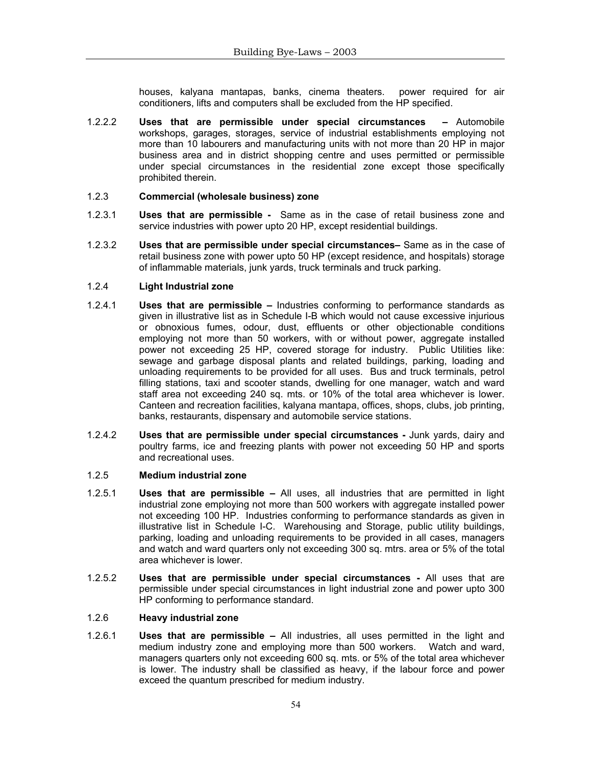houses, kalyana mantapas, banks, cinema theaters. power required for air conditioners, lifts and computers shall be excluded from the HP specified.

1.2.2.2 **Uses that are permissible under special circumstances –** Automobile workshops, garages, storages, service of industrial establishments employing not more than 10 labourers and manufacturing units with not more than 20 HP in major business area and in district shopping centre and uses permitted or permissible under special circumstances in the residential zone except those specifically prohibited therein.

#### 1.2.3 **Commercial (wholesale business) zone**

- 1.2.3.1 **Uses that are permissible** Same as in the case of retail business zone and service industries with power upto 20 HP, except residential buildings.
- 1.2.3.2 **Uses that are permissible under special circumstances–** Same as in the case of retail business zone with power upto 50 HP (except residence, and hospitals) storage of inflammable materials, junk yards, truck terminals and truck parking.

#### 1.2.4 **Light Industrial zone**

- 1.2.4.1 **Uses that are permissible** Industries conforming to performance standards as given in illustrative list as in Schedule I-B which would not cause excessive injurious or obnoxious fumes, odour, dust, effluents or other objectionable conditions employing not more than 50 workers, with or without power, aggregate installed power not exceeding 25 HP, covered storage for industry. Public Utilities like: sewage and garbage disposal plants and related buildings, parking, loading and unloading requirements to be provided for all uses. Bus and truck terminals, petrol filling stations, taxi and scooter stands, dwelling for one manager, watch and ward staff area not exceeding 240 sq. mts. or 10% of the total area whichever is lower. Canteen and recreation facilities, kalyana mantapa, offices, shops, clubs, job printing, banks, restaurants, dispensary and automobile service stations.
- 1.2.4.2 **Uses that are permissible under special circumstances** Junk yards, dairy and poultry farms, ice and freezing plants with power not exceeding 50 HP and sports and recreational uses.

#### 1.2.5 **Medium industrial zone**

- 1.2.5.1 **Uses that are permissible** All uses, all industries that are permitted in light industrial zone employing not more than 500 workers with aggregate installed power not exceeding 100 HP. Industries conforming to performance standards as given in illustrative list in Schedule I-C. Warehousing and Storage, public utility buildings, parking, loading and unloading requirements to be provided in all cases, managers and watch and ward quarters only not exceeding 300 sq. mtrs. area or 5% of the total area whichever is lower.
- 1.2.5.2 **Uses that are permissible under special circumstances** All uses that are permissible under special circumstances in light industrial zone and power upto 300 HP conforming to performance standard.

#### 1.2.6 **Heavy industrial zone**

1.2.6.1 **Uses that are permissible –** All industries, all uses permitted in the light and medium industry zone and employing more than 500 workers. Watch and ward, managers quarters only not exceeding 600 sq. mts. or 5% of the total area whichever is lower. The industry shall be classified as heavy, if the labour force and power exceed the quantum prescribed for medium industry.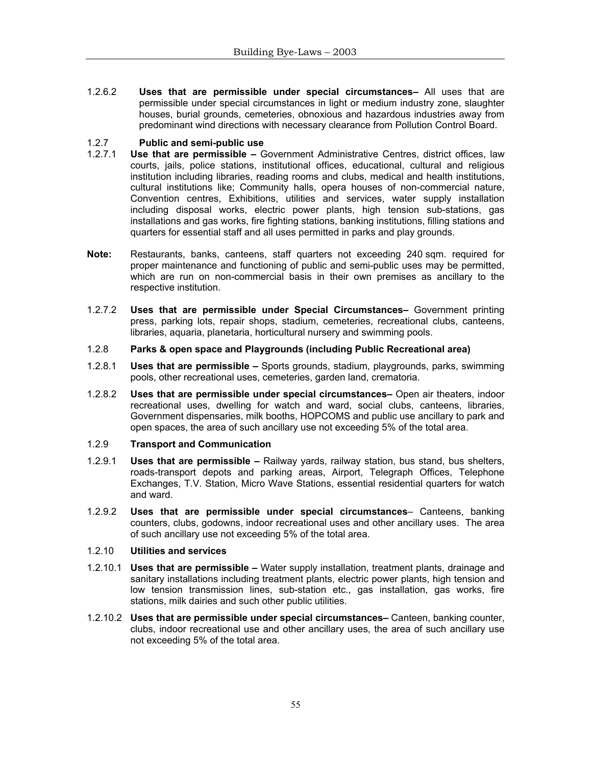1.2.6.2 **Uses that are permissible under special circumstances–** All uses that are permissible under special circumstances in light or medium industry zone, slaughter houses, burial grounds, cemeteries, obnoxious and hazardous industries away from predominant wind directions with necessary clearance from Pollution Control Board.

# 1.2.7 **Public and semi-public use**

- Use that are permissible Government Administrative Centres, district offices, law courts, jails, police stations, institutional offices, educational, cultural and religious institution including libraries, reading rooms and clubs, medical and health institutions, cultural institutions like; Community halls, opera houses of non-commercial nature, Convention centres, Exhibitions, utilities and services, water supply installation including disposal works, electric power plants, high tension sub-stations, gas installations and gas works, fire fighting stations, banking institutions, filling stations and quarters for essential staff and all uses permitted in parks and play grounds.
- **Note:** Restaurants, banks, canteens, staff quarters not exceeding 240 sqm. required for proper maintenance and functioning of public and semi-public uses may be permitted, which are run on non-commercial basis in their own premises as ancillary to the respective institution.
- 1.2.7.2 **Uses that are permissible under Special Circumstances–** Government printing press, parking lots, repair shops, stadium, cemeteries, recreational clubs, canteens, libraries, aquaria, planetaria, horticultural nursery and swimming pools.
- 1.2.8 **Parks & open space and Playgrounds (including Public Recreational area)**
- 1.2.8.1 **Uses that are permissible** Sports grounds, stadium, playgrounds, parks, swimming pools, other recreational uses, cemeteries, garden land, crematoria.
- 1.2.8.2 **Uses that are permissible under special circumstances–** Open air theaters, indoor recreational uses, dwelling for watch and ward, social clubs, canteens, libraries, Government dispensaries, milk booths, HOPCOMS and public use ancillary to park and open spaces, the area of such ancillary use not exceeding 5% of the total area.
- 1.2.9 **Transport and Communication**
- 1.2.9.1 **Uses that are permissible** Railway yards, railway station, bus stand, bus shelters, roads-transport depots and parking areas, Airport, Telegraph Offices, Telephone Exchanges, T.V. Station, Micro Wave Stations, essential residential quarters for watch and ward.
- 1.2.9.2 **Uses that are permissible under special circumstances** Canteens, banking counters, clubs, godowns, indoor recreational uses and other ancillary uses. The area of such ancillary use not exceeding 5% of the total area.

#### 1.2.10 **Utilities and services**

- 1.2.10.1 **Uses that are permissible** Water supply installation, treatment plants, drainage and sanitary installations including treatment plants, electric power plants, high tension and low tension transmission lines, sub-station etc., gas installation, gas works, fire stations, milk dairies and such other public utilities.
- 1.2.10.2 **Uses that are permissible under special circumstances–** Canteen, banking counter, clubs, indoor recreational use and other ancillary uses, the area of such ancillary use not exceeding 5% of the total area.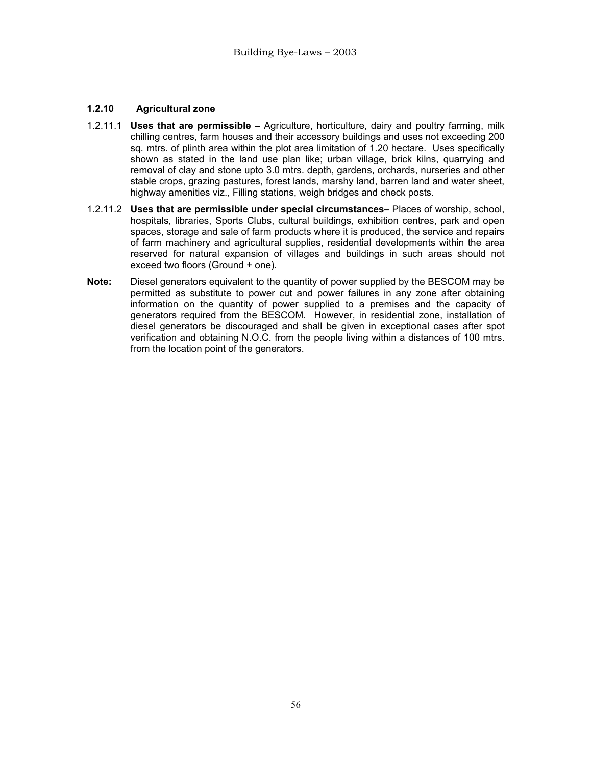# **1.2.10 Agricultural zone**

- 1.2.11.1 **Uses that are permissible** Agriculture, horticulture, dairy and poultry farming, milk chilling centres, farm houses and their accessory buildings and uses not exceeding 200 sq. mtrs. of plinth area within the plot area limitation of 1.20 hectare. Uses specifically shown as stated in the land use plan like; urban village, brick kilns, quarrying and removal of clay and stone upto 3.0 mtrs. depth, gardens, orchards, nurseries and other stable crops, grazing pastures, forest lands, marshy land, barren land and water sheet, highway amenities viz., Filling stations, weigh bridges and check posts.
- 1.2.11.2 **Uses that are permissible under special circumstances–** Places of worship, school, hospitals, libraries, Sports Clubs, cultural buildings, exhibition centres, park and open spaces, storage and sale of farm products where it is produced, the service and repairs of farm machinery and agricultural supplies, residential developments within the area reserved for natural expansion of villages and buildings in such areas should not exceed two floors (Ground + one).
- **Note:** Diesel generators equivalent to the quantity of power supplied by the BESCOM may be permitted as substitute to power cut and power failures in any zone after obtaining information on the quantity of power supplied to a premises and the capacity of generators required from the BESCOM. However, in residential zone, installation of diesel generators be discouraged and shall be given in exceptional cases after spot verification and obtaining N.O.C. from the people living within a distances of 100 mtrs. from the location point of the generators.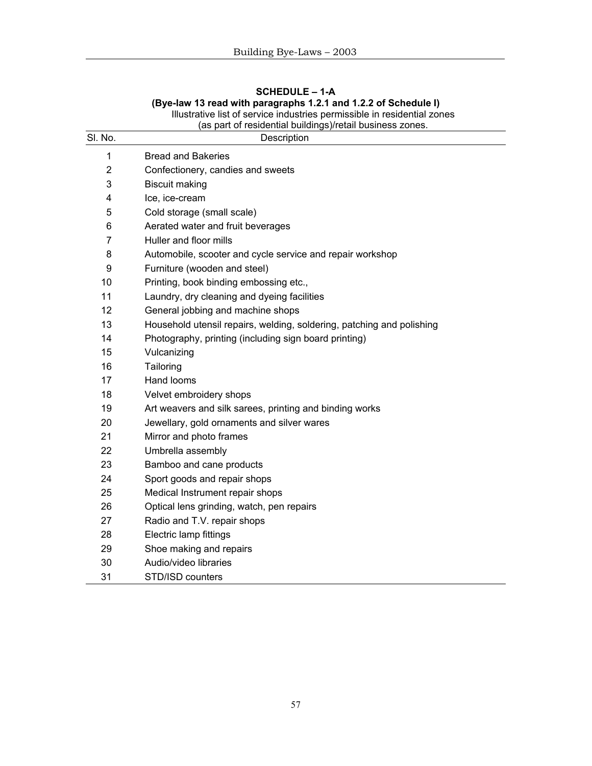| SI. No.        | (as part of residential buildings)/retail business zones.             |
|----------------|-----------------------------------------------------------------------|
|                | Description                                                           |
| 1              | <b>Bread and Bakeries</b>                                             |
| $\overline{2}$ | Confectionery, candies and sweets                                     |
| 3              | <b>Biscuit making</b>                                                 |
| 4              | Ice, ice-cream                                                        |
| 5              | Cold storage (small scale)                                            |
| 6              | Aerated water and fruit beverages                                     |
| $\overline{7}$ | Huller and floor mills                                                |
| 8              | Automobile, scooter and cycle service and repair workshop             |
| 9              | Furniture (wooden and steel)                                          |
| 10             | Printing, book binding embossing etc.,                                |
| 11             | Laundry, dry cleaning and dyeing facilities                           |
| 12             | General jobbing and machine shops                                     |
| 13             | Household utensil repairs, welding, soldering, patching and polishing |
| 14             | Photography, printing (including sign board printing)                 |
| 15             | Vulcanizing                                                           |
| 16             | Tailoring                                                             |
| 17             | Hand looms                                                            |
| 18             | Velvet embroidery shops                                               |
| 19             | Art weavers and silk sarees, printing and binding works               |
| 20             | Jewellary, gold ornaments and silver wares                            |
| 21             | Mirror and photo frames                                               |
| 22             | Umbrella assembly                                                     |
| 23             | Bamboo and cane products                                              |
| 24             | Sport goods and repair shops                                          |
| 25             | Medical Instrument repair shops                                       |
| 26             | Optical lens grinding, watch, pen repairs                             |
| 27             | Radio and T.V. repair shops                                           |
| 28             | Electric lamp fittings                                                |
| 29             | Shoe making and repairs                                               |
| 30             | Audio/video libraries                                                 |
| 31             | STD/ISD counters                                                      |

# **SCHEDULE – 1-A (Bye-law 13 read with paragraphs 1.2.1 and 1.2.2 of Schedule I)**  Illustrative list of service industries permissible in residential zones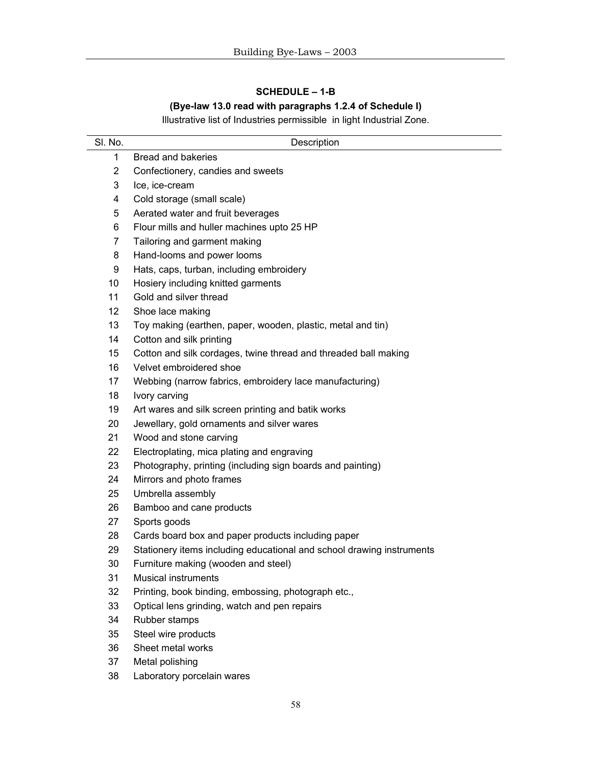# **SCHEDULE – 1-B**

# **(Bye-law 13.0 read with paragraphs 1.2.4 of Schedule I)**

Illustrative list of Industries permissible in light Industrial Zone.

| SI. No.        | Description                                                           |
|----------------|-----------------------------------------------------------------------|
| 1              | Bread and bakeries                                                    |
| 2              | Confectionery, candies and sweets                                     |
| 3              | Ice, ice-cream                                                        |
| 4              | Cold storage (small scale)                                            |
| 5              | Aerated water and fruit beverages                                     |
| 6              | Flour mills and huller machines upto 25 HP                            |
| $\overline{7}$ | Tailoring and garment making                                          |
| 8              | Hand-looms and power looms                                            |
| 9              | Hats, caps, turban, including embroidery                              |
| 10             | Hosiery including knitted garments                                    |
| 11             | Gold and silver thread                                                |
| 12             | Shoe lace making                                                      |
| 13             | Toy making (earthen, paper, wooden, plastic, metal and tin)           |
| 14             | Cotton and silk printing                                              |
| 15             | Cotton and silk cordages, twine thread and threaded ball making       |
| 16             | Velvet embroidered shoe                                               |
| 17             | Webbing (narrow fabrics, embroidery lace manufacturing)               |
| 18             | Ivory carving                                                         |
| 19             | Art wares and silk screen printing and batik works                    |
| 20             | Jewellary, gold ornaments and silver wares                            |
| 21             | Wood and stone carving                                                |
| 22             | Electroplating, mica plating and engraving                            |
| 23             | Photography, printing (including sign boards and painting)            |
| 24             | Mirrors and photo frames                                              |
| 25             | Umbrella assembly                                                     |
| 26             | Bamboo and cane products                                              |
| 27             | Sports goods                                                          |
| 28             | Cards board box and paper products including paper                    |
| 29             | Stationery items including educational and school drawing instruments |
| 30             | Furniture making (wooden and steel)                                   |
| 31             | Musical instruments                                                   |
| 32             | Printing, book binding, embossing, photograph etc.,                   |
| 33             | Optical lens grinding, watch and pen repairs                          |
| 34             | Rubber stamps                                                         |
| 35             | Steel wire products                                                   |
| 36             | Sheet metal works                                                     |
| 37             | Metal polishing                                                       |
| 38             | Laboratory porcelain wares                                            |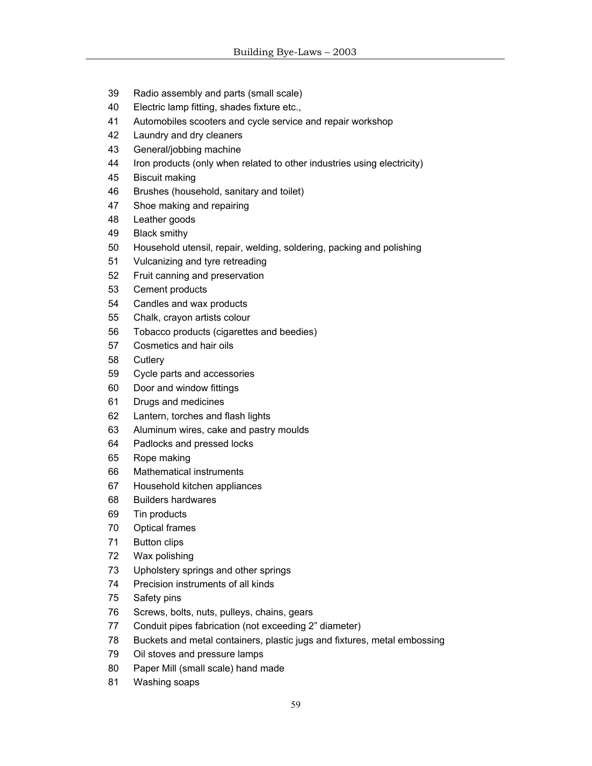- 39 Radio assembly and parts (small scale)
- 40 Electric lamp fitting, shades fixture etc.,
- 41 Automobiles scooters and cycle service and repair workshop
- 42 Laundry and dry cleaners
- 43 General/jobbing machine
- 44 Iron products (only when related to other industries using electricity)
- 45 Biscuit making
- 46 Brushes (household, sanitary and toilet)
- 47 Shoe making and repairing
- 48 Leather goods
- 49 Black smithy
- 50 Household utensil, repair, welding, soldering, packing and polishing
- 51 Vulcanizing and tyre retreading
- 52 Fruit canning and preservation
- 53 Cement products
- 54 Candles and wax products
- 55 Chalk, crayon artists colour
- 56 Tobacco products (cigarettes and beedies)
- 57 Cosmetics and hair oils
- 58 Cutlery
- 59 Cycle parts and accessories
- 60 Door and window fittings
- 61 Drugs and medicines
- 62 Lantern, torches and flash lights
- 63 Aluminum wires, cake and pastry moulds
- 64 Padlocks and pressed locks
- 65 Rope making
- 66 Mathematical instruments
- 67 Household kitchen appliances
- 68 Builders hardwares
- 69 Tin products
- 70 Optical frames
- 71 Button clips
- 72 Wax polishing
- 73 Upholstery springs and other springs
- 74 Precision instruments of all kinds
- 75 Safety pins
- 76 Screws, bolts, nuts, pulleys, chains, gears
- 77 Conduit pipes fabrication (not exceeding 2" diameter)
- 78 Buckets and metal containers, plastic jugs and fixtures, metal embossing
- 79 Oil stoves and pressure lamps
- 80 Paper Mill (small scale) hand made
- 81 Washing soaps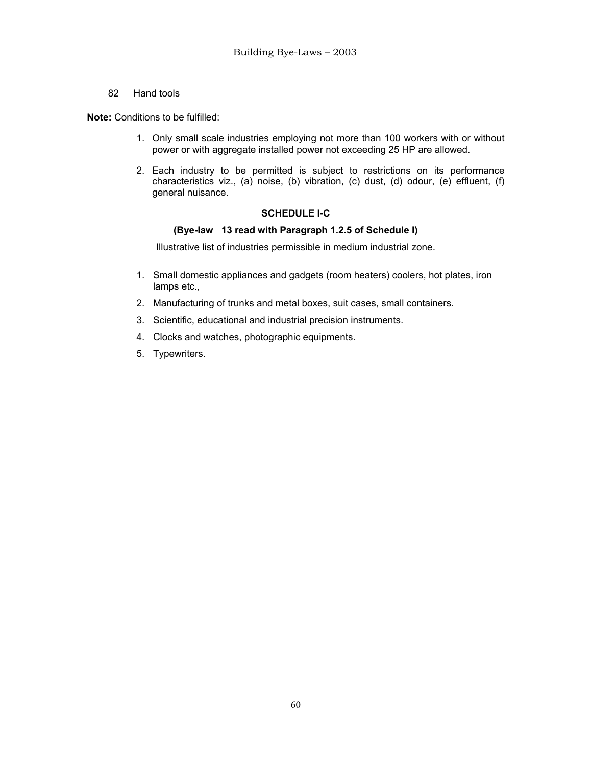82 Hand tools

**Note:** Conditions to be fulfilled:

- 1. Only small scale industries employing not more than 100 workers with or without power or with aggregate installed power not exceeding 25 HP are allowed.
- 2. Each industry to be permitted is subject to restrictions on its performance characteristics viz., (a) noise, (b) vibration, (c) dust, (d) odour, (e) effluent, (f) general nuisance.

# **SCHEDULE I-C**

#### **(Bye-law 13 read with Paragraph 1.2.5 of Schedule I)**

Illustrative list of industries permissible in medium industrial zone.

- 1. Small domestic appliances and gadgets (room heaters) coolers, hot plates, iron lamps etc.,
- 2. Manufacturing of trunks and metal boxes, suit cases, small containers.
- 3. Scientific, educational and industrial precision instruments.
- 4. Clocks and watches, photographic equipments.
- 5. Typewriters.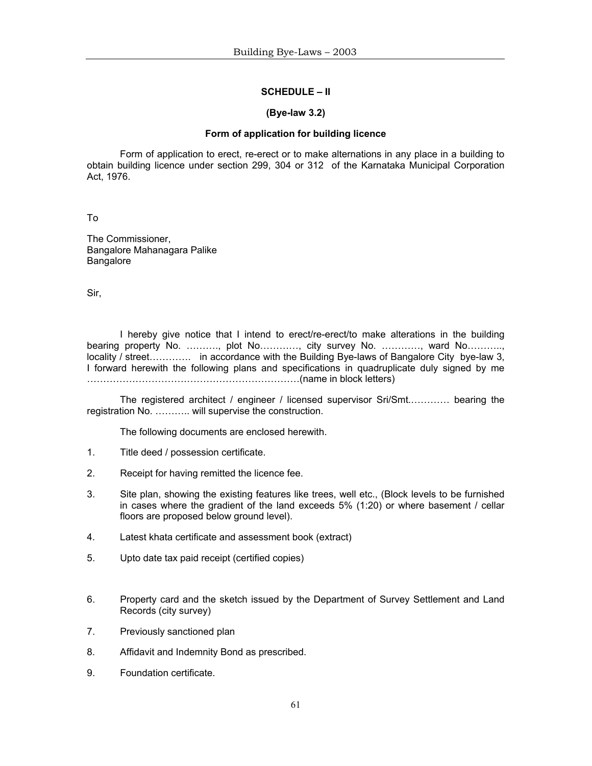#### **SCHEDULE – II**

#### **(Bye-law 3.2)**

#### **Form of application for building licence**

 Form of application to erect, re-erect or to make alternations in any place in a building to obtain building licence under section 299, 304 or 312 of the Karnataka Municipal Corporation Act, 1976.

To

The Commissioner, Bangalore Mahanagara Palike Bangalore

Sir,

 I hereby give notice that I intend to erect/re-erect/to make alterations in the building bearing property No. ………., plot No…………, city survey No. …………, ward No……….., locality / street…………. in accordance with the Building Bye-laws of Bangalore City bye-law 3, I forward herewith the following plans and specifications in quadruplicate duly signed by me …………………………………………………………(name in block letters)

 The registered architect / engineer / licensed supervisor Sri/Smt.………… bearing the registration No. ……….. will supervise the construction.

The following documents are enclosed herewith.

- 1. Title deed / possession certificate.
- 2. Receipt for having remitted the licence fee.
- 3. Site plan, showing the existing features like trees, well etc., (Block levels to be furnished in cases where the gradient of the land exceeds 5% (1:20) or where basement / cellar floors are proposed below ground level).
- 4. Latest khata certificate and assessment book (extract)
- 5. Upto date tax paid receipt (certified copies)
- 6. Property card and the sketch issued by the Department of Survey Settlement and Land Records (city survey)
- 7. Previously sanctioned plan
- 8. Affidavit and Indemnity Bond as prescribed.
- 9. Foundation certificate.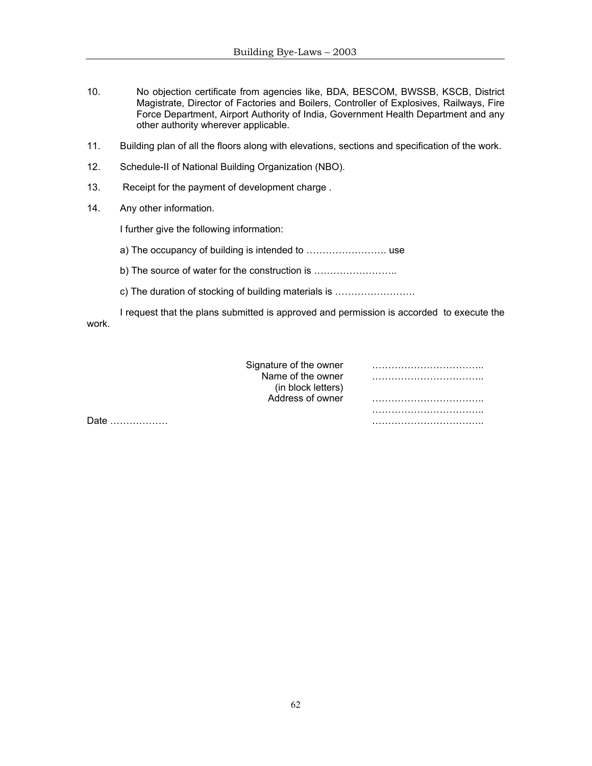- 10. No objection certificate from agencies like, BDA, BESCOM, BWSSB, KSCB, District Magistrate, Director of Factories and Boilers, Controller of Explosives, Railways, Fire Force Department, Airport Authority of India, Government Health Department and any other authority wherever applicable.
- 11. Building plan of all the floors along with elevations, sections and specification of the work.
- 12. Schedule-II of National Building Organization (NBO).
- 13. Receipt for the payment of development charge .
- 14. Any other information.

I further give the following information:

a) The occupancy of building is intended to ……………………. use

b) The source of water for the construction is ……………………..

c) The duration of stocking of building materials is …………………….

 I request that the plans submitted is approved and permission is accorded to execute the work.

| Signature of the owner |  |
|------------------------|--|
| Name of the owner      |  |
| (in block letters)     |  |
| Address of owner       |  |
|                        |  |

Date ……………… ……………………………..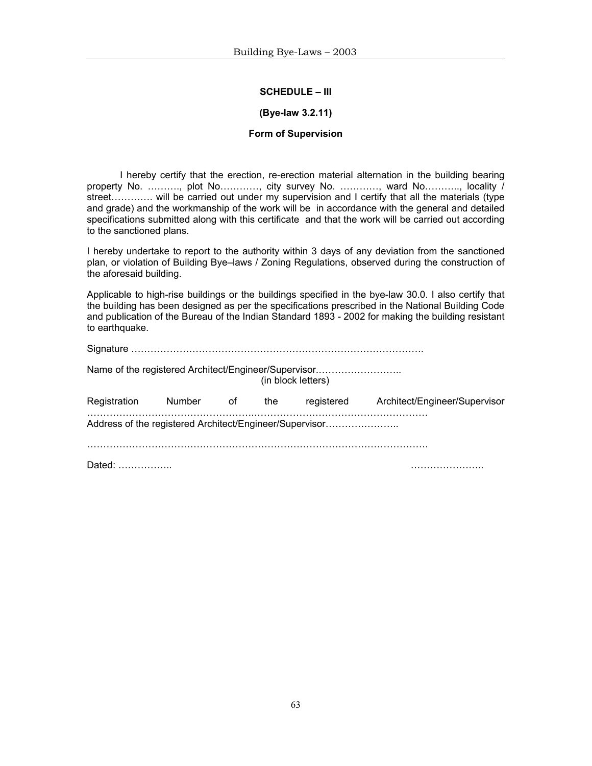#### **SCHEDULE – III**

#### **(Bye-law 3.2.11)**

#### **Form of Supervision**

 I hereby certify that the erection, re-erection material alternation in the building bearing property No. ………., plot No…………, city survey No. …………, ward No……….., locality / street…………. will be carried out under my supervision and I certify that all the materials (type and grade) and the workmanship of the work will be in accordance with the general and detailed specifications submitted along with this certificate and that the work will be carried out according to the sanctioned plans.

I hereby undertake to report to the authority within 3 days of any deviation from the sanctioned plan, or violation of Building Bye–laws / Zoning Regulations, observed during the construction of the aforesaid building.

Applicable to high-rise buildings or the buildings specified in the bye-law 30.0. I also certify that the building has been designed as per the specifications prescribed in the National Building Code and publication of the Bureau of the Indian Standard 1893 - 2002 for making the building resistant to earthquake.

|              |        |    |     | Name of the registered Architect/Engineer/Supervisor<br>(in block letters) |                               |
|--------------|--------|----|-----|----------------------------------------------------------------------------|-------------------------------|
| Registration | Number | 0f | the | registered                                                                 | Architect/Engineer/Supervisor |
|              |        |    |     | Address of the registered Architect/Engineer/Supervisor                    |                               |
| Dated:       |        |    |     |                                                                            |                               |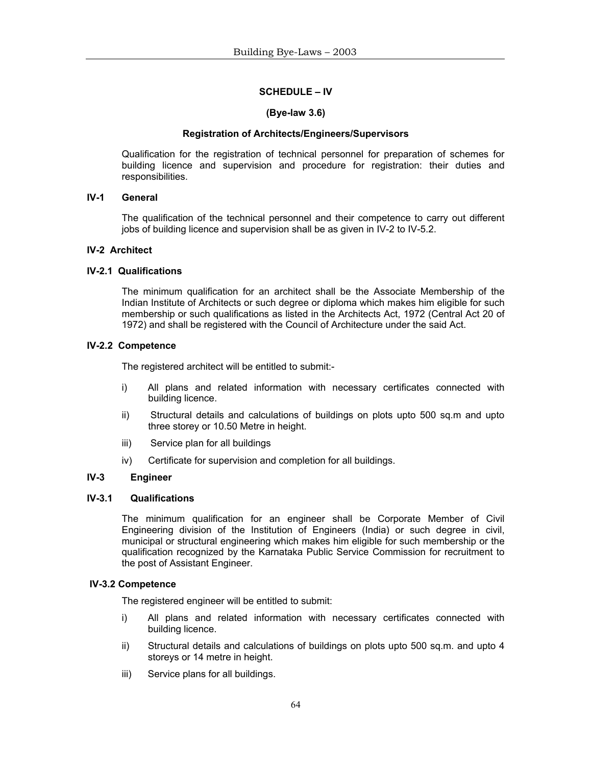#### **SCHEDULE – IV**

#### **(Bye-law 3.6)**

#### **Registration of Architects/Engineers/Supervisors**

 Qualification for the registration of technical personnel for preparation of schemes for building licence and supervision and procedure for registration: their duties and responsibilities.

# **IV-1 General**

 The qualification of the technical personnel and their competence to carry out different jobs of building licence and supervision shall be as given in IV-2 to IV-5.2.

# **IV-2 Architect**

# **IV-2.1 Qualifications**

 The minimum qualification for an architect shall be the Associate Membership of the Indian Institute of Architects or such degree or diploma which makes him eligible for such membership or such qualifications as listed in the Architects Act, 1972 (Central Act 20 of 1972) and shall be registered with the Council of Architecture under the said Act.

# **IV-2.2 Competence**

The registered architect will be entitled to submit:-

- i) All plans and related information with necessary certificates connected with building licence.
- ii) Structural details and calculations of buildings on plots upto 500 sq.m and upto three storey or 10.50 Metre in height.
- iii) Service plan for all buildings
- iv) Certificate for supervision and completion for all buildings.

#### **IV-3 Engineer**

#### **IV-3.1 Qualifications**

The minimum qualification for an engineer shall be Corporate Member of Civil Engineering division of the Institution of Engineers (India) or such degree in civil, municipal or structural engineering which makes him eligible for such membership or the qualification recognized by the Karnataka Public Service Commission for recruitment to the post of Assistant Engineer.

#### **IV-3.2 Competence**

The registered engineer will be entitled to submit:

- i) All plans and related information with necessary certificates connected with building licence.
- ii) Structural details and calculations of buildings on plots upto 500 sq.m. and upto 4 storeys or 14 metre in height.
- iii) Service plans for all buildings.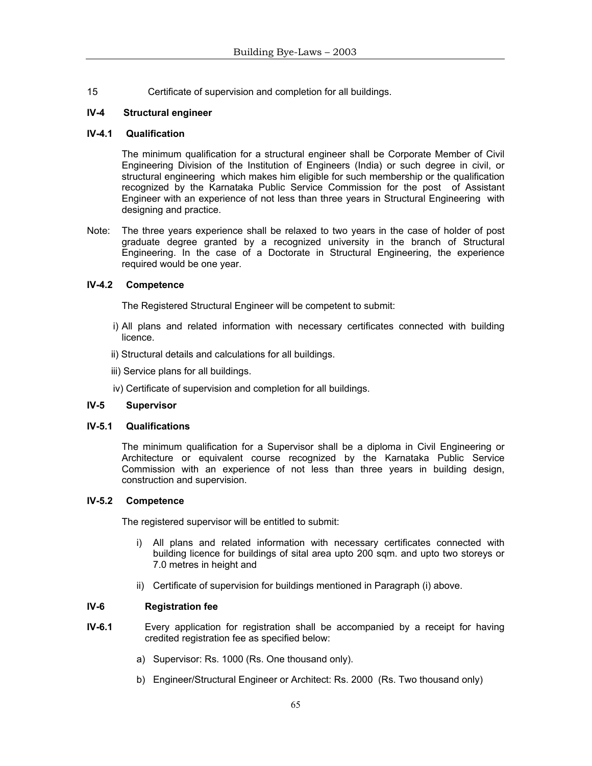15 Certificate of supervision and completion for all buildings.

# **IV-4 Structural engineer**

#### **IV-4.1 Qualification**

 The minimum qualification for a structural engineer shall be Corporate Member of Civil Engineering Division of the Institution of Engineers (India) or such degree in civil, or structural engineering which makes him eligible for such membership or the qualification recognized by the Karnataka Public Service Commission for the post of Assistant Engineer with an experience of not less than three years in Structural Engineering with designing and practice.

Note: The three years experience shall be relaxed to two years in the case of holder of post graduate degree granted by a recognized university in the branch of Structural Engineering. In the case of a Doctorate in Structural Engineering, the experience required would be one year.

# **IV-4.2 Competence**

The Registered Structural Engineer will be competent to submit:

- i) All plans and related information with necessary certificates connected with building licence.
- ii) Structural details and calculations for all buildings.
- iii) Service plans for all buildings.
- iv) Certificate of supervision and completion for all buildings.

# **IV-5 Supervisor**

#### **IV-5.1 Qualifications**

The minimum qualification for a Supervisor shall be a diploma in Civil Engineering or Architecture or equivalent course recognized by the Karnataka Public Service Commission with an experience of not less than three years in building design, construction and supervision.

#### **IV-5.2 Competence**

The registered supervisor will be entitled to submit:

- i) All plans and related information with necessary certificates connected with building licence for buildings of sital area upto 200 sqm. and upto two storeys or 7.0 metres in height and
- ii) Certificate of supervision for buildings mentioned in Paragraph (i) above.

# **IV-6 Registration fee**

- **IV-6.1** Every application for registration shall be accompanied by a receipt for having credited registration fee as specified below:
	- a) Supervisor: Rs. 1000 (Rs. One thousand only).
	- b) Engineer/Structural Engineer or Architect: Rs. 2000 (Rs. Two thousand only)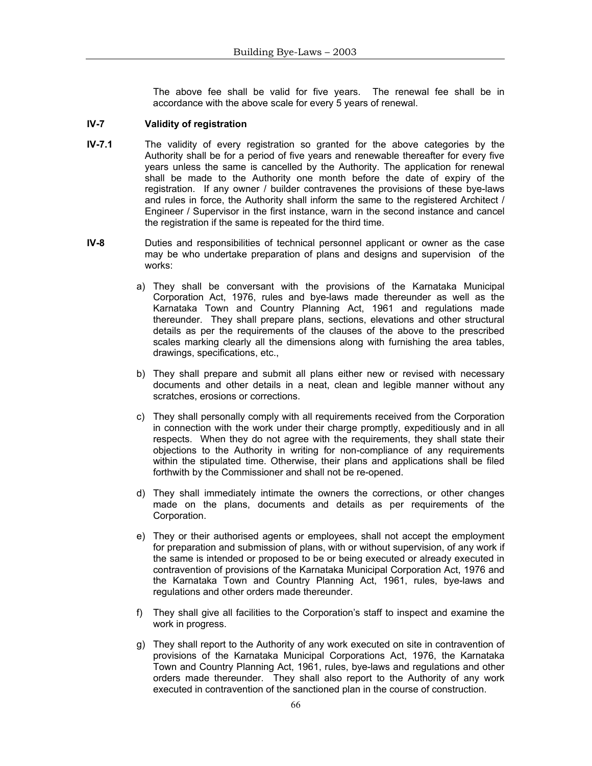The above fee shall be valid for five years. The renewal fee shall be in accordance with the above scale for every 5 years of renewal.

#### **IV-7 Validity of registration**

- **IV-7.1** The validity of every registration so granted for the above categories by the Authority shall be for a period of five years and renewable thereafter for every five years unless the same is cancelled by the Authority. The application for renewal shall be made to the Authority one month before the date of expiry of the registration. If any owner / builder contravenes the provisions of these bye-laws and rules in force, the Authority shall inform the same to the registered Architect / Engineer / Supervisor in the first instance, warn in the second instance and cancel the registration if the same is repeated for the third time.
- **IV-8** Duties and responsibilities of technical personnel applicant or owner as the case may be who undertake preparation of plans and designs and supervision of the works:
	- a) They shall be conversant with the provisions of the Karnataka Municipal Corporation Act, 1976, rules and bye-laws made thereunder as well as the Karnataka Town and Country Planning Act, 1961 and regulations made thereunder. They shall prepare plans, sections, elevations and other structural details as per the requirements of the clauses of the above to the prescribed scales marking clearly all the dimensions along with furnishing the area tables, drawings, specifications, etc.,
	- b) They shall prepare and submit all plans either new or revised with necessary documents and other details in a neat, clean and legible manner without any scratches, erosions or corrections.
	- c) They shall personally comply with all requirements received from the Corporation in connection with the work under their charge promptly, expeditiously and in all respects. When they do not agree with the requirements, they shall state their objections to the Authority in writing for non-compliance of any requirements within the stipulated time. Otherwise, their plans and applications shall be filed forthwith by the Commissioner and shall not be re-opened.
	- d) They shall immediately intimate the owners the corrections, or other changes made on the plans, documents and details as per requirements of the Corporation.
	- e) They or their authorised agents or employees, shall not accept the employment for preparation and submission of plans, with or without supervision, of any work if the same is intended or proposed to be or being executed or already executed in contravention of provisions of the Karnataka Municipal Corporation Act, 1976 and the Karnataka Town and Country Planning Act, 1961, rules, bye-laws and regulations and other orders made thereunder.
	- f) They shall give all facilities to the Corporation's staff to inspect and examine the work in progress.
	- g) They shall report to the Authority of any work executed on site in contravention of provisions of the Karnataka Municipal Corporations Act, 1976, the Karnataka Town and Country Planning Act, 1961, rules, bye-laws and regulations and other orders made thereunder. They shall also report to the Authority of any work executed in contravention of the sanctioned plan in the course of construction.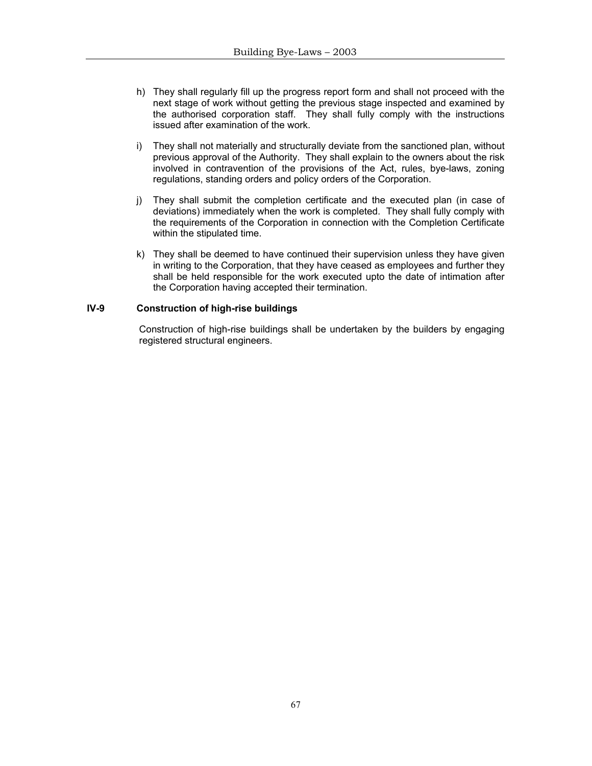- h) They shall regularly fill up the progress report form and shall not proceed with the next stage of work without getting the previous stage inspected and examined by the authorised corporation staff. They shall fully comply with the instructions issued after examination of the work.
- i) They shall not materially and structurally deviate from the sanctioned plan, without previous approval of the Authority. They shall explain to the owners about the risk involved in contravention of the provisions of the Act, rules, bye-laws, zoning regulations, standing orders and policy orders of the Corporation.
- j) They shall submit the completion certificate and the executed plan (in case of deviations) immediately when the work is completed. They shall fully comply with the requirements of the Corporation in connection with the Completion Certificate within the stipulated time.
- k) They shall be deemed to have continued their supervision unless they have given in writing to the Corporation, that they have ceased as employees and further they shall be held responsible for the work executed upto the date of intimation after the Corporation having accepted their termination.

# **IV-9 Construction of high-rise buildings**

Construction of high-rise buildings shall be undertaken by the builders by engaging registered structural engineers.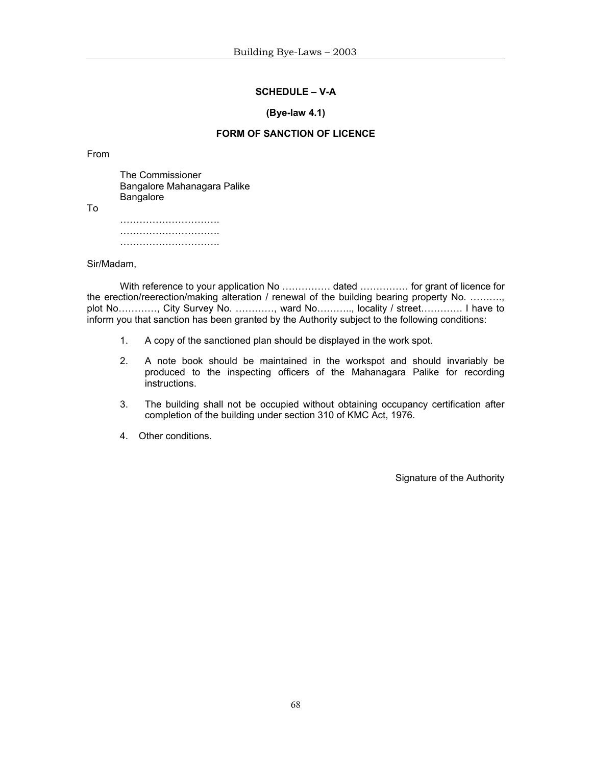#### **SCHEDULE – V-A**

#### **(Bye-law 4.1)**

# **FORM OF SANCTION OF LICENCE**

#### From

 The Commissioner Bangalore Mahanagara Palike **Bangalore** To …………………………. …………………………. ………………………………

Sir/Madam,

With reference to your application No ............... dated ............... for grant of licence for the erection/reerection/making alteration / renewal of the building bearing property No. ………., plot No…………, City Survey No. …………, ward No……….., locality / street…………. I have to inform you that sanction has been granted by the Authority subject to the following conditions:

- 1. A copy of the sanctioned plan should be displayed in the work spot.
- 2. A note book should be maintained in the workspot and should invariably be produced to the inspecting officers of the Mahanagara Palike for recording instructions.
- 3. The building shall not be occupied without obtaining occupancy certification after completion of the building under section 310 of KMC Act, 1976.
- 4. Other conditions.

Signature of the Authority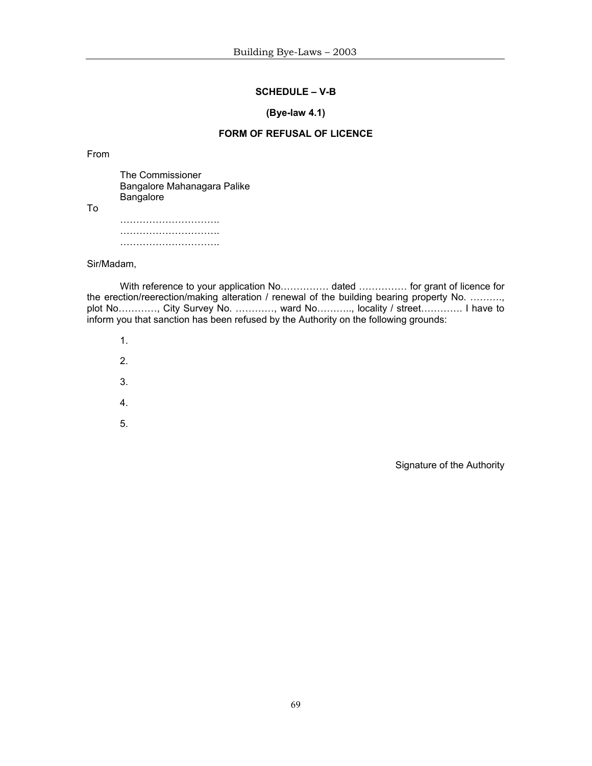# **SCHEDULE – V-B**

#### **(Bye-law 4.1)**

# **FORM OF REFUSAL OF LICENCE**

From

To

 The Commissioner Bangalore Mahanagara Palike **Bangalore**  …………………………. …………………………. ………………………………

Sir/Madam,

With reference to your application No............... dated ............... for grant of licence for the erection/reerection/making alteration / renewal of the building bearing property No. ………., plot No…………, City Survey No. …………, ward No……….., locality / street…………. I have to inform you that sanction has been refused by the Authority on the following grounds:

- 1.
- 2.
- 
- 3.
- 4.
- 5.

Signature of the Authority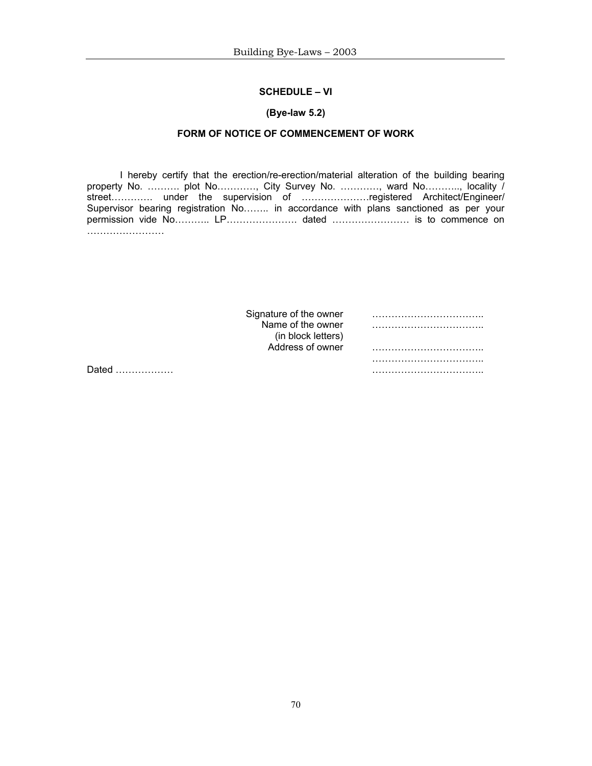# **SCHEDULE – VI**

#### **(Bye-law 5.2)**

# **FORM OF NOTICE OF COMMENCEMENT OF WORK**

 I hereby certify that the erection/re-erection/material alteration of the building bearing property No. ........... plot No............, City Survey No. ..........., ward No..........., locality / street…………. under the supervision of …………………registered Architect/Engineer/ Supervisor bearing registration No…….. in accordance with plans sanctioned as per your permission vide No………… LP……………………… dated …………………………… is to commence on …………………………

|   | Signature of the owner<br>Name of the owner |  |
|---|---------------------------------------------|--|
|   | (in block letters)                          |  |
|   | Address of owner                            |  |
| . |                                             |  |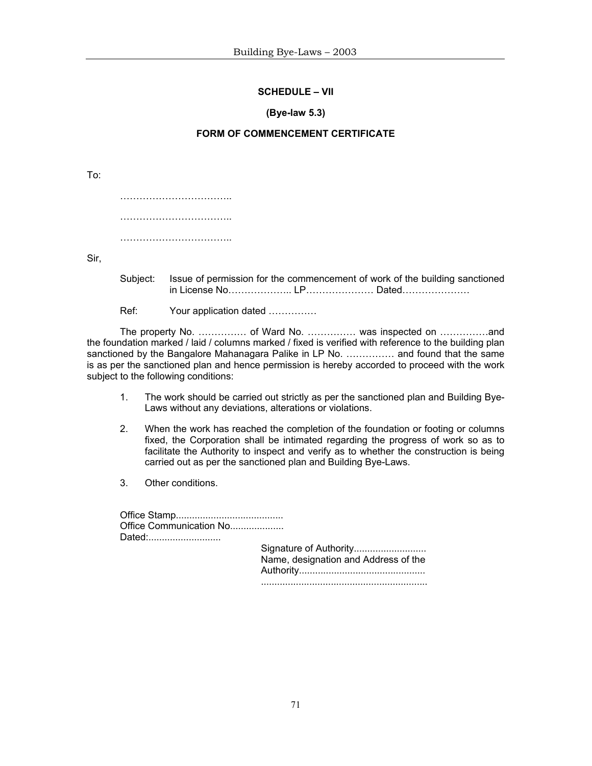# **SCHEDULE – VII**

#### **(Bye-law 5.3)**

# **FORM OF COMMENCEMENT CERTIFICATE**

To: ………………………………… …………………………………… ………………………………………

Sir,

 Subject: Issue of permission for the commencement of work of the building sanctioned in License No……………….. LP………………… Dated…………………

Ref: Your application dated ...............

 The property No. …………… of Ward No. …………… was inspected on ……………and the foundation marked / laid / columns marked / fixed is verified with reference to the building plan sanctioned by the Bangalore Mahanagara Palike in LP No. …………… and found that the same is as per the sanctioned plan and hence permission is hereby accorded to proceed with the work subject to the following conditions:

- 1. The work should be carried out strictly as per the sanctioned plan and Building Bye-Laws without any deviations, alterations or violations.
- 2. When the work has reached the completion of the foundation or footing or columns fixed, the Corporation shall be intimated regarding the progress of work so as to facilitate the Authority to inspect and verify as to whether the construction is being carried out as per the sanctioned plan and Building Bye-Laws.
- 3. Other conditions.

| Office Communication No |                                      |
|-------------------------|--------------------------------------|
| Dated:                  | Name, designation and Address of the |
|                         |                                      |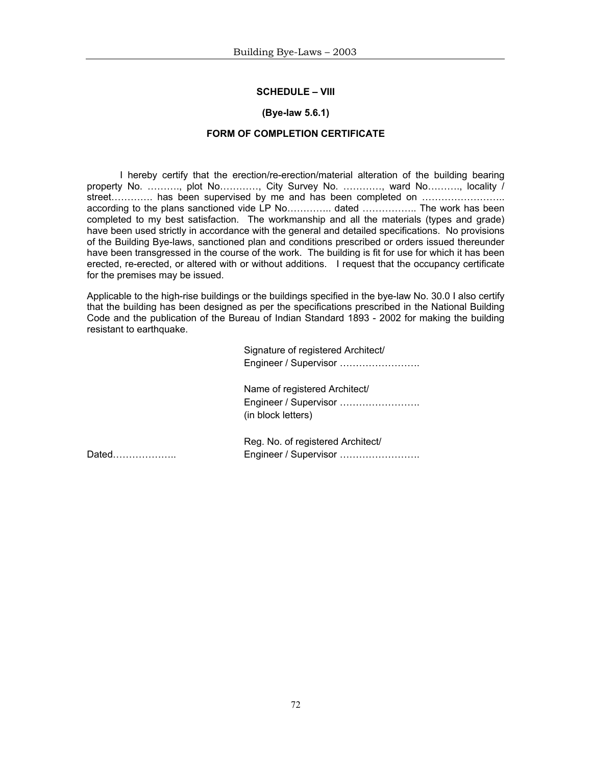#### **SCHEDULE – VIII**

#### **(Bye-law 5.6.1)**

#### **FORM OF COMPLETION CERTIFICATE**

 I hereby certify that the erection/re-erection/material alteration of the building bearing property No. ………., plot No…………, City Survey No. …………, ward No………., locality / street………….. has been supervised by me and has been completed on ………………………. according to the plans sanctioned vide LP No………….. dated …………….. The work has been completed to my best satisfaction. The workmanship and all the materials (types and grade) have been used strictly in accordance with the general and detailed specifications. No provisions of the Building Bye-laws, sanctioned plan and conditions prescribed or orders issued thereunder have been transgressed in the course of the work. The building is fit for use for which it has been erected, re-erected, or altered with or without additions. I request that the occupancy certificate for the premises may be issued.

Applicable to the high-rise buildings or the buildings specified in the bye-law No. 30.0 I also certify that the building has been designed as per the specifications prescribed in the National Building Code and the publication of the Bureau of Indian Standard 1893 - 2002 for making the building resistant to earthquake.

> Signature of registered Architect/ Engineer / Supervisor …………………….

 Name of registered Architect/ Engineer / Supervisor ……………………. (in block letters)

 Reg. No. of registered Architect/ Dated……………….. Engineer / Supervisor …………………….

72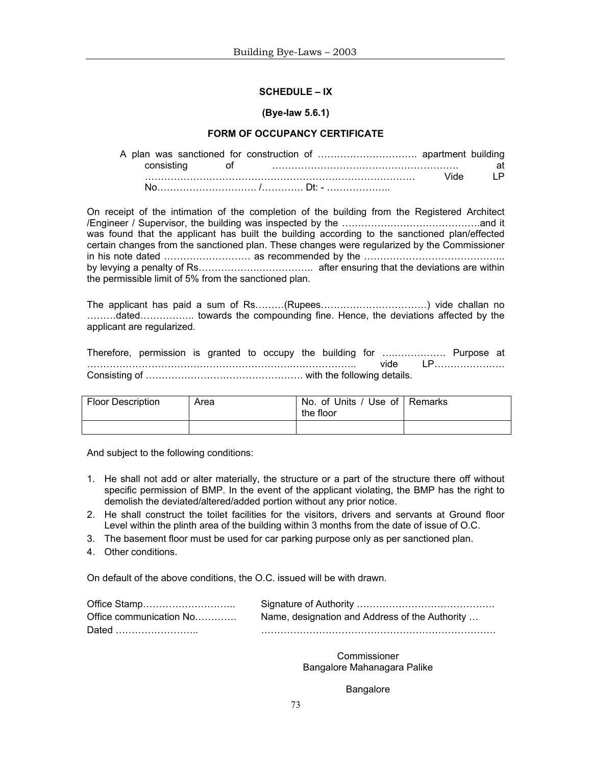#### **SCHEDULE – IX**

#### **(Bye-law 5.6.1)**

#### **FORM OF OCCUPANCY CERTIFICATE**

 A plan was sanctioned for construction of …………………………. apartment building consisting of …………………………………………………. at ………………………………………………………………………… Vide LP No…………………………. /…………. Dt: - ………………..

On receipt of the intimation of the completion of the building from the Registered Architect /Engineer / Supervisor, the building was inspected by the …………………………………….and it was found that the applicant has built the building according to the sanctioned plan/effected certain changes from the sanctioned plan. These changes were regularized by the Commissioner in his note dated ……………………… as recommended by the …………………………………….. by levying a penalty of Rs……………….…………….. after ensuring that the deviations are within the permissible limit of 5% from the sanctioned plan.

The applicant has paid a sum of Rs………(Rupees……………………………) vide challan no ………dated…………….. towards the compounding fine. Hence, the deviations affected by the applicant are regularized.

Therefore, permission is granted to occupy the building for ….……………. Purpose at ……………………………………………………….……………….. vide LP…………………. Consisting of …………………………………………. with the following details.

| <b>Floor Description</b> | Area | No. of Units / Use of Remarks<br>the floor |  |
|--------------------------|------|--------------------------------------------|--|
|                          |      |                                            |  |

And subject to the following conditions:

- 1. He shall not add or alter materially, the structure or a part of the structure there off without specific permission of BMP. In the event of the applicant violating, the BMP has the right to demolish the deviated/altered/added portion without any prior notice.
- 2. He shall construct the toilet facilities for the visitors, drivers and servants at Ground floor Level within the plinth area of the building within 3 months from the date of issue of O.C.
- 3. The basement floor must be used for car parking purpose only as per sanctioned plan.
- 4. Other conditions.

On default of the above conditions, the O.C. issued will be with drawn.

| Office communication No | Name, designation and Address of the Authority |
|-------------------------|------------------------------------------------|
| Dated                   |                                                |

**Commissioner** Bangalore Mahanagara Palike

**Bangalore**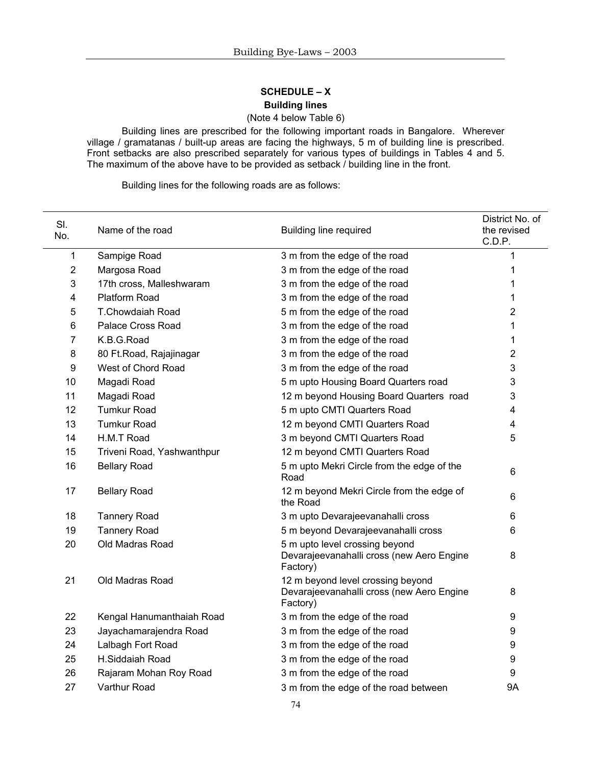# **SCHEDULE – X Building lines**

# (Note 4 below Table 6)

Building lines are prescribed for the following important roads in Bangalore. Wherever village / gramatanas / built-up areas are facing the highways, 5 m of building line is prescribed. Front setbacks are also prescribed separately for various types of buildings in Tables 4 and 5. The maximum of the above have to be provided as setback / building line in the front.

Building lines for the following roads are as follows:

| SI.<br>No. | Name of the road           | <b>Building line required</b>                                                              | District No. of<br>the revised<br>C.D.P. |
|------------|----------------------------|--------------------------------------------------------------------------------------------|------------------------------------------|
| 1          | Sampige Road               | 3 m from the edge of the road                                                              | 1                                        |
| 2          | Margosa Road               | 3 m from the edge of the road                                                              | 1                                        |
| 3          | 17th cross, Malleshwaram   | 3 m from the edge of the road                                                              | 1                                        |
| 4          | Platform Road              | 3 m from the edge of the road                                                              | 1                                        |
| 5          | <b>T.Chowdaiah Road</b>    | 5 m from the edge of the road                                                              | $\overline{2}$                           |
| 6          | Palace Cross Road          | 3 m from the edge of the road                                                              | 1                                        |
| 7          | K.B.G.Road                 | 3 m from the edge of the road                                                              | 1                                        |
| 8          | 80 Ft. Road, Rajajinagar   | 3 m from the edge of the road                                                              | 2                                        |
| 9          | West of Chord Road         | 3 m from the edge of the road                                                              | 3                                        |
| 10         | Magadi Road                | 5 m upto Housing Board Quarters road                                                       | 3                                        |
| 11         | Magadi Road                | 12 m beyond Housing Board Quarters road                                                    | 3                                        |
| 12         | <b>Tumkur Road</b>         | 5 m upto CMTI Quarters Road                                                                | 4                                        |
| 13         | <b>Tumkur Road</b>         | 12 m beyond CMTI Quarters Road                                                             | 4                                        |
| 14         | H.M.T Road                 | 3 m beyond CMTI Quarters Road                                                              | 5                                        |
| 15         | Triveni Road, Yashwanthpur | 12 m beyond CMTI Quarters Road                                                             |                                          |
| 16         | <b>Bellary Road</b>        | 5 m upto Mekri Circle from the edge of the<br>Road                                         | $6\phantom{1}$                           |
| 17         | <b>Bellary Road</b>        | 12 m beyond Mekri Circle from the edge of<br>the Road                                      | 6                                        |
| 18         | <b>Tannery Road</b>        | 3 m upto Devarajeevanahalli cross                                                          | 6                                        |
| 19         | <b>Tannery Road</b>        | 5 m beyond Devarajeevanahalli cross                                                        | 6                                        |
| 20         | Old Madras Road            | 5 m upto level crossing beyond<br>Devarajeevanahalli cross (new Aero Engine<br>Factory)    | 8                                        |
| 21         | Old Madras Road            | 12 m beyond level crossing beyond<br>Devarajeevanahalli cross (new Aero Engine<br>Factory) | 8                                        |
| 22         | Kengal Hanumanthaiah Road  | 3 m from the edge of the road                                                              | 9                                        |
| 23         | Jayachamarajendra Road     | 3 m from the edge of the road                                                              | 9                                        |
| 24         | Lalbagh Fort Road          | 3 m from the edge of the road                                                              | 9                                        |
| 25         | H.Siddaiah Road            | 3 m from the edge of the road                                                              | 9                                        |
| 26         | Rajaram Mohan Roy Road     | 3 m from the edge of the road                                                              | $\boldsymbol{9}$                         |
| 27         | Varthur Road               | 3 m from the edge of the road between                                                      | <b>9A</b>                                |
|            |                            |                                                                                            |                                          |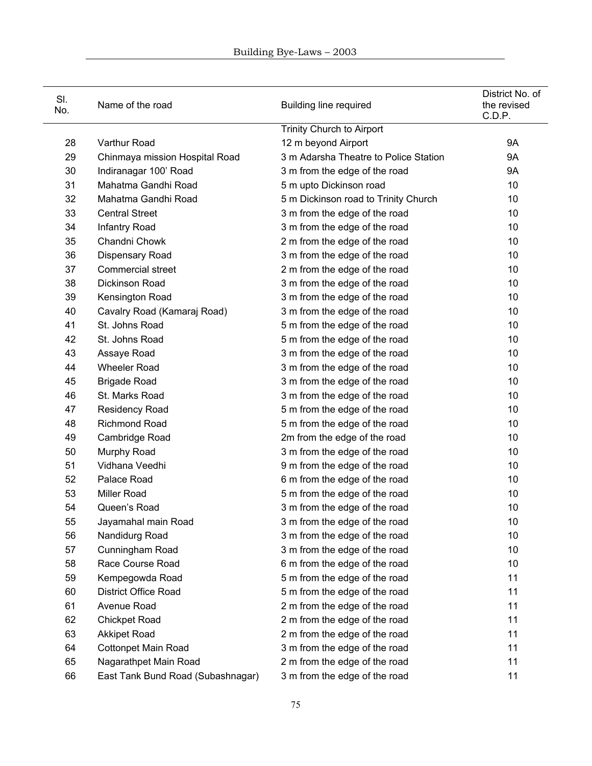| SI.<br>No. | Name of the road                  | <b>Building line required</b>         | District No. of<br>the revised<br>C.D.P. |
|------------|-----------------------------------|---------------------------------------|------------------------------------------|
|            |                                   | Trinity Church to Airport             |                                          |
| 28         | Varthur Road                      | 12 m beyond Airport                   | <b>9A</b>                                |
| 29         | Chinmaya mission Hospital Road    | 3 m Adarsha Theatre to Police Station | <b>9A</b>                                |
| 30         | Indiranagar 100' Road             | 3 m from the edge of the road         | <b>9A</b>                                |
| 31         | Mahatma Gandhi Road               | 5 m upto Dickinson road               | 10                                       |
| 32         | Mahatma Gandhi Road               | 5 m Dickinson road to Trinity Church  | 10                                       |
| 33         | <b>Central Street</b>             | 3 m from the edge of the road         | 10                                       |
| 34         | Infantry Road                     | 3 m from the edge of the road         | 10                                       |
| 35         | Chandni Chowk                     | 2 m from the edge of the road         | 10                                       |
| 36         | Dispensary Road                   | 3 m from the edge of the road         | 10                                       |
| 37         | <b>Commercial street</b>          | 2 m from the edge of the road         | 10                                       |
| 38         | Dickinson Road                    | 3 m from the edge of the road         | 10                                       |
| 39         | Kensington Road                   | 3 m from the edge of the road         | 10                                       |
| 40         | Cavalry Road (Kamaraj Road)       | 3 m from the edge of the road         | 10                                       |
| 41         | St. Johns Road                    | 5 m from the edge of the road         | 10                                       |
| 42         | St. Johns Road                    | 5 m from the edge of the road         | 10                                       |
| 43         | Assaye Road                       | 3 m from the edge of the road         | 10                                       |
| 44         | <b>Wheeler Road</b>               | 3 m from the edge of the road         | 10                                       |
| 45         | <b>Brigade Road</b>               | 3 m from the edge of the road         | 10                                       |
| 46         | St. Marks Road                    | 3 m from the edge of the road         | 10                                       |
| 47         | Residency Road                    | 5 m from the edge of the road         | 10                                       |
| 48         | <b>Richmond Road</b>              | 5 m from the edge of the road         | 10                                       |
| 49         | Cambridge Road                    | 2m from the edge of the road          | 10                                       |
| 50         | Murphy Road                       | 3 m from the edge of the road         | 10                                       |
| 51         | Vidhana Veedhi                    | 9 m from the edge of the road         | 10                                       |
| 52         | Palace Road                       | 6 m from the edge of the road         | 10                                       |
| 53         | <b>Miller Road</b>                | 5 m from the edge of the road         | 10                                       |
| 54         | Queen's Road                      | 3 m from the edge of the road         | 10                                       |
| 55         | Jayamahal main Road               | 3 m from the edge of the road         | 10                                       |
| 56         | Nandidurg Road                    | 3 m from the edge of the road         | 10                                       |
| 57         | Cunningham Road                   | 3 m from the edge of the road         | 10                                       |
| 58         | Race Course Road                  | 6 m from the edge of the road         | 10                                       |
| 59         | Kempegowda Road                   | 5 m from the edge of the road         | 11                                       |
| 60         | <b>District Office Road</b>       | 5 m from the edge of the road         | 11                                       |
| 61         | Avenue Road                       | 2 m from the edge of the road         | 11                                       |
| 62         | <b>Chickpet Road</b>              | 2 m from the edge of the road         | 11                                       |
| 63         | <b>Akkipet Road</b>               | 2 m from the edge of the road         | 11                                       |
| 64         | <b>Cottonpet Main Road</b>        | 3 m from the edge of the road         | 11                                       |
| 65         | Nagarathpet Main Road             | 2 m from the edge of the road         | 11                                       |
| 66         | East Tank Bund Road (Subashnagar) | 3 m from the edge of the road         | 11                                       |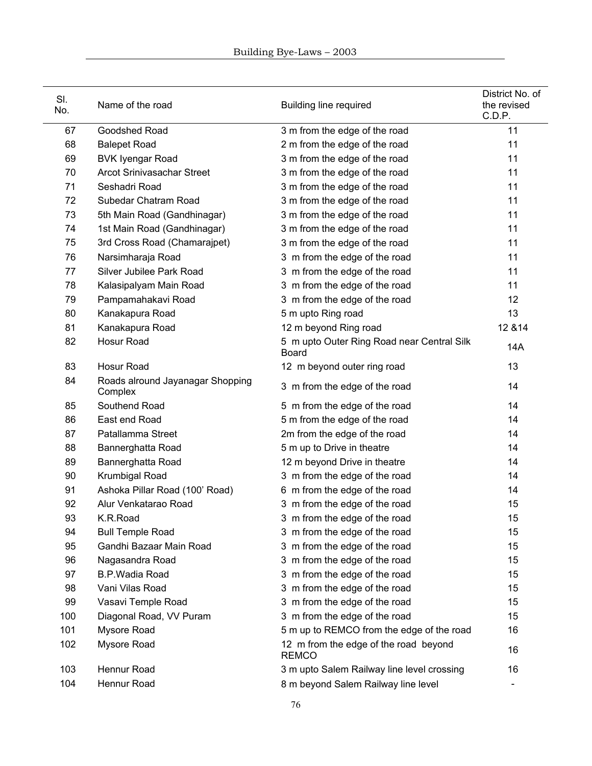| SI.<br>No. | Name of the road                            | <b>Building line required</b>                              | District No. of<br>the revised<br>C.D.P. |
|------------|---------------------------------------------|------------------------------------------------------------|------------------------------------------|
| 67         | Goodshed Road                               | 3 m from the edge of the road                              | 11                                       |
| 68         | <b>Balepet Road</b>                         | 2 m from the edge of the road                              | 11                                       |
| 69         | <b>BVK Iyengar Road</b>                     | 3 m from the edge of the road                              | 11                                       |
| 70         | <b>Arcot Srinivasachar Street</b>           | 3 m from the edge of the road                              | 11                                       |
| 71         | Seshadri Road                               | 3 m from the edge of the road                              | 11                                       |
| 72         | Subedar Chatram Road                        | 3 m from the edge of the road                              | 11                                       |
| 73         | 5th Main Road (Gandhinagar)                 | 3 m from the edge of the road                              | 11                                       |
| 74         | 1st Main Road (Gandhinagar)                 | 3 m from the edge of the road                              | 11                                       |
| 75         | 3rd Cross Road (Chamarajpet)                | 3 m from the edge of the road                              | 11                                       |
| 76         | Narsimharaja Road                           | 3 m from the edge of the road                              | 11                                       |
| 77         | Silver Jubilee Park Road                    | 3 m from the edge of the road                              | 11                                       |
| 78         | Kalasipalyam Main Road                      | 3 m from the edge of the road                              | 11                                       |
| 79         | Pampamahakavi Road                          | 3 m from the edge of the road                              | 12                                       |
| 80         | Kanakapura Road                             | 5 m upto Ring road                                         | 13                                       |
| 81         | Kanakapura Road                             | 12 m beyond Ring road                                      | 12 & 14                                  |
| 82         | Hosur Road                                  | 5 m upto Outer Ring Road near Central Silk<br><b>Board</b> | 14A                                      |
| 83         | Hosur Road                                  | 12 m beyond outer ring road                                | 13                                       |
| 84         | Roads alround Jayanagar Shopping<br>Complex | 3 m from the edge of the road                              | 14                                       |
| 85         | Southend Road                               | 5 m from the edge of the road                              | 14                                       |
| 86         | East end Road                               | 5 m from the edge of the road                              | 14                                       |
| 87         | Patallamma Street                           | 2m from the edge of the road                               | 14                                       |
| 88         | Bannerghatta Road                           | 5 m up to Drive in theatre                                 | 14                                       |
| 89         | Bannerghatta Road                           | 12 m beyond Drive in theatre                               | 14                                       |
| 90         | Krumbigal Road                              | 3 m from the edge of the road                              | 14                                       |
| 91         | Ashoka Pillar Road (100' Road)              | 6 m from the edge of the road                              | 14                                       |
| 92         | Alur Venkatarao Road                        | 3 m from the edge of the road                              | 15                                       |
| 93         | K.R.Road                                    | 3 m from the edge of the road                              | 15                                       |
| 94         | <b>Bull Temple Road</b>                     | 3 m from the edge of the road                              | 15                                       |
| 95         | Gandhi Bazaar Main Road                     | 3 m from the edge of the road                              | 15                                       |
| 96         | Nagasandra Road                             | 3 m from the edge of the road                              | 15                                       |
| 97         | <b>B.P.Wadia Road</b>                       | 3 m from the edge of the road                              | 15                                       |
| 98         | Vani Vilas Road                             | 3 m from the edge of the road                              | 15                                       |
| 99         | Vasavi Temple Road                          | 3 m from the edge of the road                              | 15                                       |
| 100        | Diagonal Road, VV Puram                     | 3 m from the edge of the road                              | 15                                       |
| 101        | Mysore Road                                 | 5 m up to REMCO from the edge of the road                  | 16                                       |
| 102        | Mysore Road                                 | 12 m from the edge of the road beyond<br><b>REMCO</b>      | 16                                       |
| 103        | Hennur Road                                 | 3 m upto Salem Railway line level crossing                 | 16                                       |
| 104        | Hennur Road                                 | 8 m beyond Salem Railway line level                        |                                          |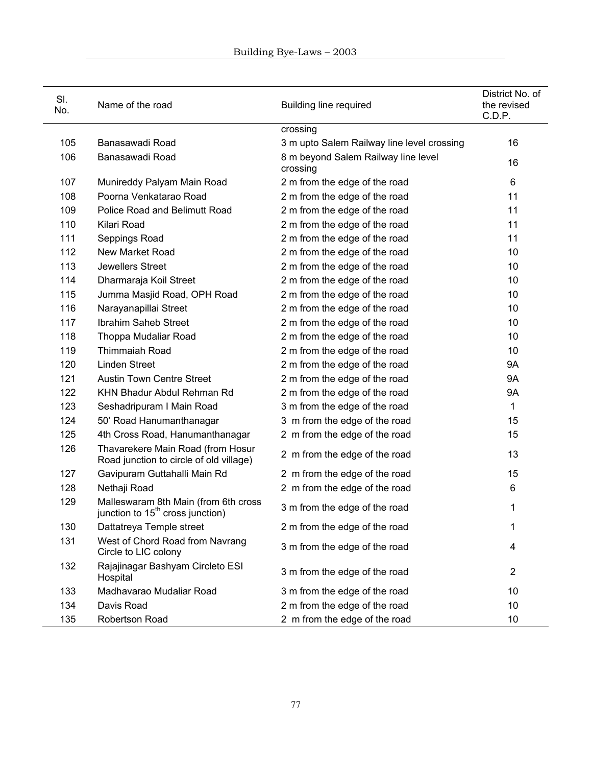| SI.<br>No. | Name of the road                                                                     | <b>Building line required</b>                   | District No. of<br>the revised<br>C.D.P. |
|------------|--------------------------------------------------------------------------------------|-------------------------------------------------|------------------------------------------|
|            |                                                                                      | crossing                                        |                                          |
| 105        | Banasawadi Road                                                                      | 3 m upto Salem Railway line level crossing      | 16                                       |
| 106        | Banasawadi Road                                                                      | 8 m beyond Salem Railway line level<br>crossing | 16                                       |
| 107        | Munireddy Palyam Main Road                                                           | 2 m from the edge of the road                   | 6                                        |
| 108        | Poorna Venkatarao Road                                                               | 2 m from the edge of the road                   | 11                                       |
| 109        | Police Road and Belimutt Road                                                        | 2 m from the edge of the road                   | 11                                       |
| 110        | Kilari Road                                                                          | 2 m from the edge of the road                   | 11                                       |
| 111        | Seppings Road                                                                        | 2 m from the edge of the road                   | 11                                       |
| 112        | New Market Road                                                                      | 2 m from the edge of the road                   | 10                                       |
| 113        | Jewellers Street                                                                     | 2 m from the edge of the road                   | 10                                       |
| 114        | Dharmaraja Koil Street                                                               | 2 m from the edge of the road                   | 10                                       |
| 115        | Jumma Masjid Road, OPH Road                                                          | 2 m from the edge of the road                   | 10                                       |
| 116        | Narayanapillai Street                                                                | 2 m from the edge of the road                   | 10                                       |
| 117        | Ibrahim Saheb Street                                                                 | 2 m from the edge of the road                   | 10                                       |
| 118        | Thoppa Mudaliar Road                                                                 | 2 m from the edge of the road                   | 10                                       |
| 119        | Thimmaiah Road                                                                       | 2 m from the edge of the road                   | 10                                       |
| 120        | <b>Linden Street</b>                                                                 | 2 m from the edge of the road                   | <b>9A</b>                                |
| 121        | <b>Austin Town Centre Street</b>                                                     | 2 m from the edge of the road                   | <b>9A</b>                                |
| 122        | KHN Bhadur Abdul Rehman Rd                                                           | 2 m from the edge of the road                   | <b>9A</b>                                |
| 123        | Seshadripuram I Main Road                                                            | 3 m from the edge of the road                   | 1                                        |
| 124        | 50' Road Hanumanthanagar                                                             | 3 m from the edge of the road                   | 15                                       |
| 125        | 4th Cross Road, Hanumanthanagar                                                      | 2 m from the edge of the road                   | 15                                       |
| 126        | Thavarekere Main Road (from Hosur<br>Road junction to circle of old village)         | 2 m from the edge of the road                   | 13                                       |
| 127        | Gavipuram Guttahalli Main Rd                                                         | 2 m from the edge of the road                   | 15                                       |
| 128        | Nethaji Road                                                                         | 2 m from the edge of the road                   | 6                                        |
| 129        | Malleswaram 8th Main (from 6th cross<br>junction to 15 <sup>th</sup> cross junction) | 3 m from the edge of the road                   | 1                                        |
| 130        | Dattatreya Temple street                                                             | 2 m from the edge of the road                   | 1                                        |
| 131        | West of Chord Road from Navrang<br>Circle to LIC colony                              | 3 m from the edge of the road                   | 4                                        |
| 132        | Rajajinagar Bashyam Circleto ESI<br>Hospital                                         | 3 m from the edge of the road                   | $\overline{2}$                           |
| 133        | Madhavarao Mudaliar Road                                                             | 3 m from the edge of the road                   | 10                                       |
| 134        | Davis Road                                                                           | 2 m from the edge of the road                   | 10                                       |
| 135        | Robertson Road                                                                       | 2 m from the edge of the road                   | 10                                       |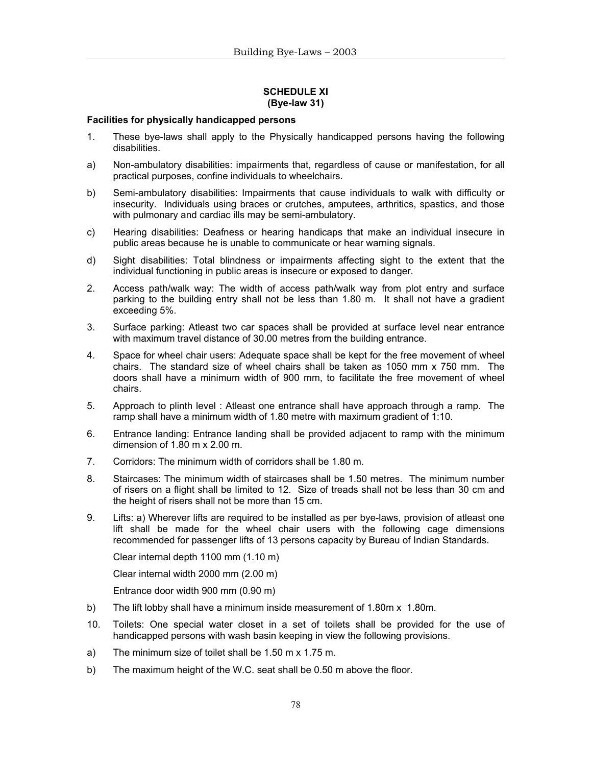### **SCHEDULE XI (Bye-law 31)**

### **Facilities for physically handicapped persons**

- 1. These bye-laws shall apply to the Physically handicapped persons having the following disabilities.
- a) Non-ambulatory disabilities: impairments that, regardless of cause or manifestation, for all practical purposes, confine individuals to wheelchairs.
- b) Semi-ambulatory disabilities: Impairments that cause individuals to walk with difficulty or insecurity. Individuals using braces or crutches, amputees, arthritics, spastics, and those with pulmonary and cardiac ills may be semi-ambulatory.
- c) Hearing disabilities: Deafness or hearing handicaps that make an individual insecure in public areas because he is unable to communicate or hear warning signals.
- d) Sight disabilities: Total blindness or impairments affecting sight to the extent that the individual functioning in public areas is insecure or exposed to danger.
- 2. Access path/walk way: The width of access path/walk way from plot entry and surface parking to the building entry shall not be less than 1.80 m. It shall not have a gradient exceeding 5%.
- 3. Surface parking: Atleast two car spaces shall be provided at surface level near entrance with maximum travel distance of 30.00 metres from the building entrance.
- 4. Space for wheel chair users: Adequate space shall be kept for the free movement of wheel chairs. The standard size of wheel chairs shall be taken as 1050 mm x 750 mm. The doors shall have a minimum width of 900 mm, to facilitate the free movement of wheel chairs.
- 5. Approach to plinth level : Atleast one entrance shall have approach through a ramp. The ramp shall have a minimum width of 1.80 metre with maximum gradient of 1:10.
- 6. Entrance landing: Entrance landing shall be provided adjacent to ramp with the minimum dimension of  $1.80 \text{ m} \times 2.00 \text{ m}$ .
- 7. Corridors: The minimum width of corridors shall be 1.80 m.
- 8. Staircases: The minimum width of staircases shall be 1.50 metres. The minimum number of risers on a flight shall be limited to 12. Size of treads shall not be less than 30 cm and the height of risers shall not be more than 15 cm.
- 9. Lifts: a) Wherever lifts are required to be installed as per bye-laws, provision of atleast one lift shall be made for the wheel chair users with the following cage dimensions recommended for passenger lifts of 13 persons capacity by Bureau of Indian Standards.

Clear internal depth 1100 mm (1.10 m)

Clear internal width 2000 mm (2.00 m)

Entrance door width 900 mm (0.90 m)

- b) The lift lobby shall have a minimum inside measurement of 1.80m x 1.80m.
- 10. Toilets: One special water closet in a set of toilets shall be provided for the use of handicapped persons with wash basin keeping in view the following provisions.
- a) The minimum size of toilet shall be 1.50 m x 1.75 m.
- b) The maximum height of the W.C. seat shall be 0.50 m above the floor.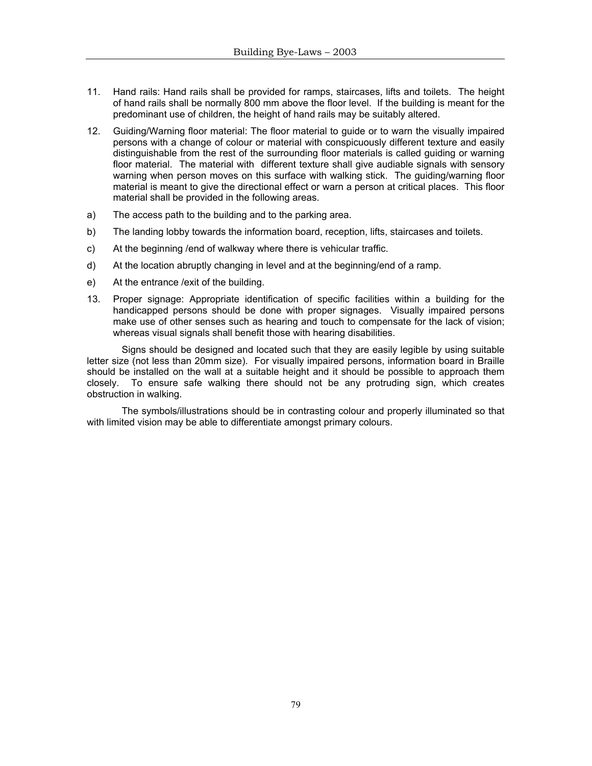- 11. Hand rails: Hand rails shall be provided for ramps, staircases, lifts and toilets. The height of hand rails shall be normally 800 mm above the floor level. If the building is meant for the predominant use of children, the height of hand rails may be suitably altered.
- 12. Guiding/Warning floor material: The floor material to guide or to warn the visually impaired persons with a change of colour or material with conspicuously different texture and easily distinguishable from the rest of the surrounding floor materials is called guiding or warning floor material. The material with different texture shall give audiable signals with sensory warning when person moves on this surface with walking stick. The guiding/warning floor material is meant to give the directional effect or warn a person at critical places. This floor material shall be provided in the following areas.
- a) The access path to the building and to the parking area.
- b) The landing lobby towards the information board, reception, lifts, staircases and toilets.
- c) At the beginning /end of walkway where there is vehicular traffic.
- d) At the location abruptly changing in level and at the beginning/end of a ramp.
- e) At the entrance /exit of the building.
- 13. Proper signage: Appropriate identification of specific facilities within a building for the handicapped persons should be done with proper signages. Visually impaired persons make use of other senses such as hearing and touch to compensate for the lack of vision; whereas visual signals shall benefit those with hearing disabilities.

 Signs should be designed and located such that they are easily legible by using suitable letter size (not less than 20mm size). For visually impaired persons, information board in Braille should be installed on the wall at a suitable height and it should be possible to approach them closely. To ensure safe walking there should not be any protruding sign, which creates obstruction in walking.

 The symbols/illustrations should be in contrasting colour and properly illuminated so that with limited vision may be able to differentiate amongst primary colours.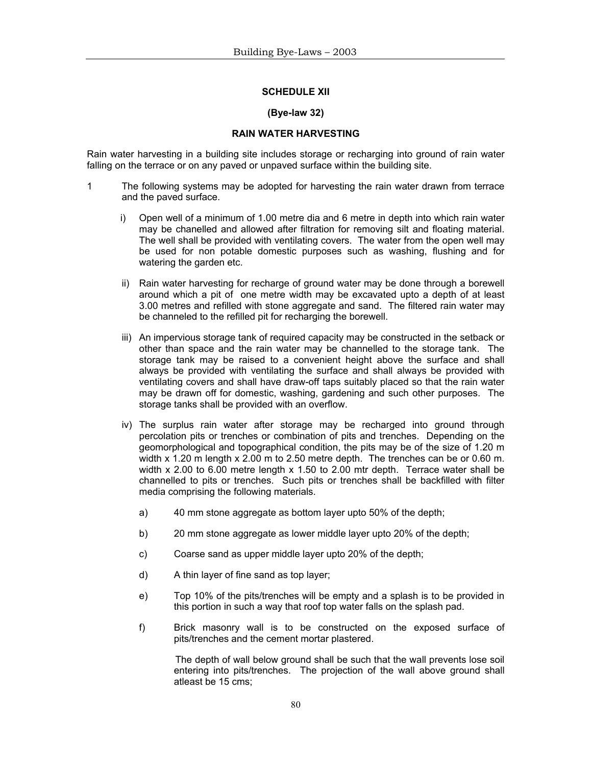#### **SCHEDULE XII**

#### **(Bye-law 32)**

### **RAIN WATER HARVESTING**

Rain water harvesting in a building site includes storage or recharging into ground of rain water falling on the terrace or on any paved or unpaved surface within the building site.

- 1 The following systems may be adopted for harvesting the rain water drawn from terrace and the paved surface.
	- i) Open well of a minimum of 1.00 metre dia and 6 metre in depth into which rain water may be chanelled and allowed after filtration for removing silt and floating material. The well shall be provided with ventilating covers. The water from the open well may be used for non potable domestic purposes such as washing, flushing and for watering the garden etc.
	- ii) Rain water harvesting for recharge of ground water may be done through a borewell around which a pit of one metre width may be excavated upto a depth of at least 3.00 metres and refilled with stone aggregate and sand. The filtered rain water may be channeled to the refilled pit for recharging the borewell.
	- iii) An impervious storage tank of required capacity may be constructed in the setback or other than space and the rain water may be channelled to the storage tank. The storage tank may be raised to a convenient height above the surface and shall always be provided with ventilating the surface and shall always be provided with ventilating covers and shall have draw-off taps suitably placed so that the rain water may be drawn off for domestic, washing, gardening and such other purposes. The storage tanks shall be provided with an overflow.
	- iv) The surplus rain water after storage may be recharged into ground through percolation pits or trenches or combination of pits and trenches. Depending on the geomorphological and topographical condition, the pits may be of the size of 1.20 m width x 1.20 m length x 2.00 m to 2.50 metre depth. The trenches can be or 0.60 m. width x 2.00 to 6.00 metre length x 1.50 to 2.00 mtr depth. Terrace water shall be channelled to pits or trenches. Such pits or trenches shall be backfilled with filter media comprising the following materials.
		- a) 40 mm stone aggregate as bottom layer upto 50% of the depth;
		- b) 20 mm stone aggregate as lower middle layer upto 20% of the depth;
		- c) Coarse sand as upper middle layer upto 20% of the depth;
		- d) A thin layer of fine sand as top layer;
		- e) Top 10% of the pits/trenches will be empty and a splash is to be provided in this portion in such a way that roof top water falls on the splash pad.
		- f) Brick masonry wall is to be constructed on the exposed surface of pits/trenches and the cement mortar plastered.

 The depth of wall below ground shall be such that the wall prevents lose soil entering into pits/trenches. The projection of the wall above ground shall atleast be 15 cms;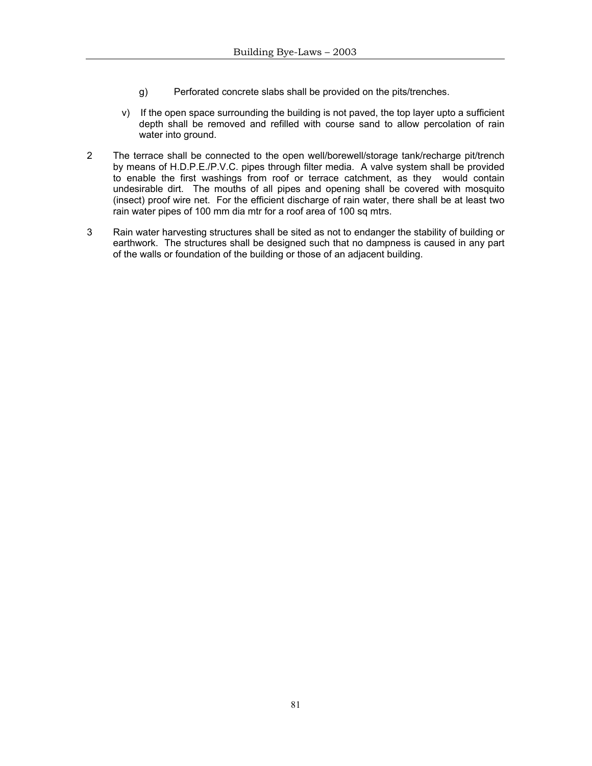- g) Perforated concrete slabs shall be provided on the pits/trenches.
- v) If the open space surrounding the building is not paved, the top layer upto a sufficient depth shall be removed and refilled with course sand to allow percolation of rain water into ground.
- 2 The terrace shall be connected to the open well/borewell/storage tank/recharge pit/trench by means of H.D.P.E./P.V.C. pipes through filter media. A valve system shall be provided to enable the first washings from roof or terrace catchment, as they would contain undesirable dirt. The mouths of all pipes and opening shall be covered with mosquito (insect) proof wire net. For the efficient discharge of rain water, there shall be at least two rain water pipes of 100 mm dia mtr for a roof area of 100 sq mtrs.
- 3 Rain water harvesting structures shall be sited as not to endanger the stability of building or earthwork. The structures shall be designed such that no dampness is caused in any part of the walls or foundation of the building or those of an adjacent building.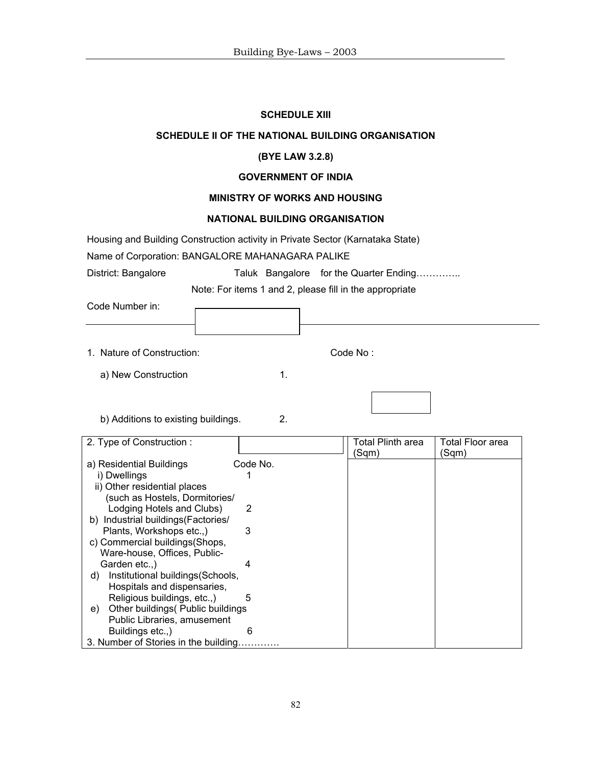### **SCHEDULE XIII**

### **SCHEDULE II OF THE NATIONAL BUILDING ORGANISATION**

### **(BYE LAW 3.2.8)**

#### **GOVERNMENT OF INDIA**

# **MINISTRY OF WORKS AND HOUSING**

# **NATIONAL BUILDING ORGANISATION**

Housing and Building Construction activity in Private Sector (Karnataka State)

Name of Corporation: BANGALORE MAHANAGARA PALIKE

District: Bangalore Taluk Bangalore for the Quarter Ending………….

Note: For items 1 and 2, please fill in the appropriate

| Code Number in: |  |  |  |
|-----------------|--|--|--|
|-----------------|--|--|--|

1. Nature of Construction: Code No :

b) Additions to existing buildings. 2.

a) New Construction 1.

| 2. Type of Construction:                |          | Total Plinth area | Total Floor area |
|-----------------------------------------|----------|-------------------|------------------|
|                                         |          | (Sqm)             | (Sqm)            |
| a) Residential Buildings                | Code No. |                   |                  |
| i) Dwellings                            |          |                   |                  |
| ii) Other residential places            |          |                   |                  |
| (such as Hostels, Dormitories/          |          |                   |                  |
| Lodging Hotels and Clubs)               | 2        |                   |                  |
| Industrial buildings (Factories/<br>b)  |          |                   |                  |
| Plants, Workshops etc.,)                | 3        |                   |                  |
| c) Commercial buildings (Shops,         |          |                   |                  |
| Ware-house, Offices, Public-            |          |                   |                  |
| Garden etc)                             |          |                   |                  |
| Institutional buildings (Schools,<br>d) |          |                   |                  |
| Hospitals and dispensaries,             |          |                   |                  |
| Religious buildings, etc.,)             | 5        |                   |                  |
| Other buildings (Public buildings<br>e) |          |                   |                  |
| Public Libraries, amusement             |          |                   |                  |
| Buildings etc.,)                        | 6        |                   |                  |
| 3. Number of Stories in the building    |          |                   |                  |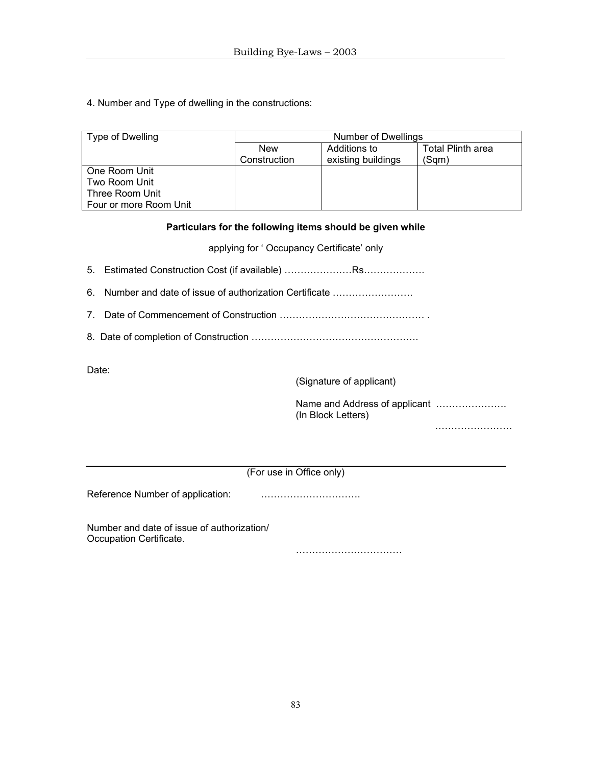# 4. Number and Type of dwelling in the constructions:

| Type of Dwelling       | Number of Dwellings |                    |                   |
|------------------------|---------------------|--------------------|-------------------|
|                        | <b>New</b>          | Additions to       | Total Plinth area |
|                        | Construction        | existing buildings | (Sam)             |
| One Room Unit          |                     |                    |                   |
| Two Room Unit          |                     |                    |                   |
| Three Room Unit        |                     |                    |                   |
| Four or more Room Unit |                     |                    |                   |

# **Particulars for the following items should be given while**

applying for ' Occupancy Certificate' only

5. Estimated Construction Cost (if available) …………………Rs……………….

- 6. Number and date of issue of authorization Certificate …………………….
- 7. Date of Commencement of Construction ……………………………………… .
- 8. Date of completion of Construction …………………………………………….

Date:

(Signature of applicant)

 Name and Address of applicant …………………. (In Block Letters)

…………………………

(For use in Office only)

Reference Number of application: ………………………….

Number and date of issue of authorization/ Occupation Certificate.

……………………………